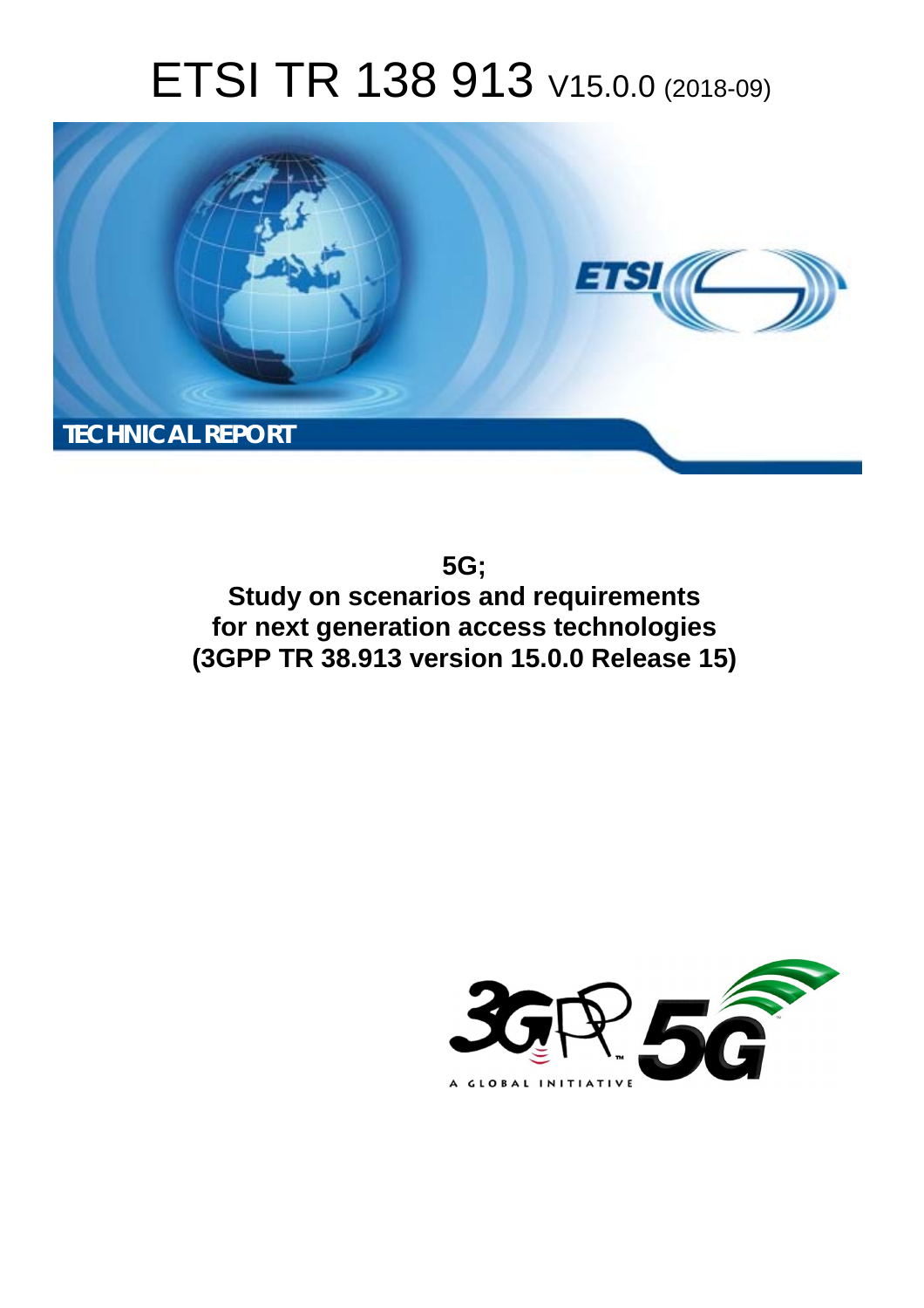# ETSI TR 138 913 V15.0.0 (2018-09)



**5G; Study on scenarios and requirements for next generation access technologies (3GPP TR 38.913 version 15.0.0 Release 15)** 

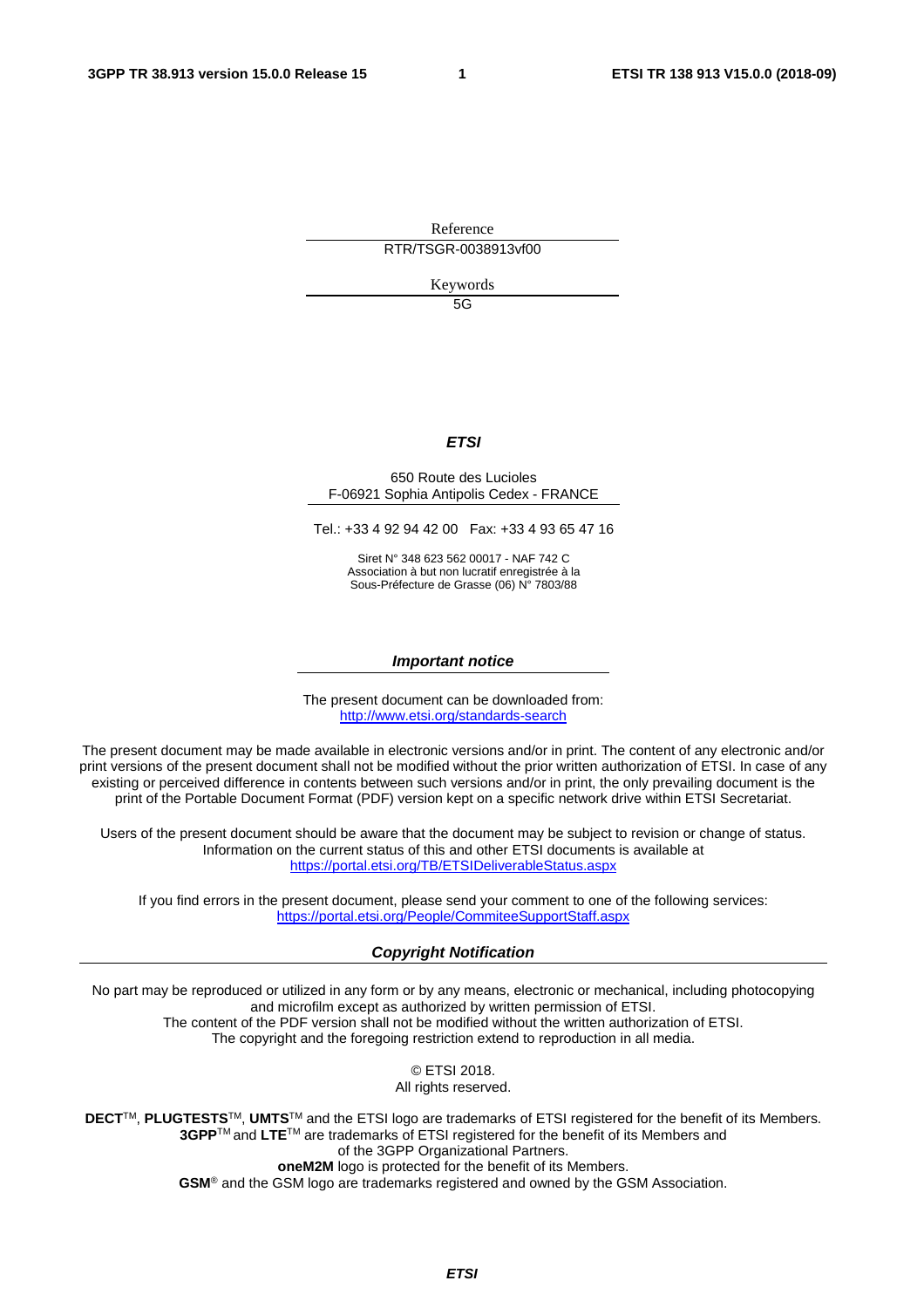Reference RTR/TSGR-0038913vf00

Keywords

 $5G$ 

#### *ETSI*

#### 650 Route des Lucioles F-06921 Sophia Antipolis Cedex - FRANCE

Tel.: +33 4 92 94 42 00 Fax: +33 4 93 65 47 16

Siret N° 348 623 562 00017 - NAF 742 C Association à but non lucratif enregistrée à la Sous-Préfecture de Grasse (06) N° 7803/88

#### *Important notice*

The present document can be downloaded from: <http://www.etsi.org/standards-search>

The present document may be made available in electronic versions and/or in print. The content of any electronic and/or print versions of the present document shall not be modified without the prior written authorization of ETSI. In case of any existing or perceived difference in contents between such versions and/or in print, the only prevailing document is the print of the Portable Document Format (PDF) version kept on a specific network drive within ETSI Secretariat.

Users of the present document should be aware that the document may be subject to revision or change of status. Information on the current status of this and other ETSI documents is available at <https://portal.etsi.org/TB/ETSIDeliverableStatus.aspx>

If you find errors in the present document, please send your comment to one of the following services: <https://portal.etsi.org/People/CommiteeSupportStaff.aspx>

#### *Copyright Notification*

No part may be reproduced or utilized in any form or by any means, electronic or mechanical, including photocopying and microfilm except as authorized by written permission of ETSI. The content of the PDF version shall not be modified without the written authorization of ETSI. The copyright and the foregoing restriction extend to reproduction in all media.

> © ETSI 2018. All rights reserved.

**DECT**TM, **PLUGTESTS**TM, **UMTS**TM and the ETSI logo are trademarks of ETSI registered for the benefit of its Members. **3GPP**TM and **LTE**TM are trademarks of ETSI registered for the benefit of its Members and of the 3GPP Organizational Partners. **oneM2M** logo is protected for the benefit of its Members.

**GSM**® and the GSM logo are trademarks registered and owned by the GSM Association.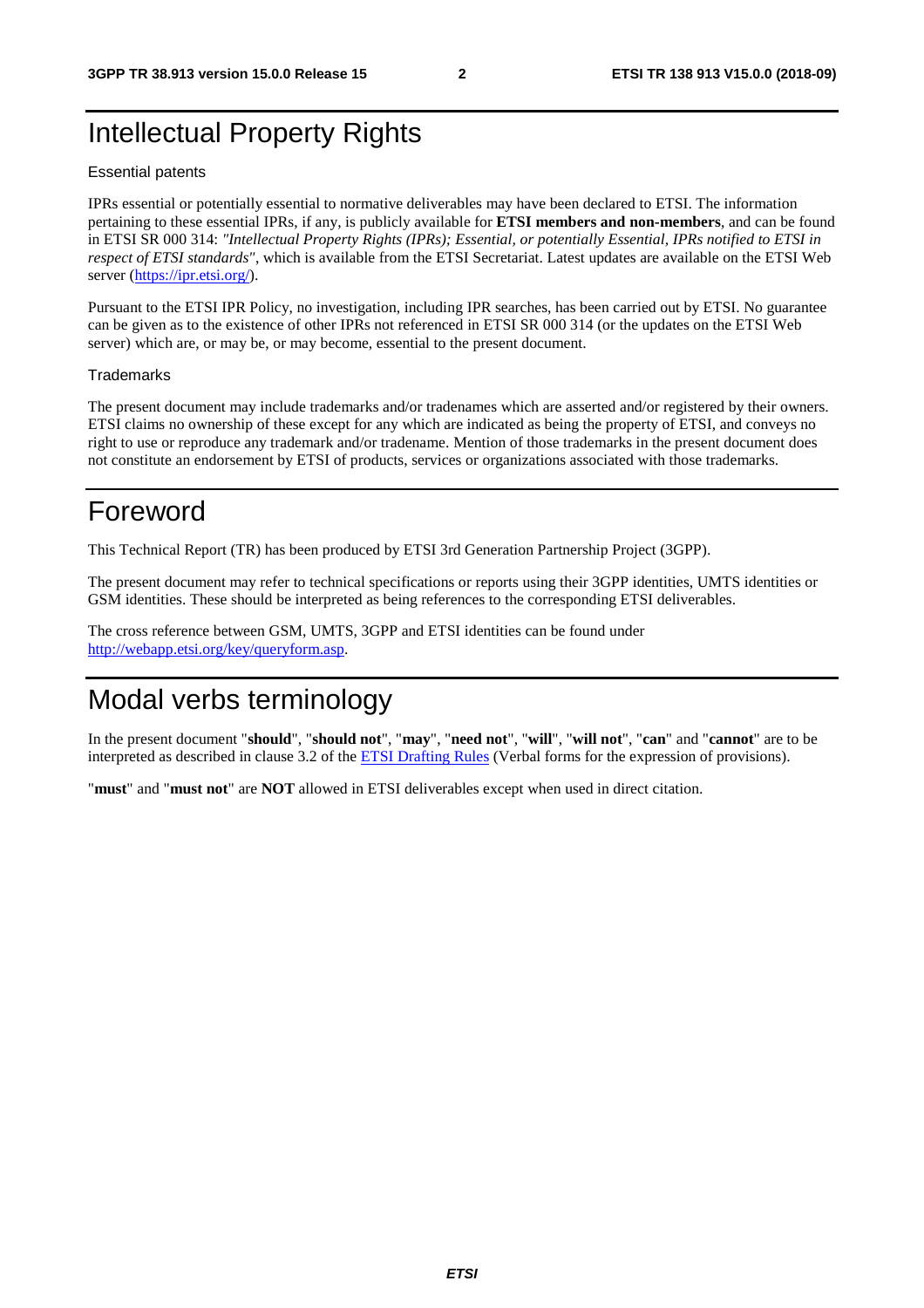# Intellectual Property Rights

#### Essential patents

IPRs essential or potentially essential to normative deliverables may have been declared to ETSI. The information pertaining to these essential IPRs, if any, is publicly available for **ETSI members and non-members**, and can be found in ETSI SR 000 314: *"Intellectual Property Rights (IPRs); Essential, or potentially Essential, IPRs notified to ETSI in respect of ETSI standards"*, which is available from the ETSI Secretariat. Latest updates are available on the ETSI Web server ([https://ipr.etsi.org/\)](https://ipr.etsi.org/).

Pursuant to the ETSI IPR Policy, no investigation, including IPR searches, has been carried out by ETSI. No guarantee can be given as to the existence of other IPRs not referenced in ETSI SR 000 314 (or the updates on the ETSI Web server) which are, or may be, or may become, essential to the present document.

#### **Trademarks**

The present document may include trademarks and/or tradenames which are asserted and/or registered by their owners. ETSI claims no ownership of these except for any which are indicated as being the property of ETSI, and conveys no right to use or reproduce any trademark and/or tradename. Mention of those trademarks in the present document does not constitute an endorsement by ETSI of products, services or organizations associated with those trademarks.

# Foreword

This Technical Report (TR) has been produced by ETSI 3rd Generation Partnership Project (3GPP).

The present document may refer to technical specifications or reports using their 3GPP identities, UMTS identities or GSM identities. These should be interpreted as being references to the corresponding ETSI deliverables.

The cross reference between GSM, UMTS, 3GPP and ETSI identities can be found under [http://webapp.etsi.org/key/queryform.asp.](http://webapp.etsi.org/key/queryform.asp)

# Modal verbs terminology

In the present document "**should**", "**should not**", "**may**", "**need not**", "**will**", "**will not**", "**can**" and "**cannot**" are to be interpreted as described in clause 3.2 of the [ETSI Drafting Rules](https://portal.etsi.org/Services/editHelp!/Howtostart/ETSIDraftingRules.aspx) (Verbal forms for the expression of provisions).

"**must**" and "**must not**" are **NOT** allowed in ETSI deliverables except when used in direct citation.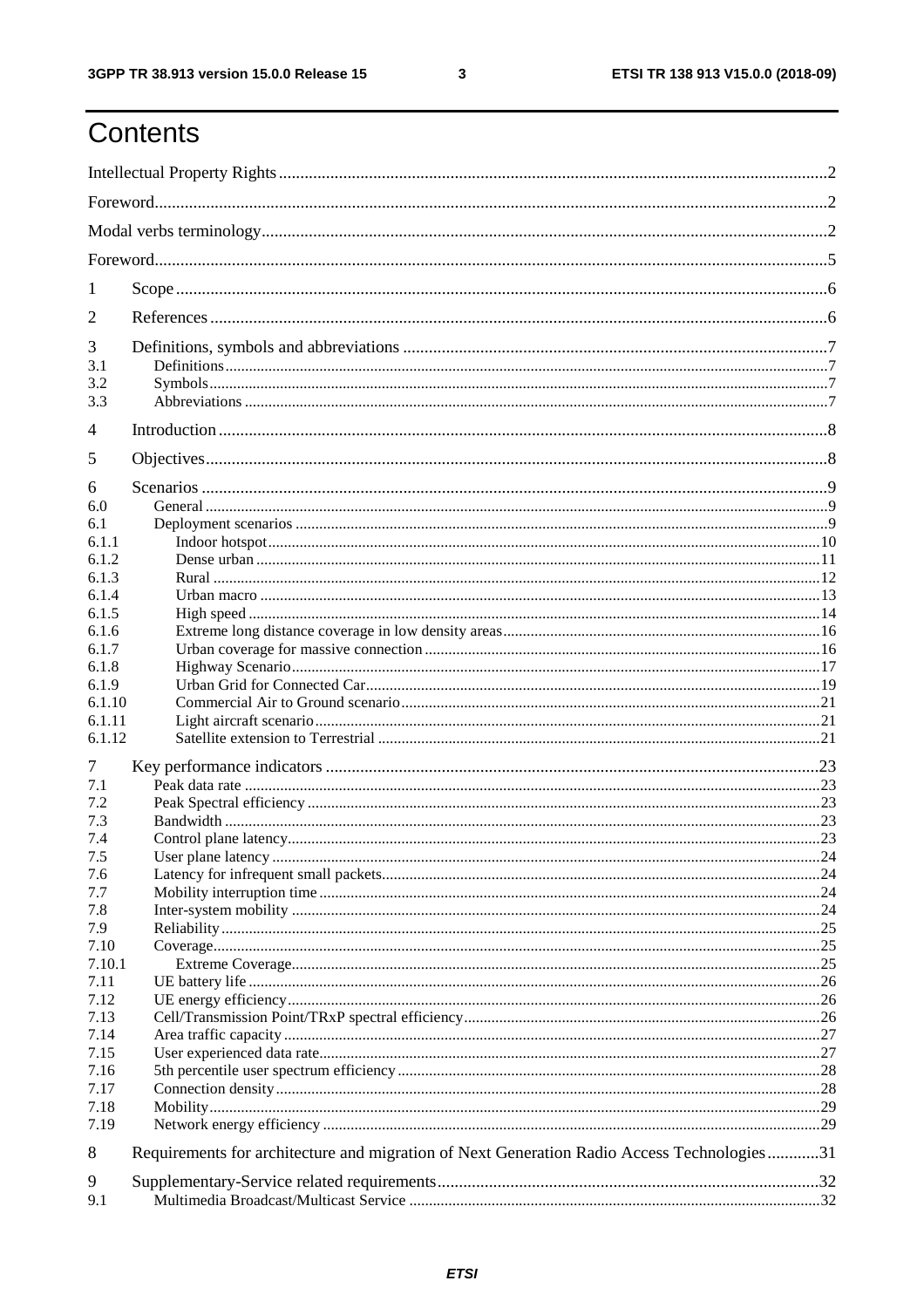$\mathbf{3}$ 

# Contents

| 1              |                                                                                            |  |  |
|----------------|--------------------------------------------------------------------------------------------|--|--|
| 2              |                                                                                            |  |  |
| 3              |                                                                                            |  |  |
| 3.1            |                                                                                            |  |  |
| 3.2<br>3.3     |                                                                                            |  |  |
|                |                                                                                            |  |  |
| 4              |                                                                                            |  |  |
| 5              |                                                                                            |  |  |
| 6              |                                                                                            |  |  |
| 6.0            |                                                                                            |  |  |
| 6.1            |                                                                                            |  |  |
| 6.1.1<br>6.1.2 |                                                                                            |  |  |
| 6.1.3          |                                                                                            |  |  |
| 6.1.4          |                                                                                            |  |  |
| 6.1.5          |                                                                                            |  |  |
| 6.1.6          |                                                                                            |  |  |
| 6.1.7          |                                                                                            |  |  |
| 6.1.8          |                                                                                            |  |  |
| 6.1.9          |                                                                                            |  |  |
| 6.1.10         |                                                                                            |  |  |
| 6.1.11         |                                                                                            |  |  |
| 6.1.12         |                                                                                            |  |  |
| 7              |                                                                                            |  |  |
| 7.1            |                                                                                            |  |  |
| 7.2            |                                                                                            |  |  |
| 7.3            |                                                                                            |  |  |
| 7.4            |                                                                                            |  |  |
| 7.5            |                                                                                            |  |  |
| 7.6            |                                                                                            |  |  |
| 7.7            |                                                                                            |  |  |
| 7.8            |                                                                                            |  |  |
| 7.9            |                                                                                            |  |  |
| 7.10           |                                                                                            |  |  |
| 7.10.1<br>7.11 |                                                                                            |  |  |
| 7.12           |                                                                                            |  |  |
| 7.13           |                                                                                            |  |  |
| 7.14           |                                                                                            |  |  |
| 7.15           |                                                                                            |  |  |
| 7.16           |                                                                                            |  |  |
| 7.17           |                                                                                            |  |  |
| 7.18           |                                                                                            |  |  |
| 7.19           |                                                                                            |  |  |
| 8              | Requirements for architecture and migration of Next Generation Radio Access Technologies31 |  |  |
| 9              |                                                                                            |  |  |
| 9.1            |                                                                                            |  |  |
|                |                                                                                            |  |  |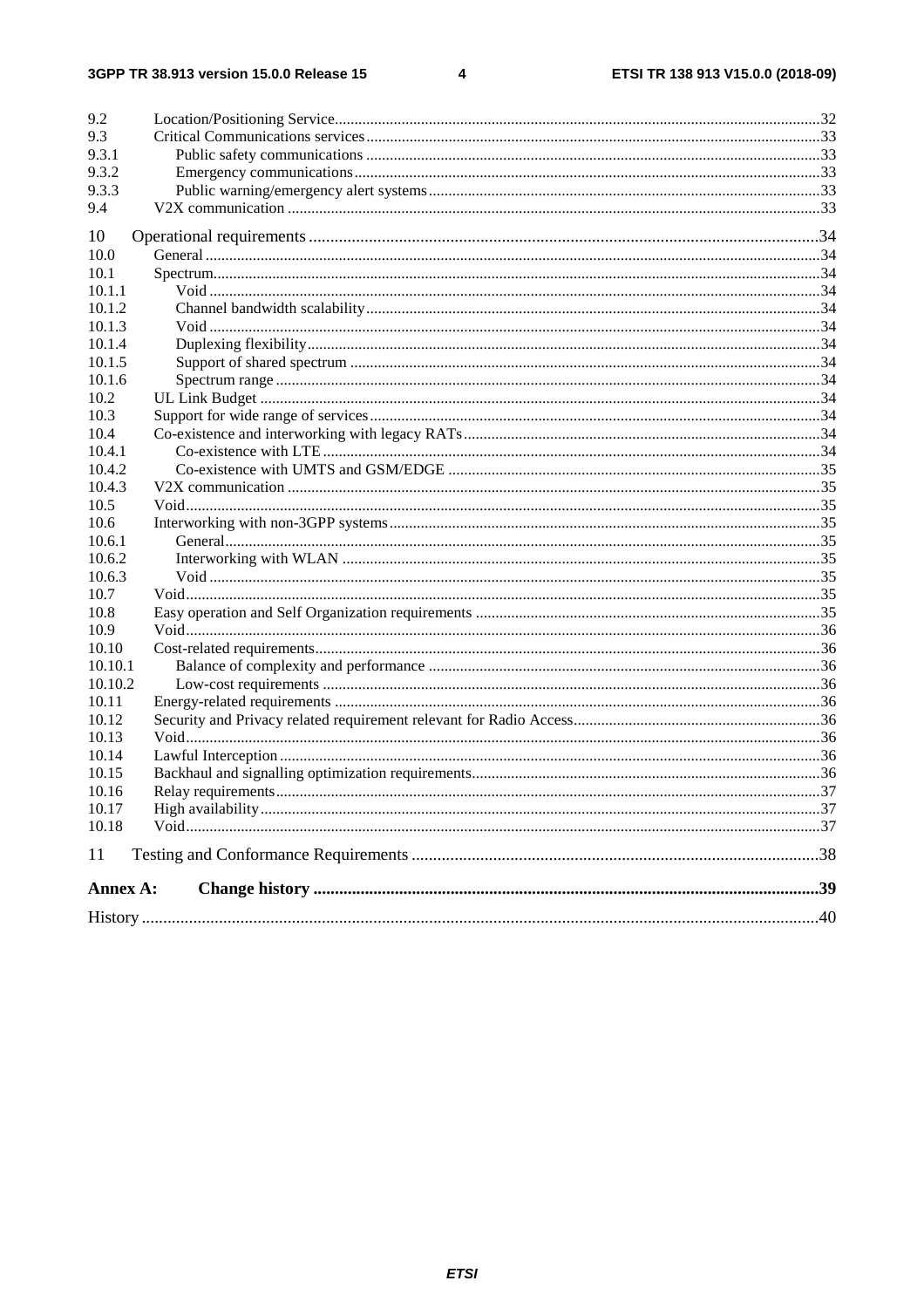$\overline{\mathbf{4}}$ 

| 9.2      |  |
|----------|--|
| 9.3      |  |
| 9.3.1    |  |
| 9.3.2    |  |
| 9.3.3    |  |
| 9.4      |  |
| 10       |  |
| 10.0     |  |
| 10.1     |  |
| 10.1.1   |  |
| 10.1.2   |  |
| 10.1.3   |  |
| 10.1.4   |  |
| 10.1.5   |  |
| 10.1.6   |  |
| 10.2     |  |
| 10.3     |  |
| 10.4     |  |
| 10.4.1   |  |
| 10.4.2   |  |
| 10.4.3   |  |
| 10.5     |  |
| 10.6     |  |
| 10.6.1   |  |
| 10.6.2   |  |
| 10.6.3   |  |
| 10.7     |  |
| 10.8     |  |
| 10.9     |  |
| 10.10    |  |
| 10.10.1  |  |
| 10.10.2  |  |
| 10.11    |  |
| 10.12    |  |
| 10.13    |  |
| 10.14    |  |
| 10.15    |  |
| 10.16    |  |
| 10.17    |  |
| 10.18    |  |
| 11       |  |
| Annex A: |  |
|          |  |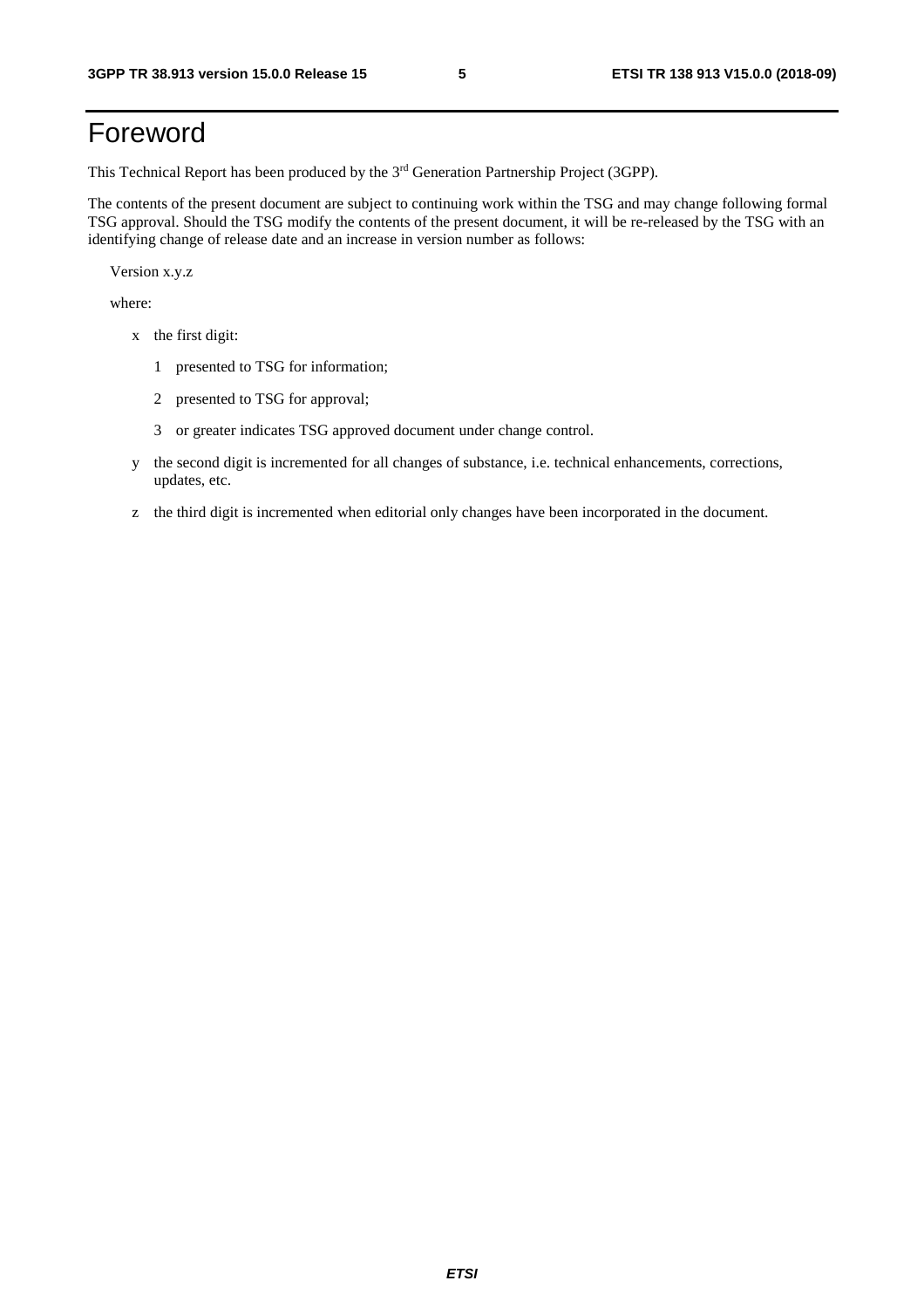# Foreword

This Technical Report has been produced by the 3rd Generation Partnership Project (3GPP).

The contents of the present document are subject to continuing work within the TSG and may change following formal TSG approval. Should the TSG modify the contents of the present document, it will be re-released by the TSG with an identifying change of release date and an increase in version number as follows:

Version x.y.z

where:

- x the first digit:
	- 1 presented to TSG for information;
	- 2 presented to TSG for approval;
	- 3 or greater indicates TSG approved document under change control.
- y the second digit is incremented for all changes of substance, i.e. technical enhancements, corrections, updates, etc.
- z the third digit is incremented when editorial only changes have been incorporated in the document.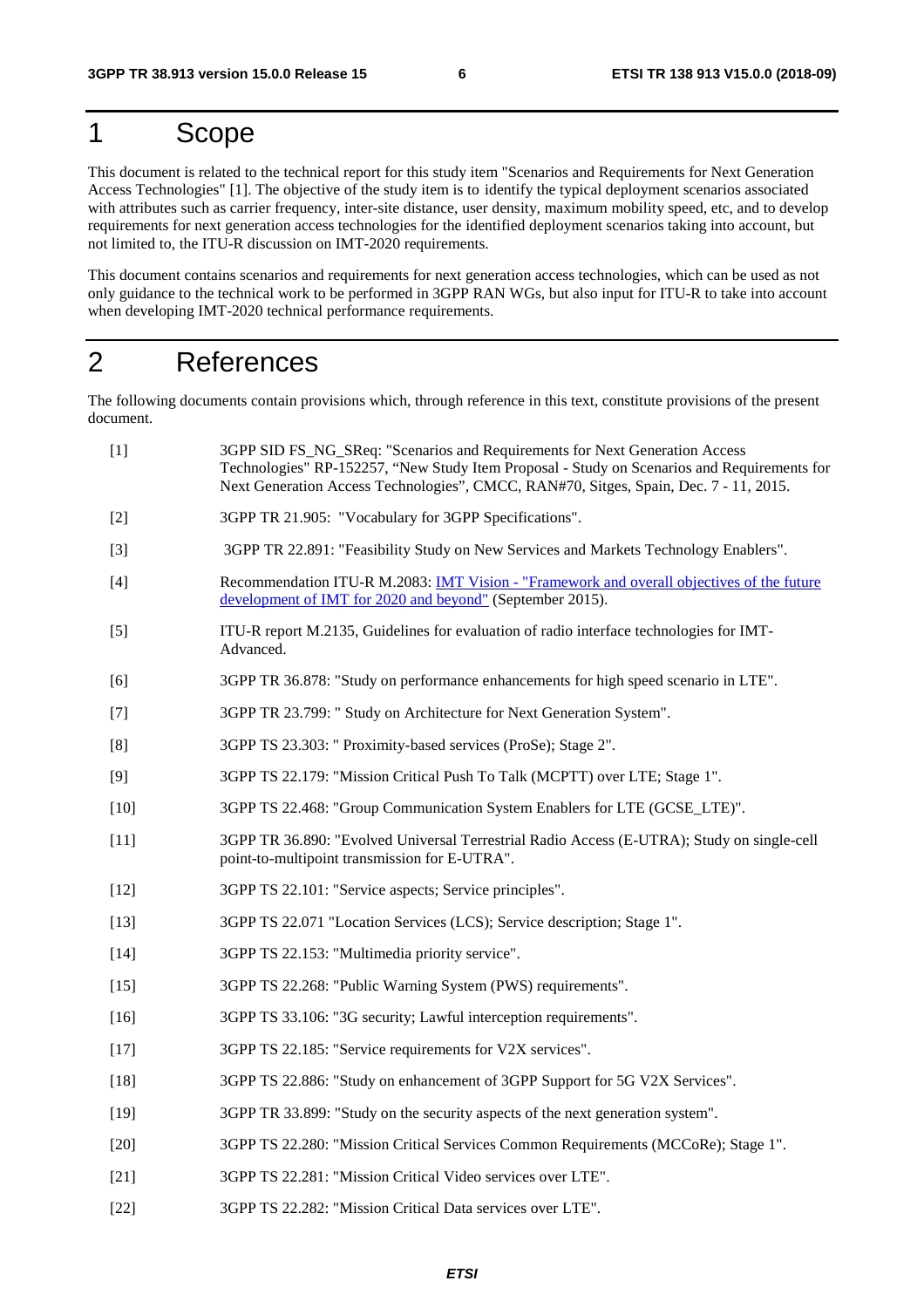# 1 Scope

This document is related to the technical report for this study item "Scenarios and Requirements for Next Generation Access Technologies" [1]. The objective of the study item is to identify the typical deployment scenarios associated with attributes such as carrier frequency, inter-site distance, user density, maximum mobility speed, etc, and to develop requirements for next generation access technologies for the identified deployment scenarios taking into account, but not limited to, the ITU-R discussion on IMT-2020 requirements.

This document contains scenarios and requirements for next generation access technologies, which can be used as not only guidance to the technical work to be performed in 3GPP RAN WGs, but also input for ITU-R to take into account when developing IMT-2020 technical performance requirements.

# 2 References

The following documents contain provisions which, through reference in this text, constitute provisions of the present document.

| $[1]$  | 3GPP SID FS_NG_SReq: "Scenarios and Requirements for Next Generation Access<br>Technologies" RP-152257, "New Study Item Proposal - Study on Scenarios and Requirements for<br>Next Generation Access Technologies", CMCC, RAN#70, Sitges, Spain, Dec. 7 - 11, 2015. |
|--------|---------------------------------------------------------------------------------------------------------------------------------------------------------------------------------------------------------------------------------------------------------------------|
| $[2]$  | 3GPP TR 21.905: "Vocabulary for 3GPP Specifications".                                                                                                                                                                                                               |
| $[3]$  | 3GPP TR 22.891: "Feasibility Study on New Services and Markets Technology Enablers".                                                                                                                                                                                |
| $[4]$  | Recommendation ITU-R M.2083: <b>IMT</b> Vision - "Framework and overall objectives of the future<br>development of IMT for 2020 and beyond" (September 2015).                                                                                                       |
| $[5]$  | ITU-R report M.2135, Guidelines for evaluation of radio interface technologies for IMT-<br>Advanced.                                                                                                                                                                |
| [6]    | 3GPP TR 36.878: "Study on performance enhancements for high speed scenario in LTE".                                                                                                                                                                                 |
| $[7]$  | 3GPP TR 23.799: " Study on Architecture for Next Generation System".                                                                                                                                                                                                |
| [8]    | 3GPP TS 23.303: " Proximity-based services (ProSe); Stage 2".                                                                                                                                                                                                       |
| [9]    | 3GPP TS 22.179: "Mission Critical Push To Talk (MCPTT) over LTE; Stage 1".                                                                                                                                                                                          |
| $[10]$ | 3GPP TS 22.468: "Group Communication System Enablers for LTE (GCSE_LTE)".                                                                                                                                                                                           |
| $[11]$ | 3GPP TR 36.890: "Evolved Universal Terrestrial Radio Access (E-UTRA); Study on single-cell<br>point-to-multipoint transmission for E-UTRA".                                                                                                                         |
| $[12]$ | 3GPP TS 22.101: "Service aspects; Service principles".                                                                                                                                                                                                              |
| $[13]$ | 3GPP TS 22.071 "Location Services (LCS); Service description; Stage 1".                                                                                                                                                                                             |
| $[14]$ | 3GPP TS 22.153: "Multimedia priority service".                                                                                                                                                                                                                      |
| $[15]$ | 3GPP TS 22.268: "Public Warning System (PWS) requirements".                                                                                                                                                                                                         |
| $[16]$ | 3GPP TS 33.106: "3G security; Lawful interception requirements".                                                                                                                                                                                                    |
| $[17]$ | 3GPP TS 22.185: "Service requirements for V2X services".                                                                                                                                                                                                            |
| $[18]$ | 3GPP TS 22.886: "Study on enhancement of 3GPP Support for 5G V2X Services".                                                                                                                                                                                         |
| $[19]$ | 3GPP TR 33.899: "Study on the security aspects of the next generation system".                                                                                                                                                                                      |
| $[20]$ | 3GPP TS 22.280: "Mission Critical Services Common Requirements (MCCoRe); Stage 1".                                                                                                                                                                                  |
| $[21]$ | 3GPP TS 22.281: "Mission Critical Video services over LTE".                                                                                                                                                                                                         |
| $[22]$ | 3GPP TS 22.282: "Mission Critical Data services over LTE".                                                                                                                                                                                                          |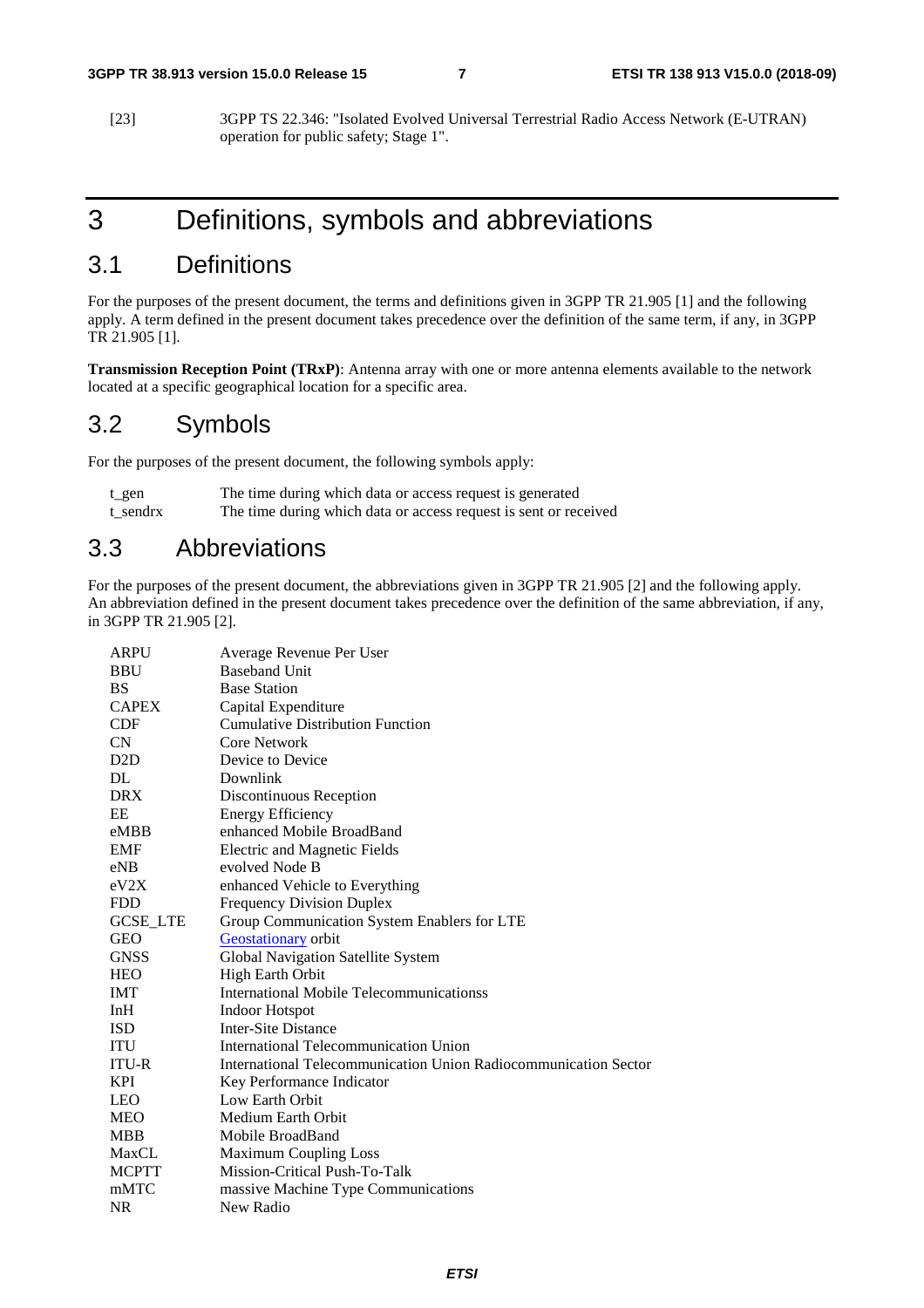[23] 3GPP TS 22.346: "Isolated Evolved Universal Terrestrial Radio Access Network (E-UTRAN) operation for public safety; Stage 1".

# 3 Definitions, symbols and abbreviations

# 3.1 Definitions

For the purposes of the present document, the terms and definitions given in 3GPP TR 21.905 [1] and the following apply. A term defined in the present document takes precedence over the definition of the same term, if any, in 3GPP TR 21.905 [1].

**Transmission Reception Point (TRxP)**: Antenna array with one or more antenna elements available to the network located at a specific geographical location for a specific area.

### 3.2 Symbols

For the purposes of the present document, the following symbols apply:

| t gen    | The time during which data or access request is generated        |
|----------|------------------------------------------------------------------|
| t sendrx | The time during which data or access request is sent or received |

# 3.3 Abbreviations

For the purposes of the present document, the abbreviations given in 3GPP TR 21.905 [2] and the following apply. An abbreviation defined in the present document takes precedence over the definition of the same abbreviation, if any, in 3GPP TR 21.905 [2].

| <b>ARPU</b>     | Average Revenue Per User                                        |
|-----------------|-----------------------------------------------------------------|
| <b>BBU</b>      | <b>Baseband Unit</b>                                            |
| BS              | <b>Base Station</b>                                             |
| <b>CAPEX</b>    | Capital Expenditure                                             |
| <b>CDF</b>      | <b>Cumulative Distribution Function</b>                         |
| CN              | Core Network                                                    |
| D2D             | Device to Device                                                |
| DL              | Downlink                                                        |
| <b>DRX</b>      | Discontinuous Reception                                         |
| EE              | <b>Energy Efficiency</b>                                        |
| eMBB            | enhanced Mobile BroadBand                                       |
| EMF             | Electric and Magnetic Fields                                    |
| eNB             | evolved Node B                                                  |
| eV2X            | enhanced Vehicle to Everything                                  |
| <b>FDD</b>      | <b>Frequency Division Duplex</b>                                |
| <b>GCSE_LTE</b> | Group Communication System Enablers for LTE                     |
| <b>GEO</b>      | <b>Geostationary orbit</b>                                      |
| <b>GNSS</b>     | Global Navigation Satellite System                              |
| <b>HEO</b>      | <b>High Earth Orbit</b>                                         |
| IMT             | International Mobile Telecommunicationss                        |
| InH             | <b>Indoor Hotspot</b>                                           |
| <b>ISD</b>      | Inter-Site Distance                                             |
| <b>ITU</b>      | International Telecommunication Union                           |
| <b>ITU-R</b>    | International Telecommunication Union Radiocommunication Sector |
| <b>KPI</b>      | Key Performance Indicator                                       |
| <b>LEO</b>      | Low Earth Orbit                                                 |
| <b>MEO</b>      | Medium Earth Orbit                                              |
| <b>MBB</b>      | Mobile BroadBand                                                |
| MaxCL           | <b>Maximum Coupling Loss</b>                                    |
| <b>MCPTT</b>    | Mission-Critical Push-To-Talk                                   |
| mMTC            | massive Machine Type Communications                             |
| <b>NR</b>       | New Radio                                                       |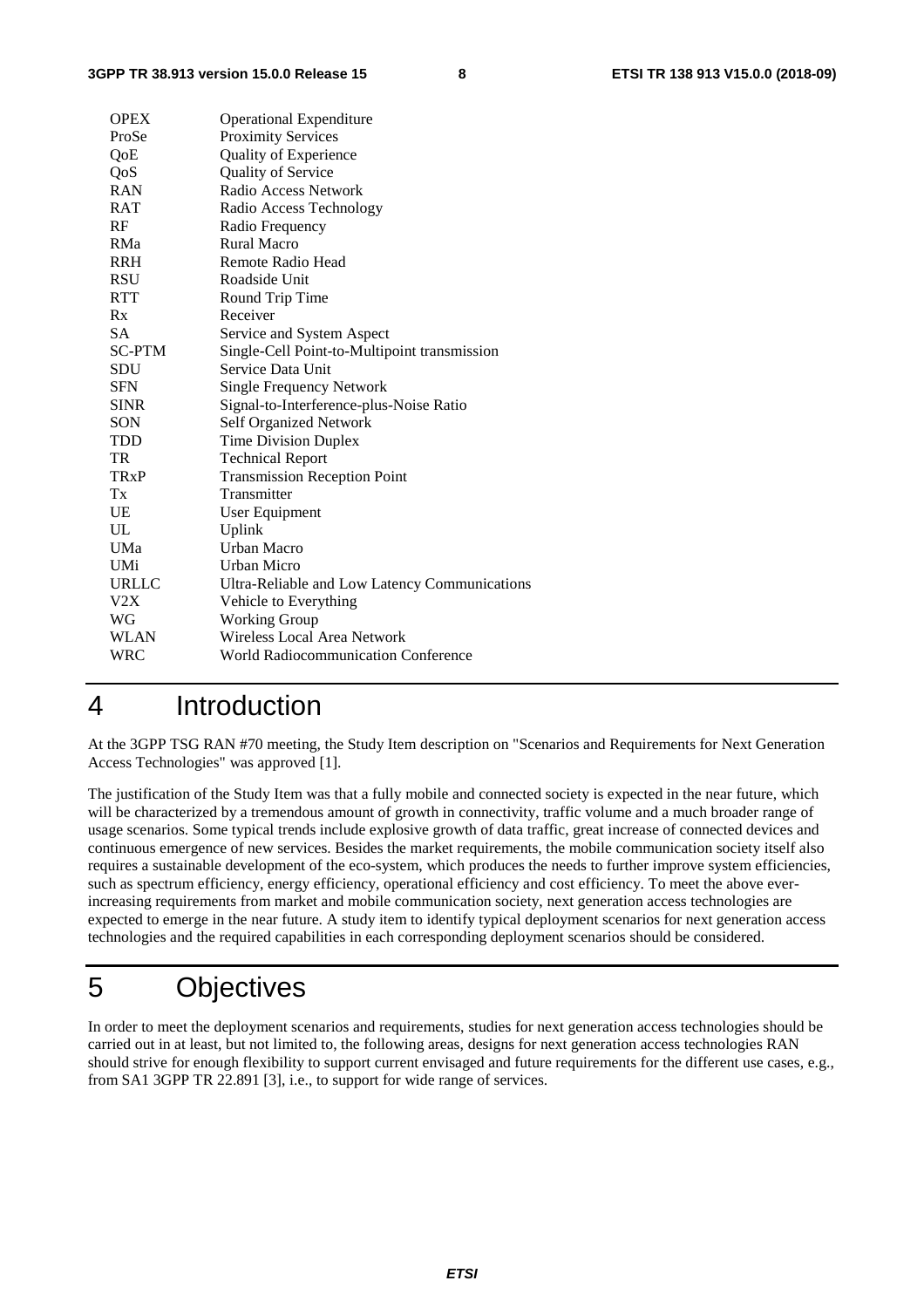| <b>OPEX</b>       | <b>Operational Expenditure</b>                |
|-------------------|-----------------------------------------------|
| ProSe             | <b>Proximity Services</b>                     |
| QoE               | Quality of Experience                         |
| QoS               | Quality of Service                            |
| <b>RAN</b>        | Radio Access Network                          |
| <b>RAT</b>        | Radio Access Technology                       |
| RF                | Radio Frequency                               |
| RMa               | Rural Macro                                   |
| <b>RRH</b>        | Remote Radio Head                             |
| <b>RSU</b>        | Roadside Unit                                 |
| <b>RTT</b>        | Round Trip Time                               |
| Rx                | Receiver                                      |
| <b>SA</b>         | Service and System Aspect                     |
| <b>SC-PTM</b>     | Single-Cell Point-to-Multipoint transmission  |
| <b>SDU</b>        | Service Data Unit                             |
| <b>SFN</b>        | <b>Single Frequency Network</b>               |
| <b>SINR</b>       | Signal-to-Interference-plus-Noise Ratio       |
| SON               | <b>Self Organized Network</b>                 |
| TDD               | <b>Time Division Duplex</b>                   |
| TR                | <b>Technical Report</b>                       |
| TR <sub>x</sub> P | <b>Transmission Reception Point</b>           |
| Tx                | Transmitter                                   |
| UE                | User Equipment                                |
| UL                | Uplink                                        |
| UMa               | <b>Urban Macro</b>                            |
| UMi               | Urban Micro                                   |
| <b>URLLC</b>      | Ultra-Reliable and Low Latency Communications |
| V2X               | Vehicle to Everything                         |
| WG                | <b>Working Group</b>                          |
| <b>WLAN</b>       | Wireless Local Area Network                   |
| <b>WRC</b>        | <b>World Radiocommunication Conference</b>    |
|                   |                                               |

# 4 Introduction

At the 3GPP TSG RAN #70 meeting, the Study Item description on "Scenarios and Requirements for Next Generation Access Technologies" was approved [1].

The justification of the Study Item was that a fully mobile and connected society is expected in the near future, which will be characterized by a tremendous amount of growth in connectivity, traffic volume and a much broader range of usage scenarios. Some typical trends include explosive growth of data traffic, great increase of connected devices and continuous emergence of new services. Besides the market requirements, the mobile communication society itself also requires a sustainable development of the eco-system, which produces the needs to further improve system efficiencies, such as spectrum efficiency, energy efficiency, operational efficiency and cost efficiency. To meet the above everincreasing requirements from market and mobile communication society, next generation access technologies are expected to emerge in the near future. A study item to identify typical deployment scenarios for next generation access technologies and the required capabilities in each corresponding deployment scenarios should be considered.

# 5 Objectives

In order to meet the deployment scenarios and requirements, studies for next generation access technologies should be carried out in at least, but not limited to, the following areas, designs for next generation access technologies RAN should strive for enough flexibility to support current envisaged and future requirements for the different use cases, e.g., from SA1 3GPP TR 22.891 [3], i.e., to support for wide range of services.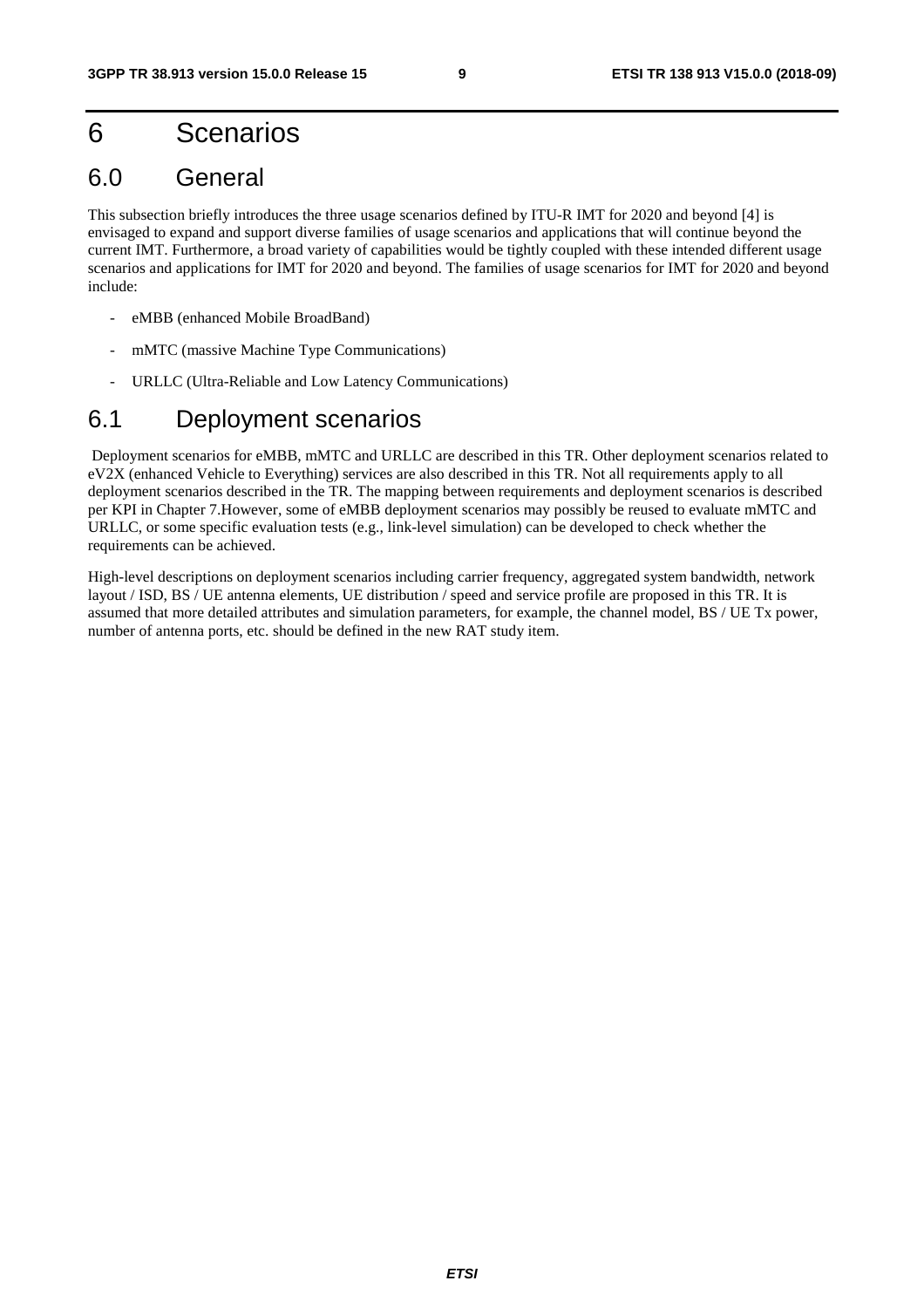# 6 Scenarios

# 6.0 General

This subsection briefly introduces the three usage scenarios defined by ITU-R IMT for 2020 and beyond [4] is envisaged to expand and support diverse families of usage scenarios and applications that will continue beyond the current IMT. Furthermore, a broad variety of capabilities would be tightly coupled with these intended different usage scenarios and applications for IMT for 2020 and beyond. The families of usage scenarios for IMT for 2020 and beyond include:

- eMBB (enhanced Mobile BroadBand)
- mMTC (massive Machine Type Communications)
- URLLC (Ultra-Reliable and Low Latency Communications)

# 6.1 Deployment scenarios

 Deployment scenarios for eMBB, mMTC and URLLC are described in this TR. Other deployment scenarios related to eV2X (enhanced Vehicle to Everything) services are also described in this TR. Not all requirements apply to all deployment scenarios described in the TR. The mapping between requirements and deployment scenarios is described per KPI in Chapter 7.However, some of eMBB deployment scenarios may possibly be reused to evaluate mMTC and URLLC, or some specific evaluation tests (e.g., link-level simulation) can be developed to check whether the requirements can be achieved.

High-level descriptions on deployment scenarios including carrier frequency, aggregated system bandwidth, network layout / ISD, BS / UE antenna elements, UE distribution / speed and service profile are proposed in this TR. It is assumed that more detailed attributes and simulation parameters, for example, the channel model, BS / UE Tx power, number of antenna ports, etc. should be defined in the new RAT study item.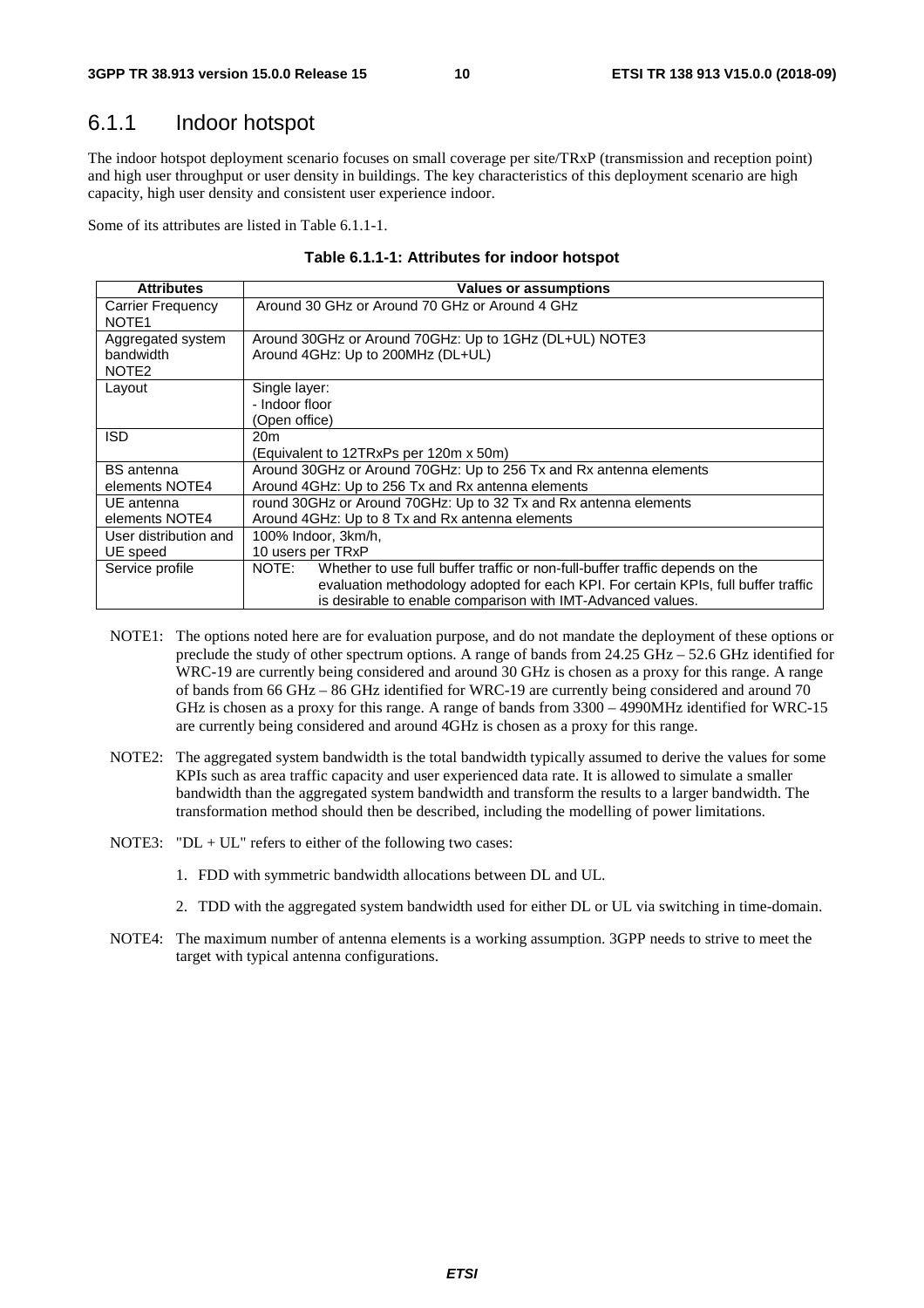### 6.1.1 Indoor hotspot

The indoor hotspot deployment scenario focuses on small coverage per site/TRxP (transmission and reception point) and high user throughput or user density in buildings. The key characteristics of this deployment scenario are high capacity, high user density and consistent user experience indoor.

Some of its attributes are listed in Table 6.1.1-1.

| <b>Attributes</b>                                   | <b>Values or assumptions</b>                                                                |
|-----------------------------------------------------|---------------------------------------------------------------------------------------------|
| <b>Carrier Frequency</b><br>NOTE <sub>1</sub>       | Around 30 GHz or Around 70 GHz or Around 4 GHz                                              |
| Aggregated system<br>bandwidth<br>NOTE <sub>2</sub> | Around 30GHz or Around 70GHz: Up to 1GHz (DL+UL) NOTE3<br>Around 4GHz: Up to 200MHz (DL+UL) |
| Layout                                              | Single layer:                                                                               |
|                                                     | - Indoor floor                                                                              |
|                                                     | (Open office)                                                                               |
| <b>ISD</b>                                          | 20 <sub>m</sub>                                                                             |
|                                                     | (Equivalent to 12TRxPs per 120m x 50m)                                                      |
| <b>BS</b> antenna                                   | Around 30GHz or Around 70GHz: Up to 256 Tx and Rx antenna elements                          |
| elements NOTE4                                      | Around 4GHz: Up to 256 Tx and Rx antenna elements                                           |
| UE antenna                                          | round 30GHz or Around 70GHz: Up to 32 Tx and Rx antenna elements                            |
| elements NOTE4                                      | Around 4GHz: Up to 8 Tx and Rx antenna elements                                             |
| User distribution and                               | 100% Indoor, 3km/h,                                                                         |
| UE speed                                            | 10 users per TRxP                                                                           |
| Service profile                                     | Whether to use full buffer traffic or non-full-buffer traffic depends on the<br>NOTE:       |
|                                                     | evaluation methodology adopted for each KPI. For certain KPIs, full buffer traffic          |
|                                                     | is desirable to enable comparison with IMT-Advanced values.                                 |

- NOTE1: The options noted here are for evaluation purpose, and do not mandate the deployment of these options or preclude the study of other spectrum options. A range of bands from 24.25 GHz – 52.6 GHz identified for WRC-19 are currently being considered and around 30 GHz is chosen as a proxy for this range. A range of bands from 66 GHz – 86 GHz identified for WRC-19 are currently being considered and around 70 GHz is chosen as a proxy for this range. A range of bands from  $3300 - 4990$ MHz identified for WRC-15 are currently being considered and around 4GHz is chosen as a proxy for this range.
- NOTE2: The aggregated system bandwidth is the total bandwidth typically assumed to derive the values for some KPIs such as area traffic capacity and user experienced data rate. It is allowed to simulate a smaller bandwidth than the aggregated system bandwidth and transform the results to a larger bandwidth. The transformation method should then be described, including the modelling of power limitations.
- NOTE3: "DL + UL" refers to either of the following two cases:
	- 1. FDD with symmetric bandwidth allocations between DL and UL.
	- 2. TDD with the aggregated system bandwidth used for either DL or UL via switching in time-domain.
- NOTE4: The maximum number of antenna elements is a working assumption. 3GPP needs to strive to meet the target with typical antenna configurations.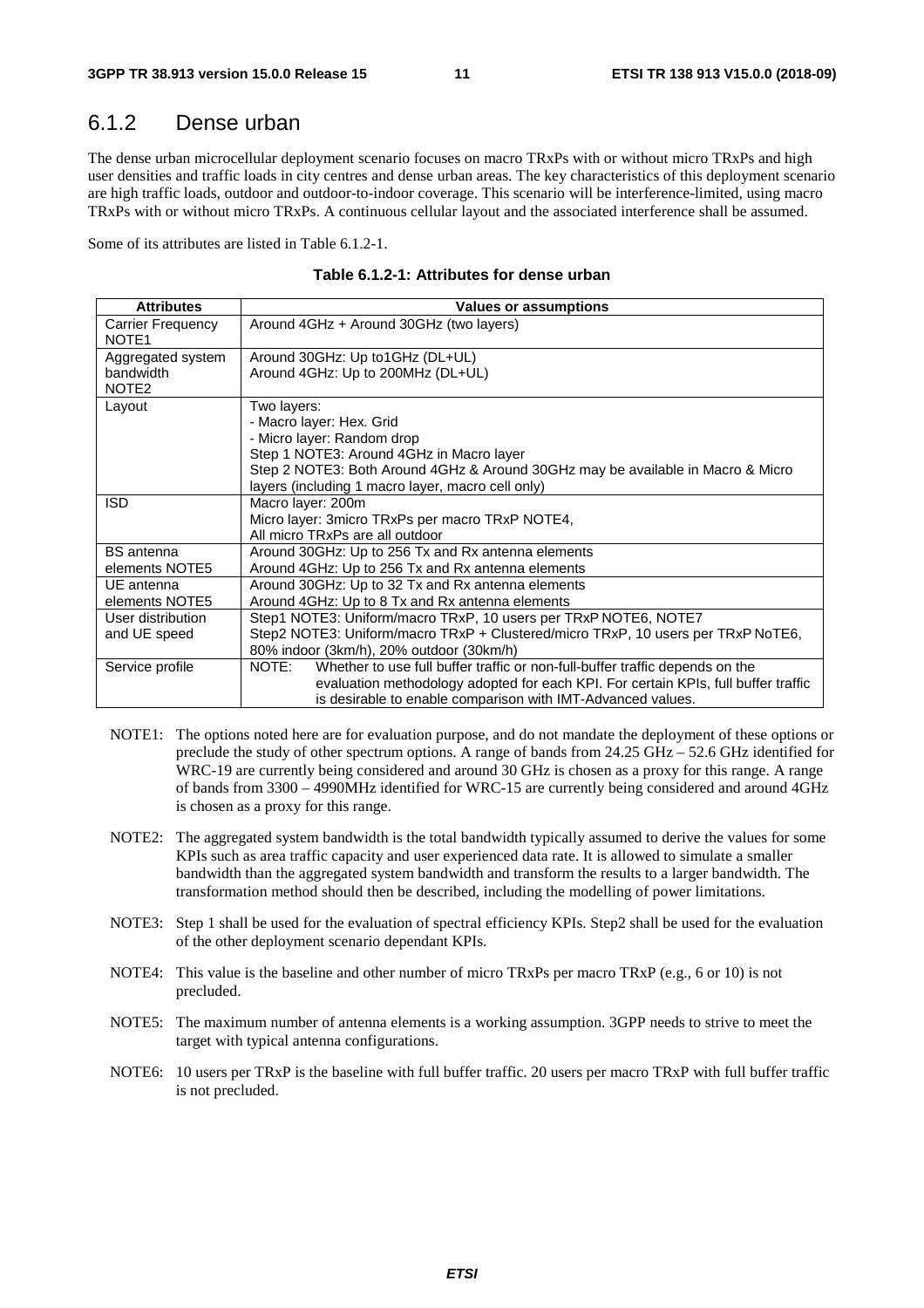### 6.1.2 Dense urban

The dense urban microcellular deployment scenario focuses on macro TRxPs with or without micro TRxPs and high user densities and traffic loads in city centres and dense urban areas. The key characteristics of this deployment scenario are high traffic loads, outdoor and outdoor-to-indoor coverage. This scenario will be interference-limited, using macro TRxPs with or without micro TRxPs. A continuous cellular layout and the associated interference shall be assumed.

Some of its attributes are listed in Table 6.1.2-1.

| Table 6.1.2-1: Attributes for dense urban |  |  |  |
|-------------------------------------------|--|--|--|
|-------------------------------------------|--|--|--|

| <b>Attributes</b>                                   | <b>Values or assumptions</b>                                                                                                                                                                                                                              |  |
|-----------------------------------------------------|-----------------------------------------------------------------------------------------------------------------------------------------------------------------------------------------------------------------------------------------------------------|--|
| Carrier Frequency<br>NOTE <sub>1</sub>              | Around 4GHz + Around 30GHz (two layers)                                                                                                                                                                                                                   |  |
| Aggregated system<br>bandwidth<br>NOTE <sub>2</sub> | Around 30GHz: Up to1GHz (DL+UL)<br>Around 4GHz: Up to 200MHz (DL+UL)                                                                                                                                                                                      |  |
| Layout                                              | Two layers:<br>- Macro layer: Hex. Grid<br>- Micro layer: Random drop<br>Step 1 NOTE3: Around 4GHz in Macro layer<br>Step 2 NOTE3: Both Around 4GHz & Around 30GHz may be available in Macro & Micro<br>layers (including 1 macro layer, macro cell only) |  |
| <b>ISD</b>                                          | Macro layer: 200m<br>Micro layer: 3 micro TRxPs per macro TRxP NOTE4,<br>All micro TRxPs are all outdoor                                                                                                                                                  |  |
| <b>BS</b> antenna<br>elements NOTE5                 | Around 30GHz: Up to 256 Tx and Rx antenna elements<br>Around 4GHz: Up to 256 Tx and Rx antenna elements                                                                                                                                                   |  |
| UE antenna<br>elements NOTE5                        | Around 30GHz: Up to 32 Tx and Rx antenna elements<br>Around 4GHz: Up to 8 Tx and Rx antenna elements                                                                                                                                                      |  |
| User distribution<br>and UE speed                   | Step1 NOTE3: Uniform/macro TRxP, 10 users per TRxP NOTE6, NOTE7<br>Step2 NOTE3: Uniform/macro TRxP + Clustered/micro TRxP, 10 users per TRxP NoTE6,<br>80% indoor (3km/h), 20% outdoor (30km/h)                                                           |  |
| Service profile                                     | NOTE:<br>Whether to use full buffer traffic or non-full-buffer traffic depends on the<br>evaluation methodology adopted for each KPI. For certain KPIs, full buffer traffic<br>is desirable to enable comparison with IMT-Advanced values.                |  |

- NOTE1: The options noted here are for evaluation purpose, and do not mandate the deployment of these options or preclude the study of other spectrum options. A range of bands from 24.25 GHz – 52.6 GHz identified for WRC-19 are currently being considered and around 30 GHz is chosen as a proxy for this range. A range of bands from 3300 – 4990MHz identified for WRC-15 are currently being considered and around 4GHz is chosen as a proxy for this range.
- NOTE2: The aggregated system bandwidth is the total bandwidth typically assumed to derive the values for some KPIs such as area traffic capacity and user experienced data rate. It is allowed to simulate a smaller bandwidth than the aggregated system bandwidth and transform the results to a larger bandwidth. The transformation method should then be described, including the modelling of power limitations.
- NOTE3: Step 1 shall be used for the evaluation of spectral efficiency KPIs. Step2 shall be used for the evaluation of the other deployment scenario dependant KPIs.
- NOTE4: This value is the baseline and other number of micro TRxPs per macro TRxP (e.g., 6 or 10) is not precluded.
- NOTE5: The maximum number of antenna elements is a working assumption. 3GPP needs to strive to meet the target with typical antenna configurations.
- NOTE6: 10 users per TRxP is the baseline with full buffer traffic. 20 users per macro TRxP with full buffer traffic is not precluded.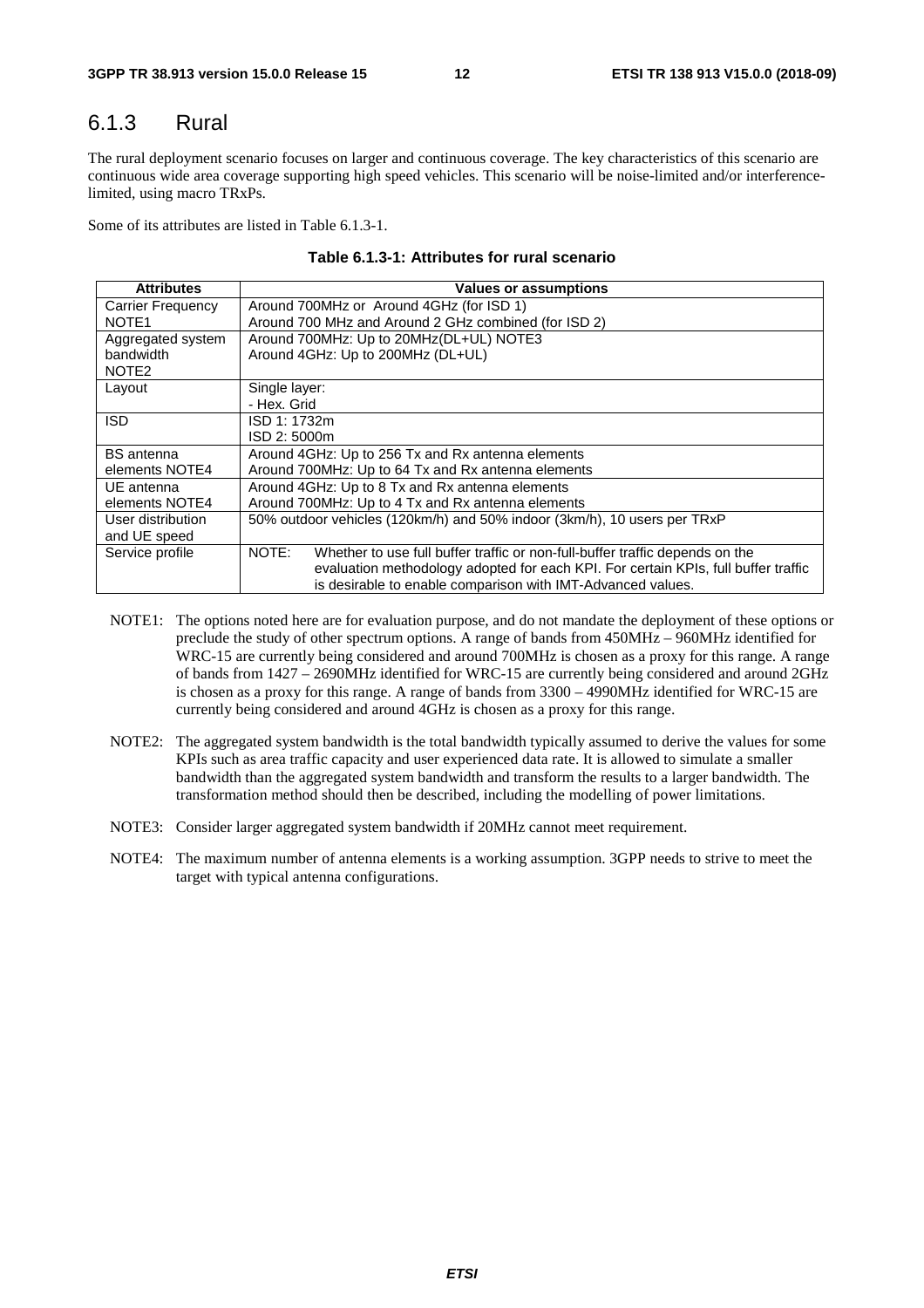### 6.1.3 Rural

The rural deployment scenario focuses on larger and continuous coverage. The key characteristics of this scenario are continuous wide area coverage supporting high speed vehicles. This scenario will be noise-limited and/or interferencelimited, using macro TRxPs.

Some of its attributes are listed in Table 6.1.3-1.

| <b>Attributes</b>        | <b>Values or assumptions</b>                                                          |
|--------------------------|---------------------------------------------------------------------------------------|
| <b>Carrier Frequency</b> | Around 700MHz or Around 4GHz (for ISD 1)                                              |
| NOTE <sub>1</sub>        | Around 700 MHz and Around 2 GHz combined (for ISD 2)                                  |
| Aggregated system        | Around 700MHz: Up to 20MHz(DL+UL) NOTE3                                               |
| <b>bandwidth</b>         | Around 4GHz: Up to 200MHz (DL+UL)                                                     |
| NOTE <sub>2</sub>        |                                                                                       |
| Layout                   | Single layer:                                                                         |
|                          | - Hex. Grid                                                                           |
| <b>ISD</b>               | ISD 1: 1732m                                                                          |
|                          | ISD 2:5000m                                                                           |
| <b>BS</b> antenna        | Around 4GHz: Up to 256 Tx and Rx antenna elements                                     |
| elements NOTE4           | Around 700MHz: Up to 64 Tx and Rx antenna elements                                    |
| UE antenna               | Around 4GHz: Up to 8 Tx and Rx antenna elements                                       |
| elements NOTE4           | Around 700MHz: Up to 4 Tx and Rx antenna elements                                     |
| User distribution        | 50% outdoor vehicles (120km/h) and 50% indoor (3km/h), 10 users per TRxP              |
| and UE speed             |                                                                                       |
| Service profile          | NOTE:<br>Whether to use full buffer traffic or non-full-buffer traffic depends on the |
|                          | evaluation methodology adopted for each KPI. For certain KPIs, full buffer traffic    |
|                          | is desirable to enable comparison with IMT-Advanced values.                           |

|  | Table 6.1.3-1: Attributes for rural scenario |
|--|----------------------------------------------|
|--|----------------------------------------------|

- NOTE1: The options noted here are for evaluation purpose, and do not mandate the deployment of these options or preclude the study of other spectrum options. A range of bands from 450MHz – 960MHz identified for WRC-15 are currently being considered and around 700MHz is chosen as a proxy for this range. A range of bands from 1427 – 2690MHz identified for WRC-15 are currently being considered and around 2GHz is chosen as a proxy for this range. A range of bands from 3300 – 4990MHz identified for WRC-15 are currently being considered and around 4GHz is chosen as a proxy for this range.
- NOTE2: The aggregated system bandwidth is the total bandwidth typically assumed to derive the values for some KPIs such as area traffic capacity and user experienced data rate. It is allowed to simulate a smaller bandwidth than the aggregated system bandwidth and transform the results to a larger bandwidth. The transformation method should then be described, including the modelling of power limitations.
- NOTE3: Consider larger aggregated system bandwidth if 20MHz cannot meet requirement.
- NOTE4: The maximum number of antenna elements is a working assumption. 3GPP needs to strive to meet the target with typical antenna configurations.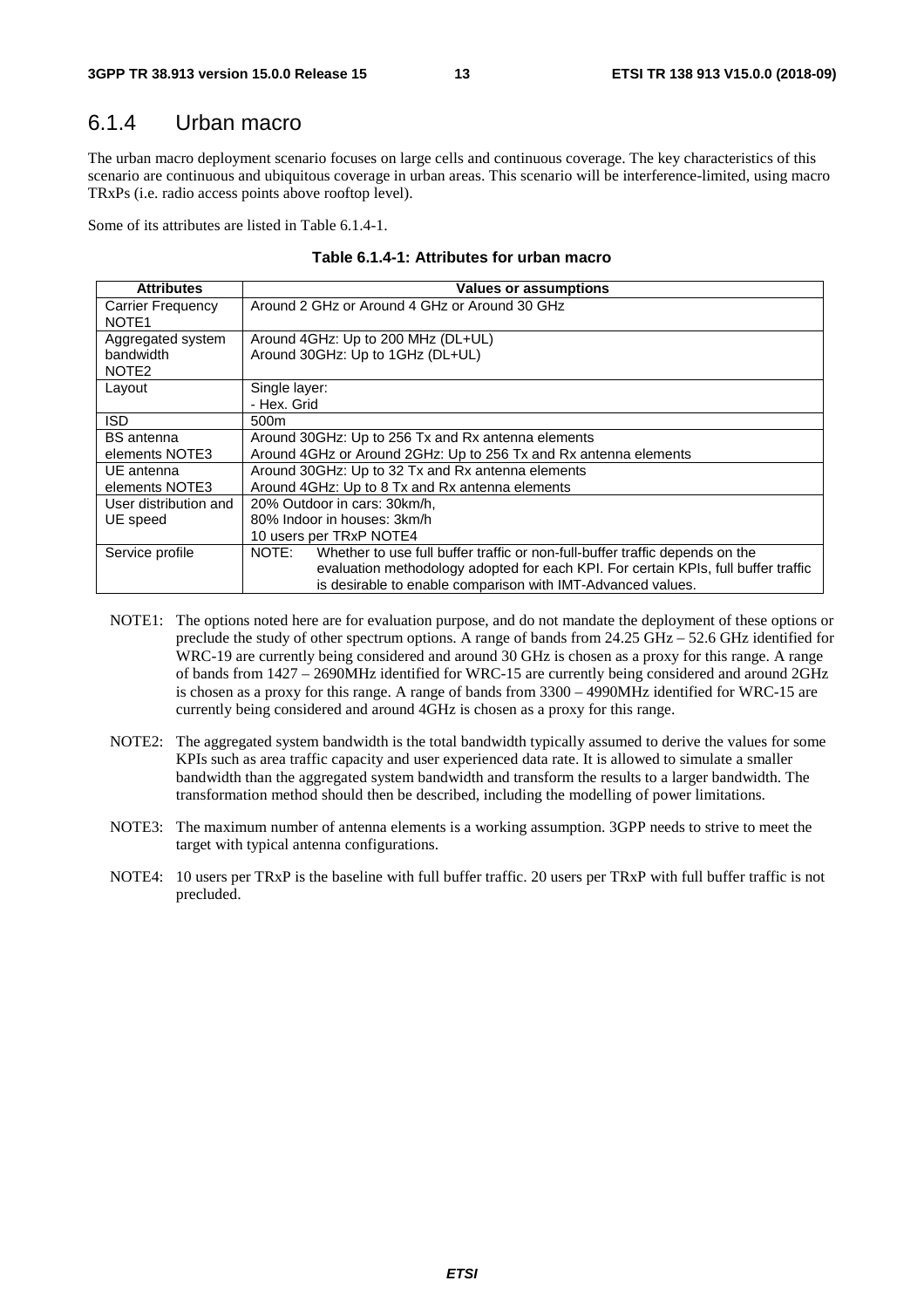### 6.1.4 Urban macro

The urban macro deployment scenario focuses on large cells and continuous coverage. The key characteristics of this scenario are continuous and ubiquitous coverage in urban areas. This scenario will be interference-limited, using macro TRxPs (i.e. radio access points above rooftop level).

Some of its attributes are listed in Table 6.1.4-1.

| <b>Attributes</b>                                   | <b>Values or assumptions</b>                                                                                                                                                                                                               |  |
|-----------------------------------------------------|--------------------------------------------------------------------------------------------------------------------------------------------------------------------------------------------------------------------------------------------|--|
| <b>Carrier Frequency</b><br>NOTE <sub>1</sub>       | Around 2 GHz or Around 4 GHz or Around 30 GHz                                                                                                                                                                                              |  |
| Aggregated system<br>bandwidth<br>NOTE <sub>2</sub> | Around 4GHz: Up to 200 MHz (DL+UL)<br>Around 30GHz: Up to 1GHz (DL+UL)                                                                                                                                                                     |  |
| Layout                                              | Single layer:<br>- Hex. Grid                                                                                                                                                                                                               |  |
| <b>ISD</b>                                          | 500 <sub>m</sub>                                                                                                                                                                                                                           |  |
| <b>BS</b> antenna                                   | Around 30GHz: Up to 256 Tx and Rx antenna elements                                                                                                                                                                                         |  |
| elements NOTE3                                      | Around 4GHz or Around 2GHz: Up to 256 Tx and Rx antenna elements                                                                                                                                                                           |  |
| UE antenna                                          | Around 30GHz: Up to 32 Tx and Rx antenna elements                                                                                                                                                                                          |  |
| elements NOTE3                                      | Around 4GHz: Up to 8 Tx and Rx antenna elements                                                                                                                                                                                            |  |
| User distribution and                               | 20% Outdoor in cars: 30km/h,                                                                                                                                                                                                               |  |
| UE speed                                            | 80% Indoor in houses: 3km/h                                                                                                                                                                                                                |  |
|                                                     | 10 users per TRxP NOTE4                                                                                                                                                                                                                    |  |
| Service profile                                     | NOTE:<br>Whether to use full buffer traffic or non-full-buffer traffic depends on the<br>evaluation methodology adopted for each KPI. For certain KPIs, full buffer traffic<br>is desirable to enable comparison with IMT-Advanced values. |  |

#### **Table 6.1.4-1: Attributes for urban macro**

- NOTE1: The options noted here are for evaluation purpose, and do not mandate the deployment of these options or preclude the study of other spectrum options. A range of bands from 24.25 GHz – 52.6 GHz identified for WRC-19 are currently being considered and around 30 GHz is chosen as a proxy for this range. A range of bands from 1427 – 2690MHz identified for WRC-15 are currently being considered and around 2GHz is chosen as a proxy for this range. A range of bands from 3300 – 4990MHz identified for WRC-15 are currently being considered and around 4GHz is chosen as a proxy for this range.
- NOTE2: The aggregated system bandwidth is the total bandwidth typically assumed to derive the values for some KPIs such as area traffic capacity and user experienced data rate. It is allowed to simulate a smaller bandwidth than the aggregated system bandwidth and transform the results to a larger bandwidth. The transformation method should then be described, including the modelling of power limitations.
- NOTE3: The maximum number of antenna elements is a working assumption. 3GPP needs to strive to meet the target with typical antenna configurations.
- NOTE4: 10 users per TRxP is the baseline with full buffer traffic. 20 users per TRxP with full buffer traffic is not precluded.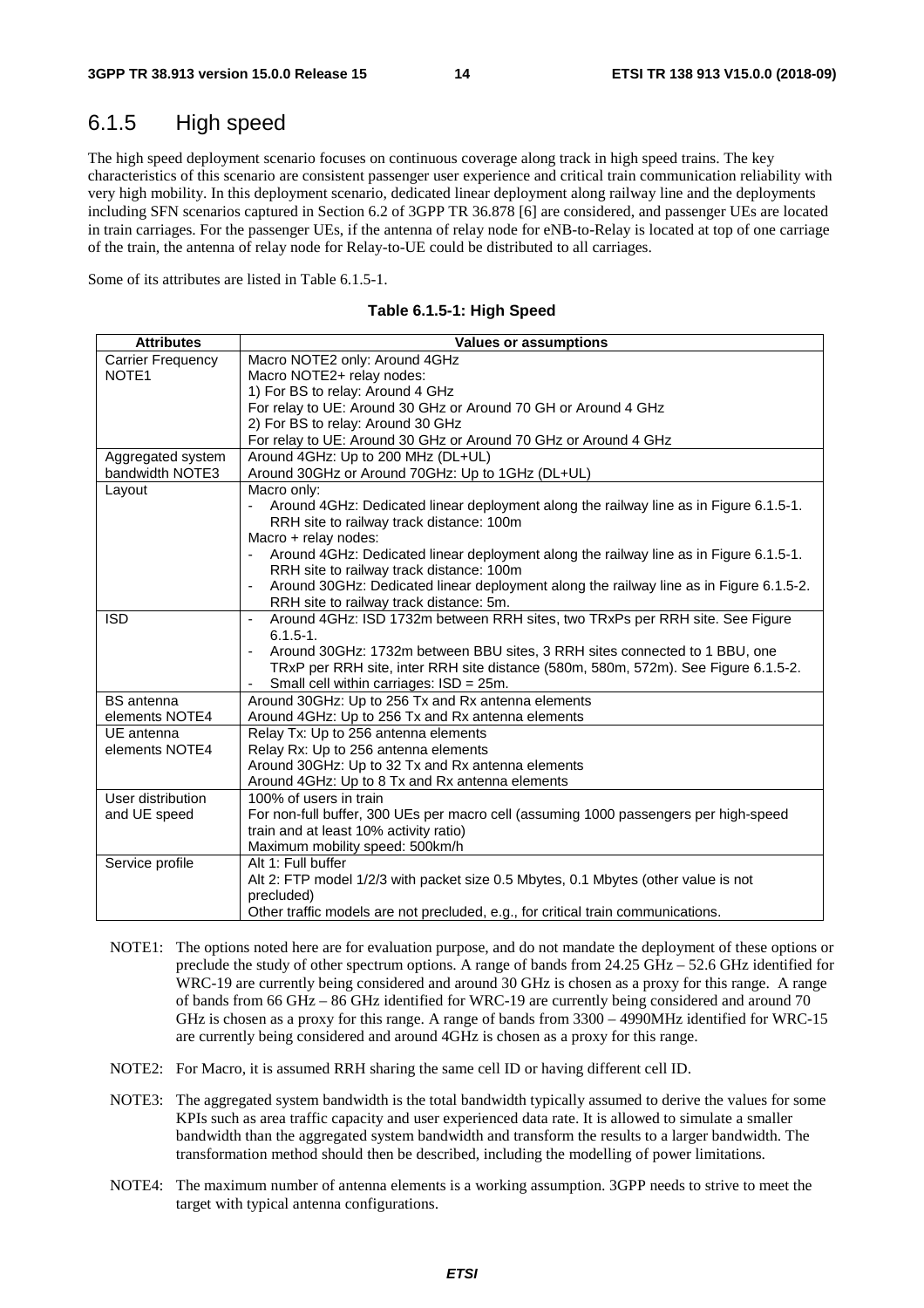### 6.1.5 High speed

The high speed deployment scenario focuses on continuous coverage along track in high speed trains. The key characteristics of this scenario are consistent passenger user experience and critical train communication reliability with very high mobility. In this deployment scenario, dedicated linear deployment along railway line and the deployments including SFN scenarios captured in Section 6.2 of 3GPP TR 36.878 [6] are considered, and passenger UEs are located in train carriages. For the passenger UEs, if the antenna of relay node for eNB-to-Relay is located at top of one carriage of the train, the antenna of relay node for Relay-to-UE could be distributed to all carriages.

Some of its attributes are listed in Table 6.1.5-1.

| <b>Attributes</b>        | <b>Values or assumptions</b>                                                                                      |
|--------------------------|-------------------------------------------------------------------------------------------------------------------|
| <b>Carrier Frequency</b> | Macro NOTE2 only: Around 4GHz                                                                                     |
| NOTE <sub>1</sub>        | Macro NOTE2+ relay nodes:                                                                                         |
|                          | 1) For BS to relay: Around 4 GHz                                                                                  |
|                          | For relay to UE: Around 30 GHz or Around 70 GH or Around 4 GHz                                                    |
|                          | 2) For BS to relay: Around 30 GHz                                                                                 |
|                          | For relay to UE: Around 30 GHz or Around 70 GHz or Around 4 GHz                                                   |
| Aggregated system        | Around 4GHz: Up to 200 MHz (DL+UL)                                                                                |
| bandwidth NOTE3          | Around 30GHz or Around 70GHz: Up to 1GHz (DL+UL)                                                                  |
| Layout                   | Macro only:                                                                                                       |
|                          | Around 4GHz: Dedicated linear deployment along the railway line as in Figure 6.1.5-1.<br>L,                       |
|                          | RRH site to railway track distance: 100m                                                                          |
|                          | Macro + relay nodes:                                                                                              |
|                          | Around 4GHz: Dedicated linear deployment along the railway line as in Figure 6.1.5-1.<br>$\overline{\phantom{a}}$ |
|                          | RRH site to railway track distance: 100m                                                                          |
|                          | Around 30GHz: Dedicated linear deployment along the railway line as in Figure 6.1.5-2.                            |
|                          | RRH site to railway track distance: 5m.                                                                           |
| <b>ISD</b>               | Around 4GHz: ISD 1732m between RRH sites, two TRxPs per RRH site. See Figure<br>$\blacksquare$                    |
|                          | $6.1.5 - 1.$                                                                                                      |
|                          | Around 30GHz: 1732m between BBU sites, 3 RRH sites connected to 1 BBU, one<br>$\blacksquare$                      |
|                          | TRxP per RRH site, inter RRH site distance (580m, 580m, 572m). See Figure 6.1.5-2.                                |
|                          | Small cell within carriages: ISD = 25m.                                                                           |
| <b>BS</b> antenna        | Around 30GHz: Up to 256 Tx and Rx antenna elements                                                                |
| elements NOTE4           | Around 4GHz: Up to 256 Tx and Rx antenna elements                                                                 |
| UE antenna               | Relay Tx: Up to 256 antenna elements                                                                              |
| elements NOTE4           | Relay Rx: Up to 256 antenna elements                                                                              |
|                          | Around 30GHz: Up to 32 Tx and Rx antenna elements                                                                 |
|                          | Around 4GHz: Up to 8 Tx and Rx antenna elements                                                                   |
| User distribution        | 100% of users in train                                                                                            |
| and UE speed             | For non-full buffer, 300 UEs per macro cell (assuming 1000 passengers per high-speed                              |
|                          | train and at least 10% activity ratio)                                                                            |
|                          | Maximum mobility speed: 500km/h                                                                                   |
| Service profile          | Alt 1: Full buffer                                                                                                |
|                          | Alt 2: FTP model 1/2/3 with packet size 0.5 Mbytes, 0.1 Mbytes (other value is not                                |
|                          | precluded)                                                                                                        |
|                          | Other traffic models are not precluded, e.g., for critical train communications.                                  |

**Table 6.1.5-1: High Speed** 

- NOTE1: The options noted here are for evaluation purpose, and do not mandate the deployment of these options or preclude the study of other spectrum options. A range of bands from 24.25 GHz – 52.6 GHz identified for WRC-19 are currently being considered and around 30 GHz is chosen as a proxy for this range. A range of bands from 66 GHz – 86 GHz identified for WRC-19 are currently being considered and around 70 GHz is chosen as a proxy for this range. A range of bands from  $3300 - 4990$ MHz identified for WRC-15 are currently being considered and around 4GHz is chosen as a proxy for this range.
- NOTE2: For Macro, it is assumed RRH sharing the same cell ID or having different cell ID.
- NOTE3: The aggregated system bandwidth is the total bandwidth typically assumed to derive the values for some KPIs such as area traffic capacity and user experienced data rate. It is allowed to simulate a smaller bandwidth than the aggregated system bandwidth and transform the results to a larger bandwidth. The transformation method should then be described, including the modelling of power limitations.
- NOTE4: The maximum number of antenna elements is a working assumption. 3GPP needs to strive to meet the target with typical antenna configurations.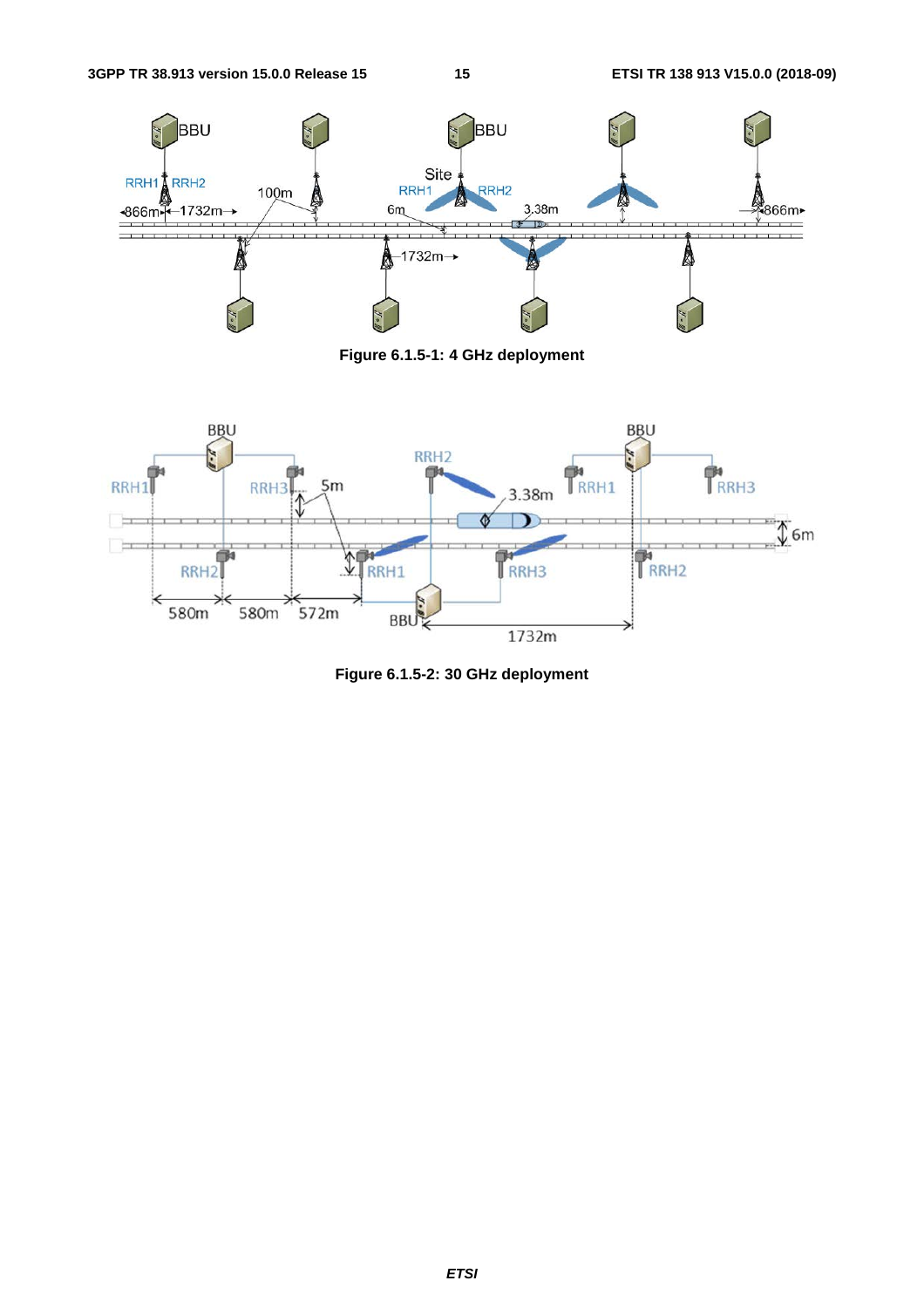

**Figure 6.1.5-1: 4 GHz deployment** 



**Figure 6.1.5-2: 30 GHz deployment**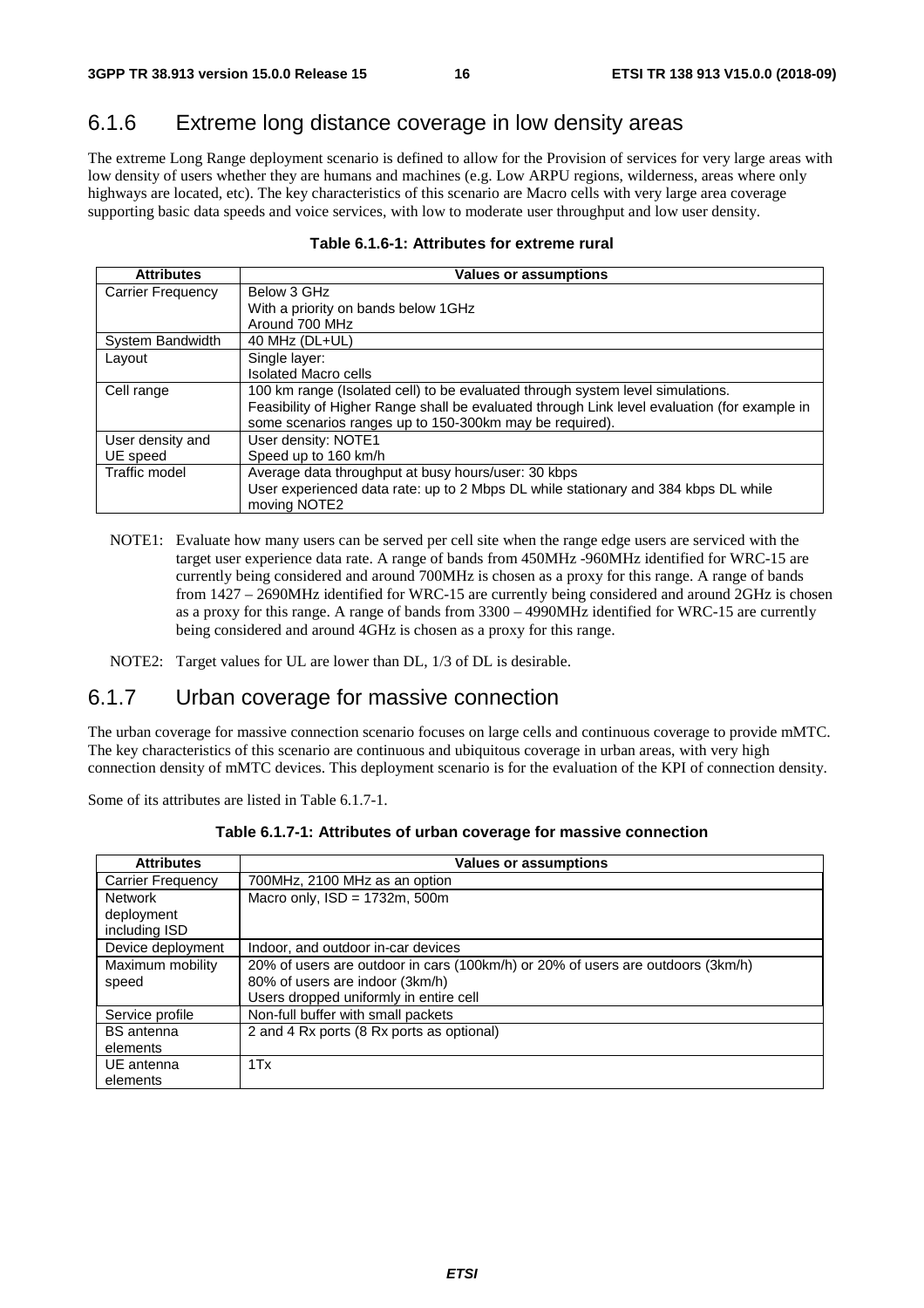# 6.1.6 Extreme long distance coverage in low density areas

The extreme Long Range deployment scenario is defined to allow for the Provision of services for very large areas with low density of users whether they are humans and machines (e.g. Low ARPU regions, wilderness, areas where only highways are located, etc). The key characteristics of this scenario are Macro cells with very large area coverage supporting basic data speeds and voice services, with low to moderate user throughput and low user density.

| <b>Attributes</b>        | <b>Values or assumptions</b>                                                                 |
|--------------------------|----------------------------------------------------------------------------------------------|
| <b>Carrier Frequency</b> | Below 3 GHz                                                                                  |
|                          | With a priority on bands below 1GHz                                                          |
|                          | Around 700 MHz                                                                               |
| System Bandwidth         | 40 MHz (DL+UL)                                                                               |
| Layout                   | Single layer:                                                                                |
|                          | <b>Isolated Macro cells</b>                                                                  |
| Cell range               | 100 km range (Isolated cell) to be evaluated through system level simulations.               |
|                          | Feasibility of Higher Range shall be evaluated through Link level evaluation (for example in |
|                          | some scenarios ranges up to 150-300km may be required).                                      |
| User density and         | User density: NOTE1                                                                          |
| UE speed                 | Speed up to 160 km/h                                                                         |
| Traffic model            | Average data throughput at busy hours/user: 30 kbps                                          |
|                          | User experienced data rate: up to 2 Mbps DL while stationary and 384 kbps DL while           |
|                          | moving NOTE2                                                                                 |

#### **Table 6.1.6-1: Attributes for extreme rural**

NOTE1: Evaluate how many users can be served per cell site when the range edge users are serviced with the target user experience data rate. A range of bands from 450MHz -960MHz identified for WRC-15 are currently being considered and around 700MHz is chosen as a proxy for this range. A range of bands from 1427 – 2690MHz identified for WRC-15 are currently being considered and around 2GHz is chosen as a proxy for this range. A range of bands from 3300 – 4990MHz identified for WRC-15 are currently being considered and around 4GHz is chosen as a proxy for this range.

NOTE2: Target values for UL are lower than DL, 1/3 of DL is desirable.

### 6.1.7 Urban coverage for massive connection

The urban coverage for massive connection scenario focuses on large cells and continuous coverage to provide mMTC. The key characteristics of this scenario are continuous and ubiquitous coverage in urban areas, with very high connection density of mMTC devices. This deployment scenario is for the evaluation of the KPI of connection density.

Some of its attributes are listed in Table 6.1.7-1.

| <b>Attributes</b> | <b>Values or assumptions</b>                                                    |
|-------------------|---------------------------------------------------------------------------------|
| Carrier Frequency | 700MHz, 2100 MHz as an option                                                   |
| <b>Network</b>    | Macro only, $ISD = 1732m$ , 500m                                                |
| deployment        |                                                                                 |
| including ISD     |                                                                                 |
| Device deployment | Indoor, and outdoor in-car devices                                              |
| Maximum mobility  | 20% of users are outdoor in cars (100km/h) or 20% of users are outdoors (3km/h) |
| speed             | 80% of users are indoor (3km/h)                                                 |
|                   | Users dropped uniformly in entire cell                                          |
| Service profile   | Non-full buffer with small packets                                              |
| <b>BS</b> antenna | 2 and 4 Rx ports (8 Rx ports as optional)                                       |
| elements          |                                                                                 |
| UE antenna        | 1Tx                                                                             |
| elements          |                                                                                 |

|  |  | Table 6.1.7-1: Attributes of urban coverage for massive connection |  |  |
|--|--|--------------------------------------------------------------------|--|--|
|--|--|--------------------------------------------------------------------|--|--|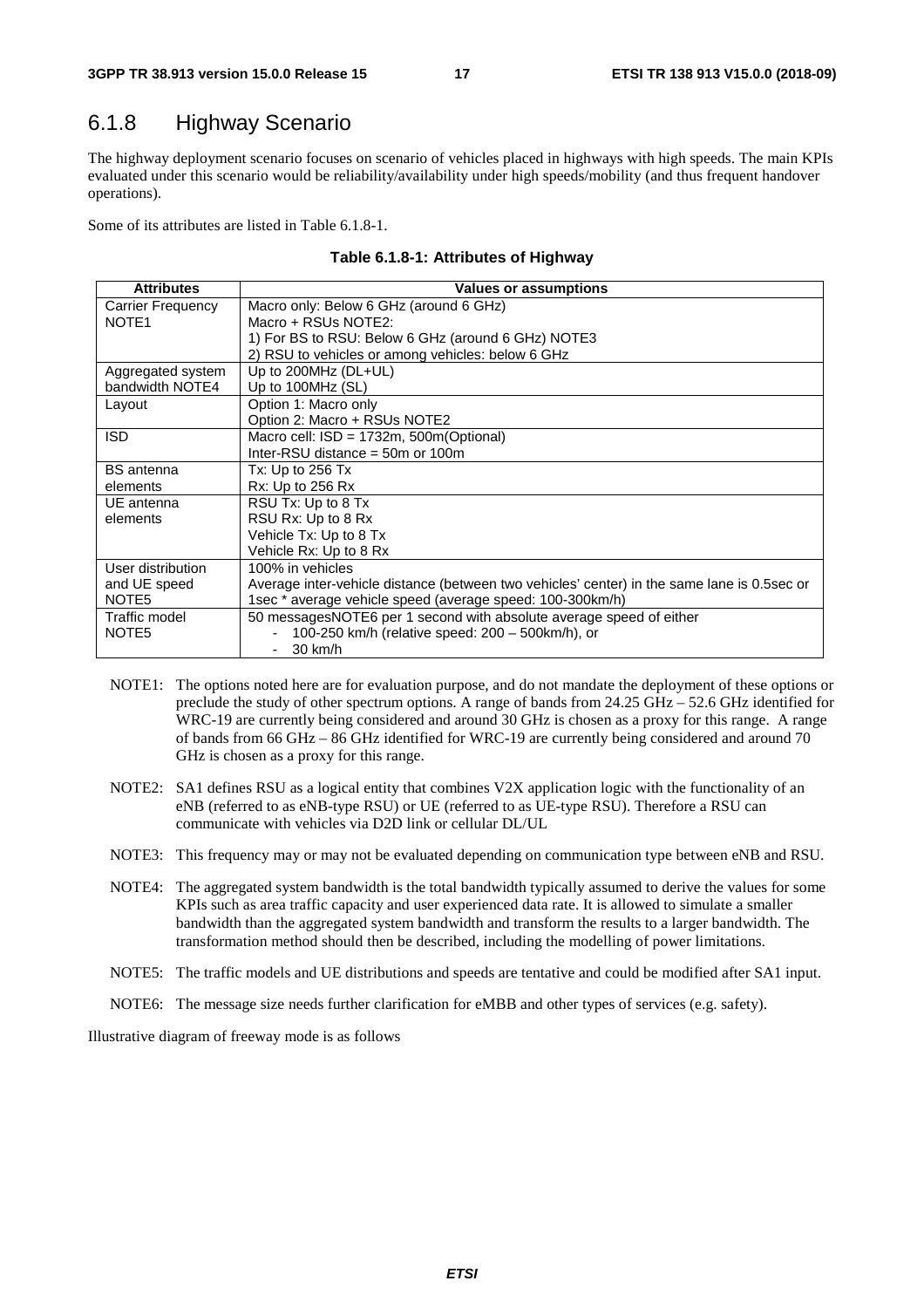### 6.1.8 Highway Scenario

The highway deployment scenario focuses on scenario of vehicles placed in highways with high speeds. The main KPIs evaluated under this scenario would be reliability/availability under high speeds/mobility (and thus frequent handover operations).

Some of its attributes are listed in Table 6.1.8-1.

| <b>Attributes</b>        | <b>Values or assumptions</b>                                                                |
|--------------------------|---------------------------------------------------------------------------------------------|
| <b>Carrier Frequency</b> | Macro only: Below 6 GHz (around 6 GHz)                                                      |
| NOTE <sub>1</sub>        | Macro + RSUs NOTE2:                                                                         |
|                          | 1) For BS to RSU: Below 6 GHz (around 6 GHz) NOTE3                                          |
|                          | 2) RSU to vehicles or among vehicles: below 6 GHz                                           |
| Aggregated system        | Up to $200MHz$ ( $DL+UL$ )                                                                  |
| bandwidth NOTE4          | Up to 100MHz (SL)                                                                           |
| Layout                   | Option 1: Macro only                                                                        |
|                          | Option 2: Macro + RSUs NOTE2                                                                |
| <b>ISD</b>               | Macro cell: $ISD = 1732m$ , 500m(Optional)                                                  |
|                          | Inter-RSU distance = $50m$ or $100m$                                                        |
| <b>BS</b> antenna        | Tx: Up to $256$ Tx                                                                          |
| elements                 | Rx: Up to 256 Rx                                                                            |
| UE antenna               | RSU Tx: Up to 8 Tx                                                                          |
| elements                 | RSU Rx: Up to 8 Rx                                                                          |
|                          | Vehicle Tx: Up to 8 Tx                                                                      |
|                          | Vehicle Rx: Up to 8 Rx                                                                      |
| User distribution        | 100% in vehicles                                                                            |
| and UE speed             | Average inter-vehicle distance (between two vehicles' center) in the same lane is 0.5sec or |
| NOTE <sub>5</sub>        | 1sec * average vehicle speed (average speed: 100-300km/h)                                   |
| Traffic model            | 50 messagesNOTE6 per 1 second with absolute average speed of either                         |
| NOTE <sub>5</sub>        | 100-250 km/h (relative speed: 200 – 500km/h), or                                            |
|                          | 30 km/h                                                                                     |

#### **Table 6.1.8-1: Attributes of Highway**

- NOTE1: The options noted here are for evaluation purpose, and do not mandate the deployment of these options or preclude the study of other spectrum options. A range of bands from 24.25 GHz – 52.6 GHz identified for WRC-19 are currently being considered and around 30 GHz is chosen as a proxy for this range. A range of bands from 66 GHz – 86 GHz identified for WRC-19 are currently being considered and around 70 GHz is chosen as a proxy for this range.
- NOTE2: SA1 defines RSU as a logical entity that combines V2X application logic with the functionality of an eNB (referred to as eNB-type RSU) or UE (referred to as UE-type RSU). Therefore a RSU can communicate with vehicles via D2D link or cellular DL/UL
- NOTE3: This frequency may or may not be evaluated depending on communication type between eNB and RSU.
- NOTE4: The aggregated system bandwidth is the total bandwidth typically assumed to derive the values for some KPIs such as area traffic capacity and user experienced data rate. It is allowed to simulate a smaller bandwidth than the aggregated system bandwidth and transform the results to a larger bandwidth. The transformation method should then be described, including the modelling of power limitations.
- NOTE5: The traffic models and UE distributions and speeds are tentative and could be modified after SA1 input.

NOTE6: The message size needs further clarification for eMBB and other types of services (e.g. safety).

Illustrative diagram of freeway mode is as follows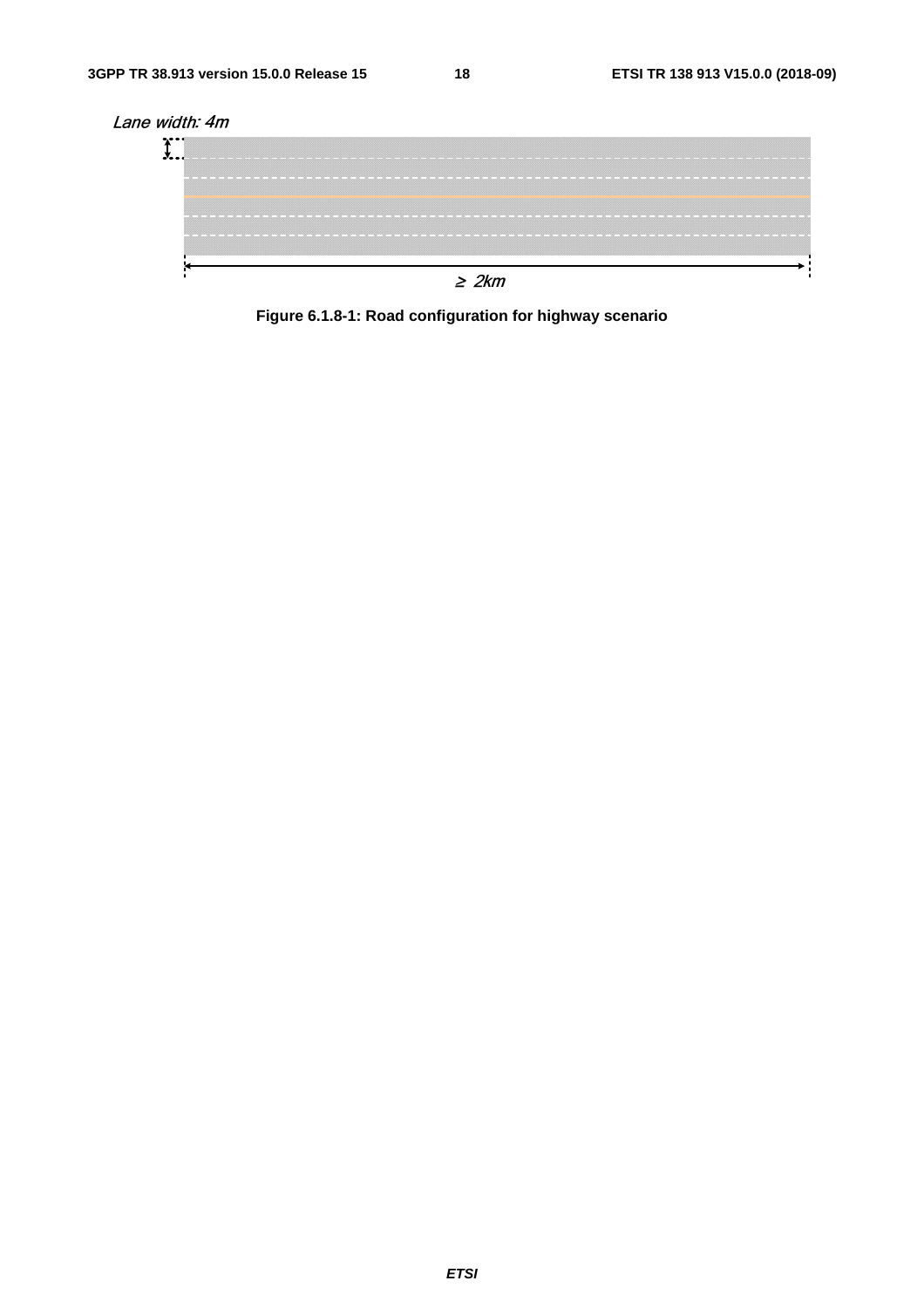

**Figure 6.1.8-1: Road configuration for highway scenario**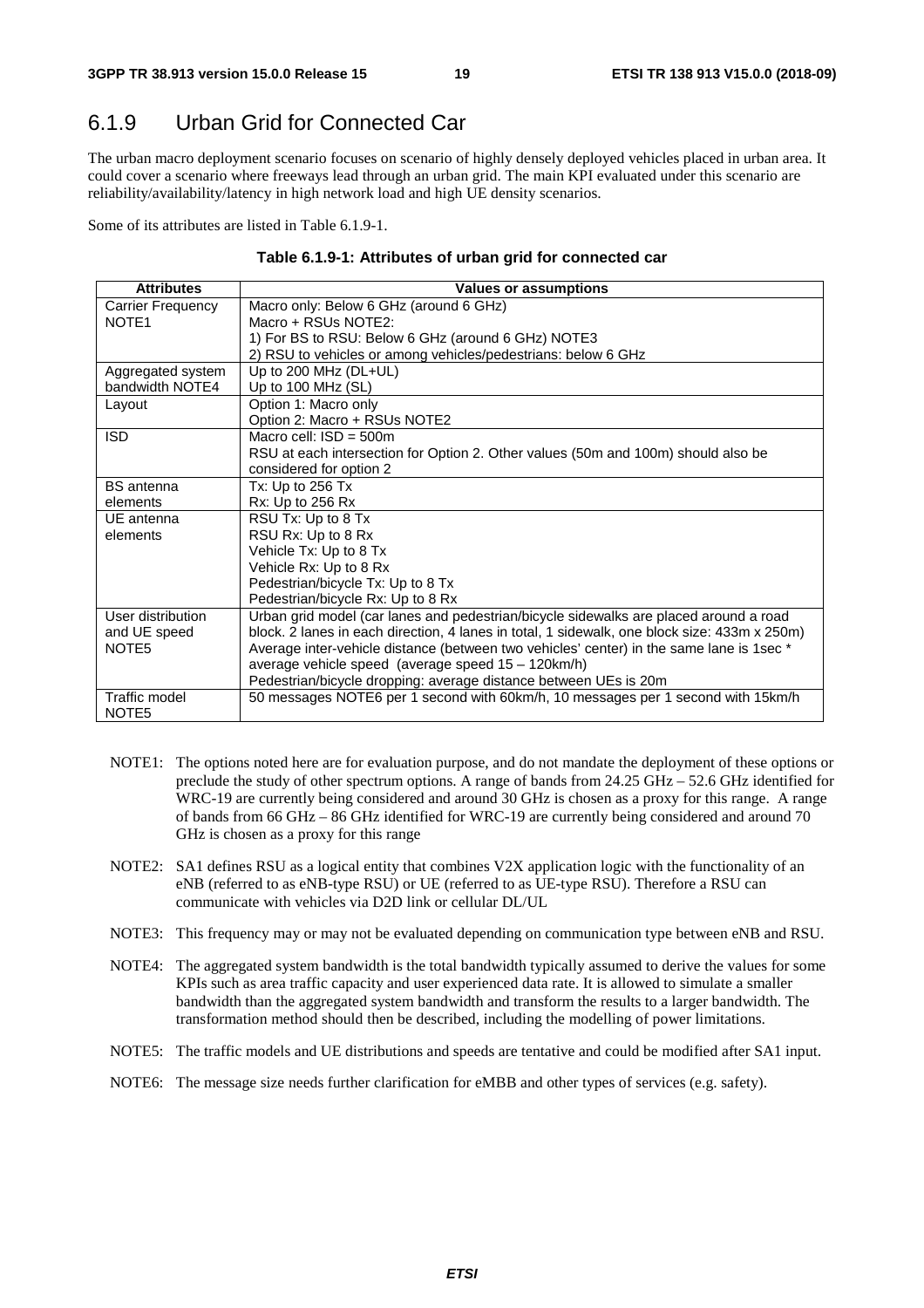# 6.1.9 Urban Grid for Connected Car

The urban macro deployment scenario focuses on scenario of highly densely deployed vehicles placed in urban area. It could cover a scenario where freeways lead through an urban grid. The main KPI evaluated under this scenario are reliability/availability/latency in high network load and high UE density scenarios.

Some of its attributes are listed in Table 6.1.9-1.

|  | Table 6.1.9-1: Attributes of urban grid for connected car |  |
|--|-----------------------------------------------------------|--|
|--|-----------------------------------------------------------|--|

| <b>Attributes</b>        | <b>Values or assumptions</b>                                                                 |
|--------------------------|----------------------------------------------------------------------------------------------|
| <b>Carrier Frequency</b> | Macro only: Below 6 GHz (around 6 GHz)                                                       |
| NOTE <sub>1</sub>        | Macro + RSUs NOTE2:                                                                          |
|                          | 1) For BS to RSU: Below 6 GHz (around 6 GHz) NOTE3                                           |
|                          | 2) RSU to vehicles or among vehicles/pedestrians: below 6 GHz                                |
| Aggregated system        | Up to 200 MHz (DL+UL)                                                                        |
| bandwidth NOTE4          | Up to 100 MHz (SL)                                                                           |
| Layout                   | Option 1: Macro only                                                                         |
|                          | Option 2: Macro + RSUs NOTE2                                                                 |
| <b>ISD</b>               | Macro cell: $ISD = 500m$                                                                     |
|                          | RSU at each intersection for Option 2. Other values (50m and 100m) should also be            |
|                          | considered for option 2                                                                      |
| <b>BS</b> antenna        | Tx: Up to 256 Tx                                                                             |
| elements                 | Rx: Up to 256 Rx                                                                             |
| UE antenna               | RSU Tx: Up to 8 Tx                                                                           |
| elements                 | RSU Rx: Up to 8 Rx                                                                           |
|                          | Vehicle Tx: Up to 8 Tx                                                                       |
|                          | Vehicle Rx: Up to 8 Rx                                                                       |
|                          | Pedestrian/bicycle Tx: Up to 8 Tx                                                            |
|                          | Pedestrian/bicycle Rx: Up to 8 Rx                                                            |
| User distribution        | Urban grid model (car lanes and pedestrian/bicycle sidewalks are placed around a road        |
| and UE speed             | block. 2 lanes in each direction, 4 lanes in total, 1 sidewalk, one block size: 433m x 250m) |
| NOTE <sub>5</sub>        | Average inter-vehicle distance (between two vehicles' center) in the same lane is 1sec *     |
|                          | average vehicle speed (average speed 15 - 120km/h)                                           |
|                          | Pedestrian/bicycle dropping: average distance between UEs is 20m                             |
| Traffic model            | 50 messages NOTE6 per 1 second with 60km/h, 10 messages per 1 second with 15km/h             |
| NOTE <sub>5</sub>        |                                                                                              |

- NOTE1: The options noted here are for evaluation purpose, and do not mandate the deployment of these options or preclude the study of other spectrum options. A range of bands from 24.25 GHz – 52.6 GHz identified for WRC-19 are currently being considered and around 30 GHz is chosen as a proxy for this range. A range of bands from 66 GHz – 86 GHz identified for WRC-19 are currently being considered and around 70 GHz is chosen as a proxy for this range
- NOTE2: SA1 defines RSU as a logical entity that combines V2X application logic with the functionality of an eNB (referred to as eNB-type RSU) or UE (referred to as UE-type RSU). Therefore a RSU can communicate with vehicles via D2D link or cellular DL/UL
- NOTE3: This frequency may or may not be evaluated depending on communication type between eNB and RSU.
- NOTE4: The aggregated system bandwidth is the total bandwidth typically assumed to derive the values for some KPIs such as area traffic capacity and user experienced data rate. It is allowed to simulate a smaller bandwidth than the aggregated system bandwidth and transform the results to a larger bandwidth. The transformation method should then be described, including the modelling of power limitations.
- NOTE5: The traffic models and UE distributions and speeds are tentative and could be modified after SA1 input.
- NOTE6: The message size needs further clarification for eMBB and other types of services (e.g. safety).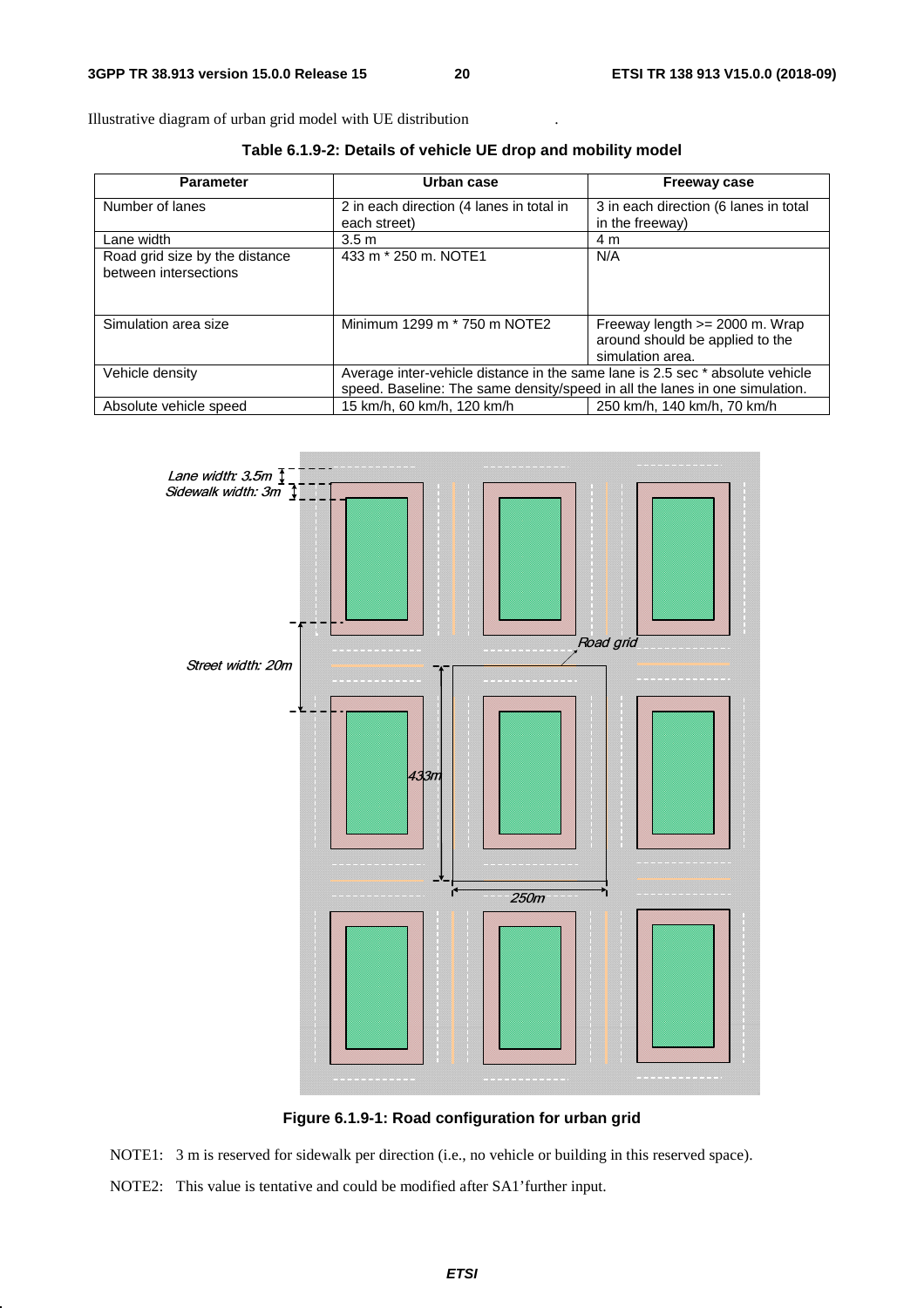Illustrative diagram of urban grid model with UE distribution

**Table 6.1.9-2: Details of vehicle UE drop and mobility model** 

| <b>Parameter</b>                                        | Urban case                                                                                                                                                   | <b>Freeway case</b>                                                                     |
|---------------------------------------------------------|--------------------------------------------------------------------------------------------------------------------------------------------------------------|-----------------------------------------------------------------------------------------|
| Number of lanes                                         | 2 in each direction (4 lanes in total in<br>each street)                                                                                                     | 3 in each direction (6 lanes in total<br>in the freeway)                                |
| Lane width                                              | 3.5 <sub>m</sub>                                                                                                                                             | 4 m                                                                                     |
| Road grid size by the distance<br>between intersections | 433 m * 250 m. NOTE1                                                                                                                                         | N/A                                                                                     |
| Simulation area size                                    | Minimum 1299 m * 750 m NOTE2                                                                                                                                 | Freeway length $>= 2000$ m. Wrap<br>around should be applied to the<br>simulation area. |
| Vehicle density                                         | Average inter-vehicle distance in the same lane is 2.5 sec * absolute vehicle<br>speed. Baseline: The same density/speed in all the lanes in one simulation. |                                                                                         |
| Absolute vehicle speed                                  | 15 km/h, 60 km/h, 120 km/h                                                                                                                                   | 250 km/h, 140 km/h, 70 km/h                                                             |



**Figure 6.1.9-1: Road configuration for urban grid** 

NOTE1: 3 m is reserved for sidewalk per direction (i.e., no vehicle or building in this reserved space).

NOTE2: This value is tentative and could be modified after SA1'further input.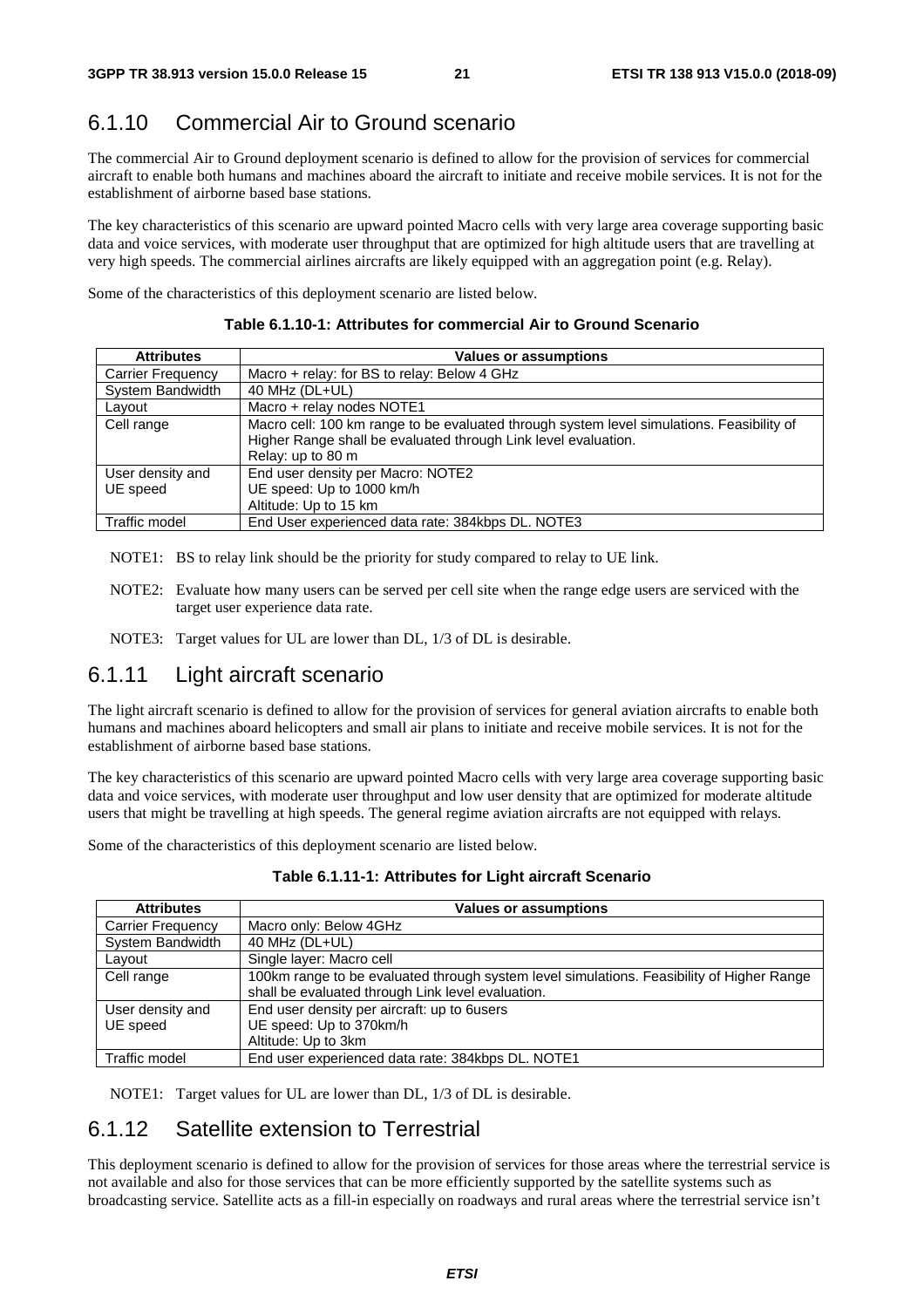# 6.1.10 Commercial Air to Ground scenario

The commercial Air to Ground deployment scenario is defined to allow for the provision of services for commercial aircraft to enable both humans and machines aboard the aircraft to initiate and receive mobile services. It is not for the establishment of airborne based base stations.

The key characteristics of this scenario are upward pointed Macro cells with very large area coverage supporting basic data and voice services, with moderate user throughput that are optimized for high altitude users that are travelling at very high speeds. The commercial airlines aircrafts are likely equipped with an aggregation point (e.g. Relay).

Some of the characteristics of this deployment scenario are listed below.

| <b>Attributes</b>        | <b>Values or assumptions</b>                                                                                                                                                     |
|--------------------------|----------------------------------------------------------------------------------------------------------------------------------------------------------------------------------|
| <b>Carrier Frequency</b> | Macro + relay: for BS to relay: Below 4 GHz                                                                                                                                      |
| System Bandwidth         | 40 MHz (DL+UL)                                                                                                                                                                   |
| Layout                   | Macro + relay nodes NOTE1                                                                                                                                                        |
| Cell range               | Macro cell: 100 km range to be evaluated through system level simulations. Feasibility of<br>Higher Range shall be evaluated through Link level evaluation.<br>Relay: up to 80 m |
| User density and         | End user density per Macro: NOTE2                                                                                                                                                |
| UE speed                 | UE speed: Up to 1000 km/h                                                                                                                                                        |
|                          | Altitude: Up to 15 km                                                                                                                                                            |
| Traffic model            | End User experienced data rate: 384kbps DL. NOTE3                                                                                                                                |

| Table 6.1.10-1: Attributes for commercial Air to Ground Scenario |  |  |
|------------------------------------------------------------------|--|--|
|------------------------------------------------------------------|--|--|

- NOTE1: BS to relay link should be the priority for study compared to relay to UE link.
- NOTE2: Evaluate how many users can be served per cell site when the range edge users are serviced with the target user experience data rate.
- NOTE3: Target values for UL are lower than DL, 1/3 of DL is desirable.

### 6.1.11 Light aircraft scenario

The light aircraft scenario is defined to allow for the provision of services for general aviation aircrafts to enable both humans and machines aboard helicopters and small air plans to initiate and receive mobile services. It is not for the establishment of airborne based base stations.

The key characteristics of this scenario are upward pointed Macro cells with very large area coverage supporting basic data and voice services, with moderate user throughput and low user density that are optimized for moderate altitude users that might be travelling at high speeds. The general regime aviation aircrafts are not equipped with relays.

Some of the characteristics of this deployment scenario are listed below.

| <b>Attributes</b>        | <b>Values or assumptions</b>                                                              |
|--------------------------|-------------------------------------------------------------------------------------------|
| <b>Carrier Frequency</b> | Macro only: Below 4GHz                                                                    |
| System Bandwidth         | 40 MHz (DL+UL)                                                                            |
| Layout                   | Single layer: Macro cell                                                                  |
| Cell range               | 100km range to be evaluated through system level simulations. Feasibility of Higher Range |
|                          | shall be evaluated through Link level evaluation.                                         |
| User density and         | End user density per aircraft: up to 6users                                               |
| UE speed                 | UE speed: Up to 370km/h                                                                   |
|                          | Altitude: Up to 3km                                                                       |
| Traffic model            | End user experienced data rate: 384kbps DL. NOTE1                                         |

**Table 6.1.11-1: Attributes for Light aircraft Scenario** 

NOTE1: Target values for UL are lower than DL, 1/3 of DL is desirable.

### 6.1.12 Satellite extension to Terrestrial

This deployment scenario is defined to allow for the provision of services for those areas where the terrestrial service is not available and also for those services that can be more efficiently supported by the satellite systems such as broadcasting service. Satellite acts as a fill-in especially on roadways and rural areas where the terrestrial service isn't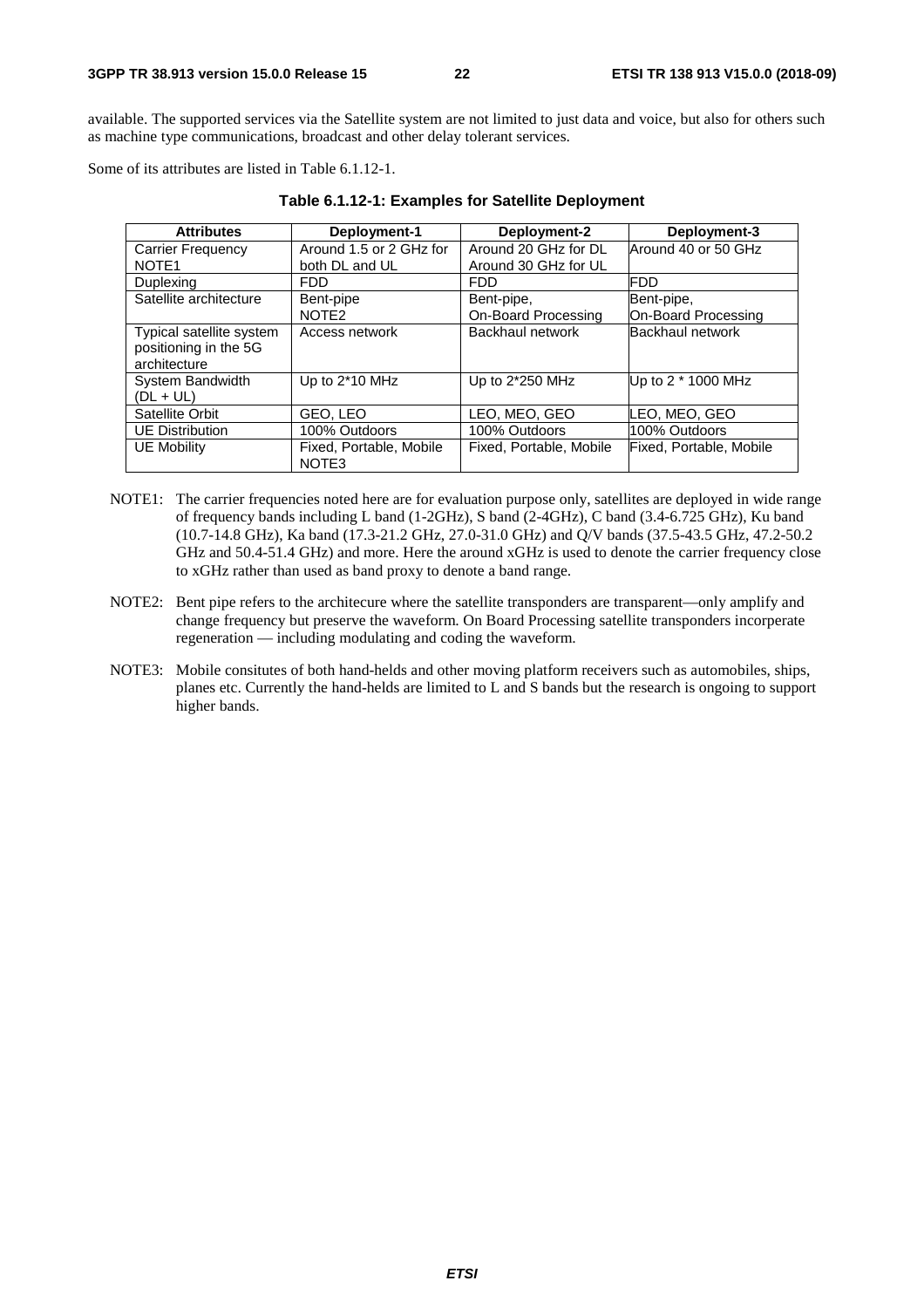available. The supported services via the Satellite system are not limited to just data and voice, but also for others such as machine type communications, broadcast and other delay tolerant services.

Some of its attributes are listed in Table 6.1.12-1.

| <b>Attributes</b>                                                 | Deployment-1                     | Deployment-2            | Deployment-3            |
|-------------------------------------------------------------------|----------------------------------|-------------------------|-------------------------|
| <b>Carrier Frequency</b>                                          | Around 1.5 or 2 GHz for          | Around 20 GHz for DL    | Around 40 or 50 GHz     |
| NOTE <sub>1</sub>                                                 | both DL and UL                   | Around 30 GHz for UL    |                         |
| Duplexing                                                         | <b>FDD</b>                       | <b>FDD</b>              | <b>FDD</b>              |
| Satellite architecture                                            | Bent-pipe                        | Bent-pipe,              | Bent-pipe,              |
|                                                                   | NOTE <sub>2</sub>                | On-Board Processing     | On-Board Processing     |
| Typical satellite system<br>positioning in the 5G<br>architecture | Access network                   | Backhaul network        | <b>Backhaul network</b> |
| System Bandwidth<br>$(DL + UL)$                                   | Up to 2*10 MHz                   | Up to 2*250 MHz         | Up to $2 * 1000$ MHz    |
| Satellite Orbit                                                   | GEO, LEO                         | LEO, MEO, GEO           | LEO, MEO, GEO           |
| <b>UE</b> Distribution                                            | 100% Outdoors                    | 100% Outdoors           | 100% Outdoors           |
| <b>UE Mobility</b>                                                | Fixed, Portable, Mobile<br>NOTE3 | Fixed, Portable, Mobile | Fixed, Portable, Mobile |

**Table 6.1.12-1: Examples for Satellite Deployment** 

- NOTE1: The carrier frequencies noted here are for evaluation purpose only, satellites are deployed in wide range of frequency bands including L band (1-2GHz), S band (2-4GHz), C band (3.4-6.725 GHz), Ku band (10.7-14.8 GHz), Ka band (17.3-21.2 GHz, 27.0-31.0 GHz) and Q/V bands (37.5-43.5 GHz, 47.2-50.2 GHz and 50.4-51.4 GHz) and more. Here the around xGHz is used to denote the carrier frequency close to xGHz rather than used as band proxy to denote a band range.
- NOTE2: Bent pipe refers to the architecure where the satellite transponders are transparent—only amplify and change frequency but preserve the waveform. On Board Processing satellite transponders incorperate regeneration — including modulating and coding the waveform.
- NOTE3: Mobile consitutes of both hand-helds and other moving platform receivers such as automobiles, ships, planes etc. Currently the hand-helds are limited to L and S bands but the research is ongoing to support higher bands.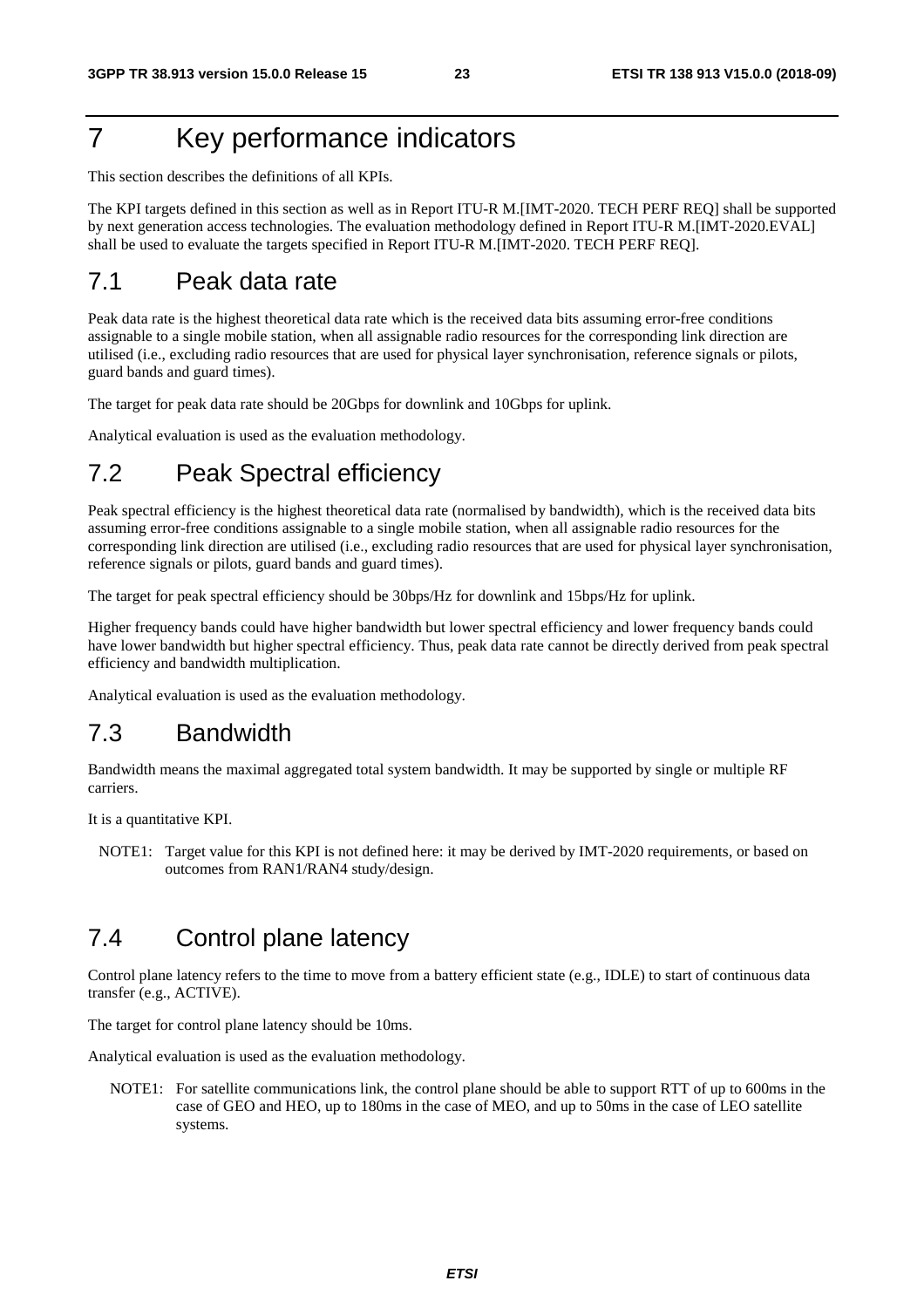# 7 Key performance indicators

This section describes the definitions of all KPIs.

The KPI targets defined in this section as well as in Report ITU-R M.[IMT-2020. TECH PERF REQ] shall be supported by next generation access technologies. The evaluation methodology defined in Report ITU-R M.[IMT-2020.EVAL] shall be used to evaluate the targets specified in Report ITU-R M.[IMT-2020. TECH PERF REQ].

# 7.1 Peak data rate

Peak data rate is the highest theoretical data rate which is the received data bits assuming error-free conditions assignable to a single mobile station, when all assignable radio resources for the corresponding link direction are utilised (i.e., excluding radio resources that are used for physical layer synchronisation, reference signals or pilots, guard bands and guard times).

The target for peak data rate should be 20Gbps for downlink and 10Gbps for uplink.

Analytical evaluation is used as the evaluation methodology.

# 7.2 Peak Spectral efficiency

Peak spectral efficiency is the highest theoretical data rate (normalised by bandwidth), which is the received data bits assuming error-free conditions assignable to a single mobile station, when all assignable radio resources for the corresponding link direction are utilised (i.e., excluding radio resources that are used for physical layer synchronisation, reference signals or pilots, guard bands and guard times).

The target for peak spectral efficiency should be 30bps/Hz for downlink and 15bps/Hz for uplink.

Higher frequency bands could have higher bandwidth but lower spectral efficiency and lower frequency bands could have lower bandwidth but higher spectral efficiency. Thus, peak data rate cannot be directly derived from peak spectral efficiency and bandwidth multiplication.

Analytical evaluation is used as the evaluation methodology.

### 7.3 Bandwidth

Bandwidth means the maximal aggregated total system bandwidth. It may be supported by single or multiple RF carriers.

It is a quantitative KPI.

NOTE1: Target value for this KPI is not defined here: it may be derived by IMT-2020 requirements, or based on outcomes from RAN1/RAN4 study/design.

# 7.4 Control plane latency

Control plane latency refers to the time to move from a battery efficient state (e.g., IDLE) to start of continuous data transfer (e.g., ACTIVE).

The target for control plane latency should be 10ms.

Analytical evaluation is used as the evaluation methodology.

NOTE1: For satellite communications link, the control plane should be able to support RTT of up to 600ms in the case of GEO and HEO, up to 180ms in the case of MEO, and up to 50ms in the case of LEO satellite systems.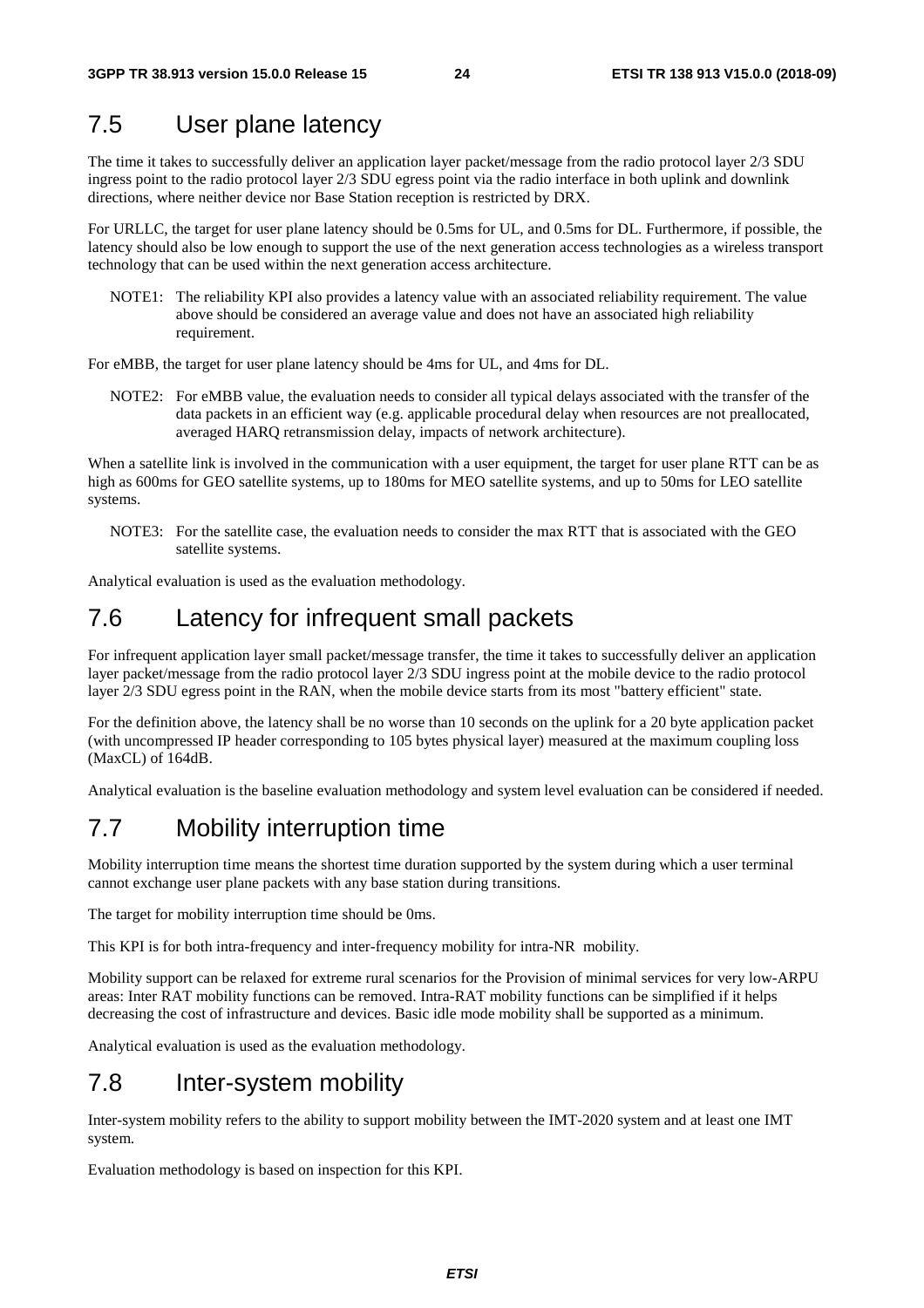# 7.5 User plane latency

The time it takes to successfully deliver an application layer packet/message from the radio protocol layer 2/3 SDU ingress point to the radio protocol layer 2/3 SDU egress point via the radio interface in both uplink and downlink directions, where neither device nor Base Station reception is restricted by DRX.

For URLLC, the target for user plane latency should be 0.5ms for UL, and 0.5ms for DL. Furthermore, if possible, the latency should also be low enough to support the use of the next generation access technologies as a wireless transport technology that can be used within the next generation access architecture.

NOTE1: The reliability KPI also provides a latency value with an associated reliability requirement. The value above should be considered an average value and does not have an associated high reliability requirement.

For eMBB, the target for user plane latency should be 4ms for UL, and 4ms for DL.

NOTE2: For eMBB value, the evaluation needs to consider all typical delays associated with the transfer of the data packets in an efficient way (e.g. applicable procedural delay when resources are not preallocated, averaged HARQ retransmission delay, impacts of network architecture).

When a satellite link is involved in the communication with a user equipment, the target for user plane RTT can be as high as 600ms for GEO satellite systems, up to 180ms for MEO satellite systems, and up to 50ms for LEO satellite systems.

NOTE3: For the satellite case, the evaluation needs to consider the max RTT that is associated with the GEO satellite systems.

Analytical evaluation is used as the evaluation methodology.

# 7.6 Latency for infrequent small packets

For infrequent application layer small packet/message transfer, the time it takes to successfully deliver an application layer packet/message from the radio protocol layer 2/3 SDU ingress point at the mobile device to the radio protocol layer 2/3 SDU egress point in the RAN, when the mobile device starts from its most "battery efficient" state.

For the definition above, the latency shall be no worse than 10 seconds on the uplink for a 20 byte application packet (with uncompressed IP header corresponding to 105 bytes physical layer) measured at the maximum coupling loss (MaxCL) of 164dB.

Analytical evaluation is the baseline evaluation methodology and system level evaluation can be considered if needed.

# 7.7 Mobility interruption time

Mobility interruption time means the shortest time duration supported by the system during which a user terminal cannot exchange user plane packets with any base station during transitions.

The target for mobility interruption time should be 0ms.

This KPI is for both intra-frequency and inter-frequency mobility for intra-NR mobility.

Mobility support can be relaxed for extreme rural scenarios for the Provision of minimal services for very low-ARPU areas: Inter RAT mobility functions can be removed. Intra-RAT mobility functions can be simplified if it helps decreasing the cost of infrastructure and devices. Basic idle mode mobility shall be supported as a minimum.

Analytical evaluation is used as the evaluation methodology.

# 7.8 Inter-system mobility

Inter-system mobility refers to the ability to support mobility between the IMT-2020 system and at least one IMT system.

Evaluation methodology is based on inspection for this KPI.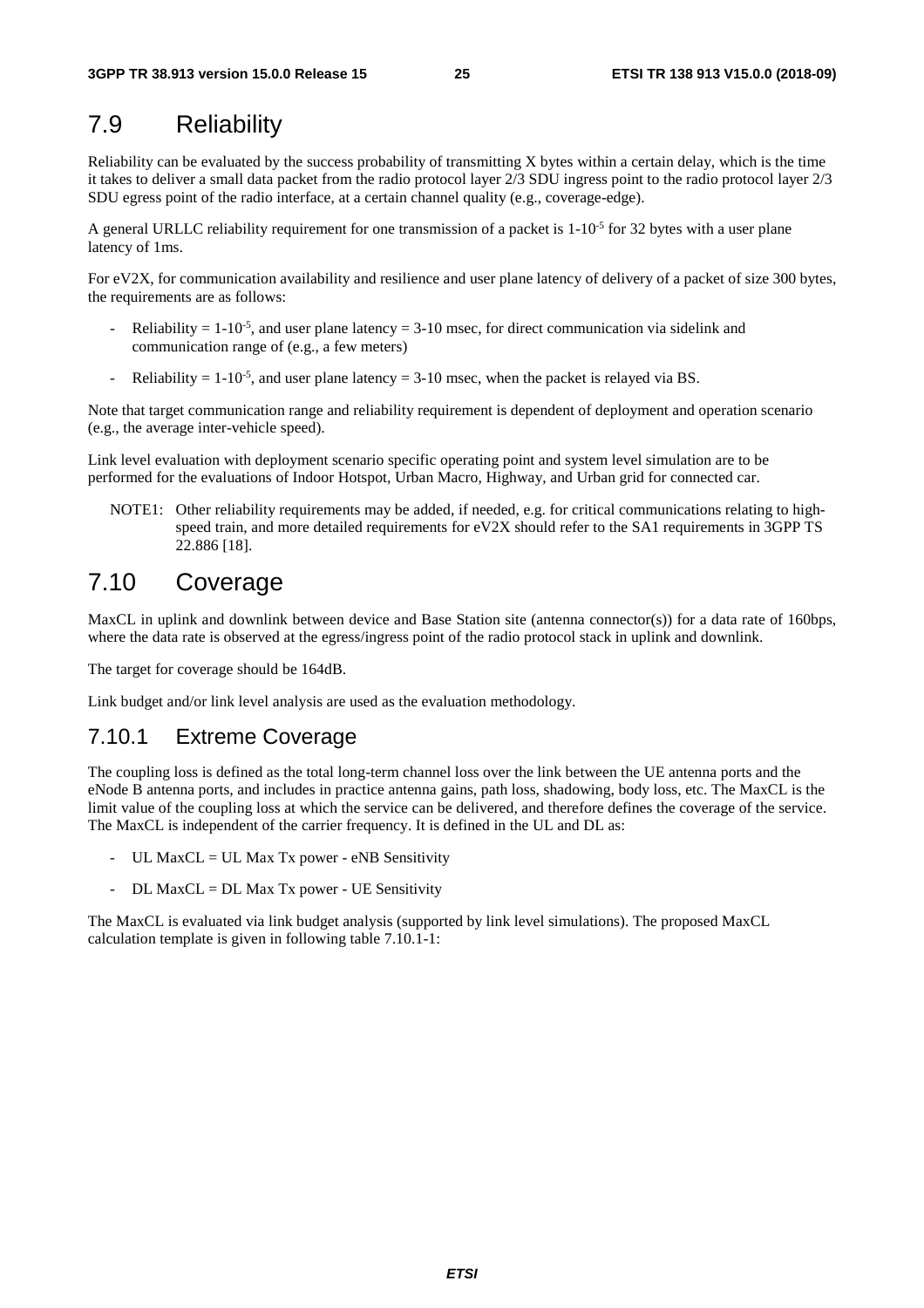# 7.9 Reliability

Reliability can be evaluated by the success probability of transmitting X bytes within a certain delay, which is the time it takes to deliver a small data packet from the radio protocol layer 2/3 SDU ingress point to the radio protocol layer 2/3 SDU egress point of the radio interface, at a certain channel quality (e.g., coverage-edge).

A general URLLC reliability requirement for one transmission of a packet is 1-10<sup>-5</sup> for 32 bytes with a user plane latency of 1ms.

For eV2X, for communication availability and resilience and user plane latency of delivery of a packet of size 300 bytes, the requirements are as follows:

- Reliability =  $1-10^{-5}$ , and user plane latency = 3-10 msec, for direct communication via sidelink and communication range of (e.g., a few meters)
- Reliability =  $1-10^{-5}$ , and user plane latency = 3-10 msec, when the packet is relayed via BS.

Note that target communication range and reliability requirement is dependent of deployment and operation scenario (e.g., the average inter-vehicle speed).

Link level evaluation with deployment scenario specific operating point and system level simulation are to be performed for the evaluations of Indoor Hotspot, Urban Macro, Highway, and Urban grid for connected car.

NOTE1: Other reliability requirements may be added, if needed, e.g. for critical communications relating to highspeed train, and more detailed requirements for eV2X should refer to the SA1 requirements in 3GPP TS 22.886 [18].

# 7.10 Coverage

MaxCL in uplink and downlink between device and Base Station site (antenna connector(s)) for a data rate of 160bps, where the data rate is observed at the egress/ingress point of the radio protocol stack in uplink and downlink.

The target for coverage should be 164dB.

Link budget and/or link level analysis are used as the evaluation methodology.

### 7.10.1 Extreme Coverage

The coupling loss is defined as the total long-term channel loss over the link between the UE antenna ports and the eNode B antenna ports, and includes in practice antenna gains, path loss, shadowing, body loss, etc. The MaxCL is the limit value of the coupling loss at which the service can be delivered, and therefore defines the coverage of the service. The MaxCL is independent of the carrier frequency. It is defined in the UL and DL as:

- UL Max $CL = UL$  Max Tx power eNB Sensitivity
- $DL$  Max $CL = DL$  Max Tx power UE Sensitivity

The MaxCL is evaluated via link budget analysis (supported by link level simulations). The proposed MaxCL calculation template is given in following table 7.10.1-1: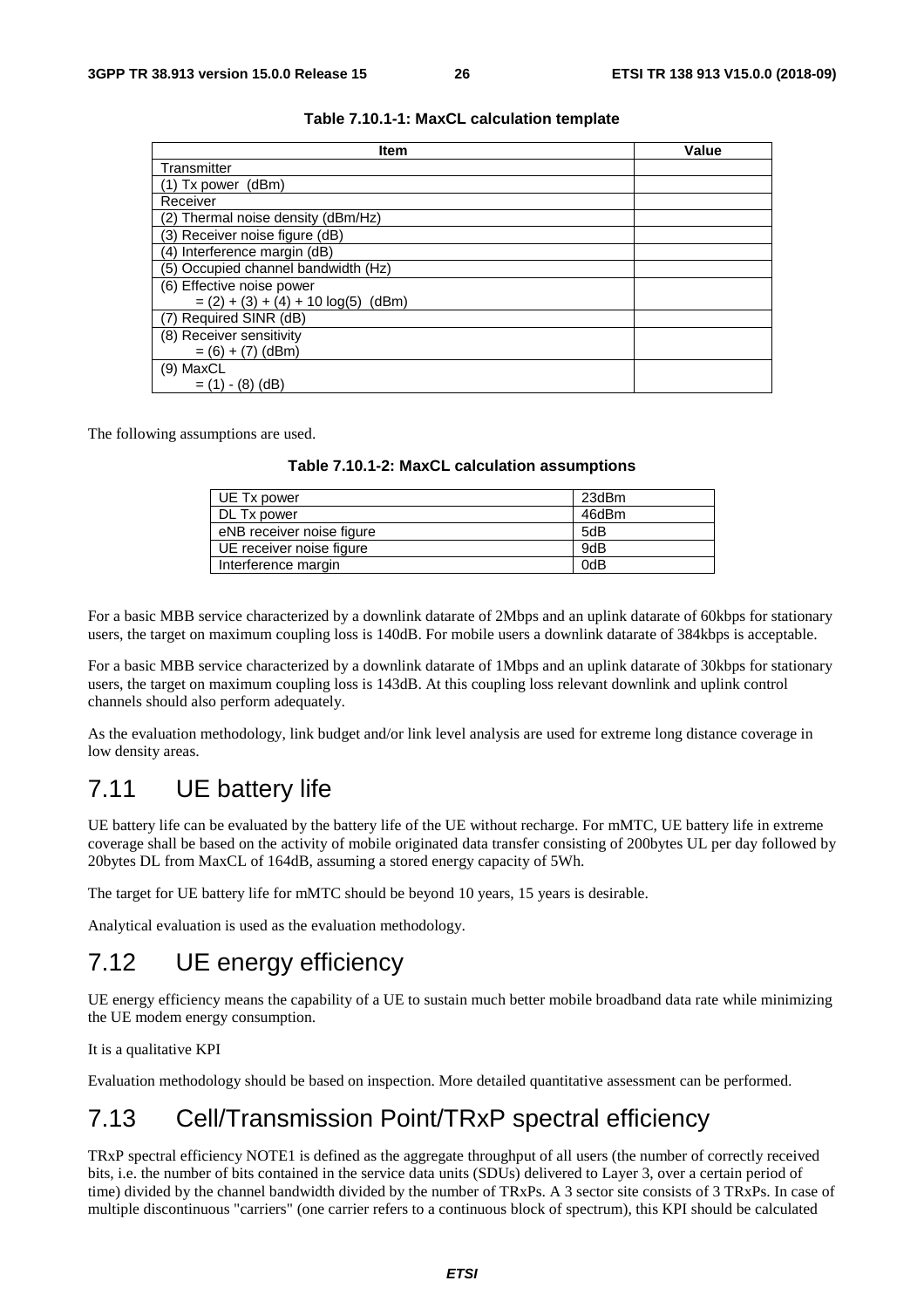| <b>Item</b>                          | Value |  |  |  |  |
|--------------------------------------|-------|--|--|--|--|
| Transmitter                          |       |  |  |  |  |
| $(1)$ Tx power $(dBm)$               |       |  |  |  |  |
| Receiver                             |       |  |  |  |  |
| (2) Thermal noise density (dBm/Hz)   |       |  |  |  |  |
| (3) Receiver noise figure (dB)       |       |  |  |  |  |
| (4) Interference margin (dB)         |       |  |  |  |  |
| (5) Occupied channel bandwidth (Hz)  |       |  |  |  |  |
| (6) Effective noise power            |       |  |  |  |  |
| $=(2) + (3) + (4) + 10 log(5)$ (dBm) |       |  |  |  |  |
| (7) Required SINR (dB)               |       |  |  |  |  |
| (8) Receiver sensitivity             |       |  |  |  |  |
| $= (6) + (7)$ (dBm)                  |       |  |  |  |  |
| (9) MaxCL                            |       |  |  |  |  |
| $= (1) - (8)$<br>(dB)                |       |  |  |  |  |

#### **Table 7.10.1-1: MaxCL calculation template**

The following assumptions are used.

| Table 7.10.1-2: MaxCL calculation assumptions |  |  |
|-----------------------------------------------|--|--|
|-----------------------------------------------|--|--|

| UE Tx power               | 23dBm |
|---------------------------|-------|
| DL Tx power               | 46dBm |
| eNB receiver noise figure | 5dB   |
| UE receiver noise figure  | 9dB   |
| Interference margin       | 0dB   |

For a basic MBB service characterized by a downlink datarate of 2Mbps and an uplink datarate of 60kbps for stationary users, the target on maximum coupling loss is 140dB. For mobile users a downlink datarate of 384kbps is acceptable.

For a basic MBB service characterized by a downlink datarate of 1Mbps and an uplink datarate of 30kbps for stationary users, the target on maximum coupling loss is 143dB. At this coupling loss relevant downlink and uplink control channels should also perform adequately.

As the evaluation methodology, link budget and/or link level analysis are used for extreme long distance coverage in low density areas.

# 7.11 UE battery life

UE battery life can be evaluated by the battery life of the UE without recharge. For mMTC, UE battery life in extreme coverage shall be based on the activity of mobile originated data transfer consisting of 200bytes UL per day followed by 20bytes DL from MaxCL of 164dB, assuming a stored energy capacity of 5Wh.

The target for UE battery life for mMTC should be beyond 10 years, 15 years is desirable.

Analytical evaluation is used as the evaluation methodology.

# 7.12 UE energy efficiency

UE energy efficiency means the capability of a UE to sustain much better mobile broadband data rate while minimizing the UE modem energy consumption.

It is a qualitative KPI

Evaluation methodology should be based on inspection. More detailed quantitative assessment can be performed.

# 7.13 Cell/Transmission Point/TRxP spectral efficiency

TRxP spectral efficiency NOTE1 is defined as the aggregate throughput of all users (the number of correctly received bits, i.e. the number of bits contained in the service data units (SDUs) delivered to Layer 3, over a certain period of time) divided by the channel bandwidth divided by the number of TRxPs. A 3 sector site consists of 3 TRxPs. In case of multiple discontinuous "carriers" (one carrier refers to a continuous block of spectrum), this KPI should be calculated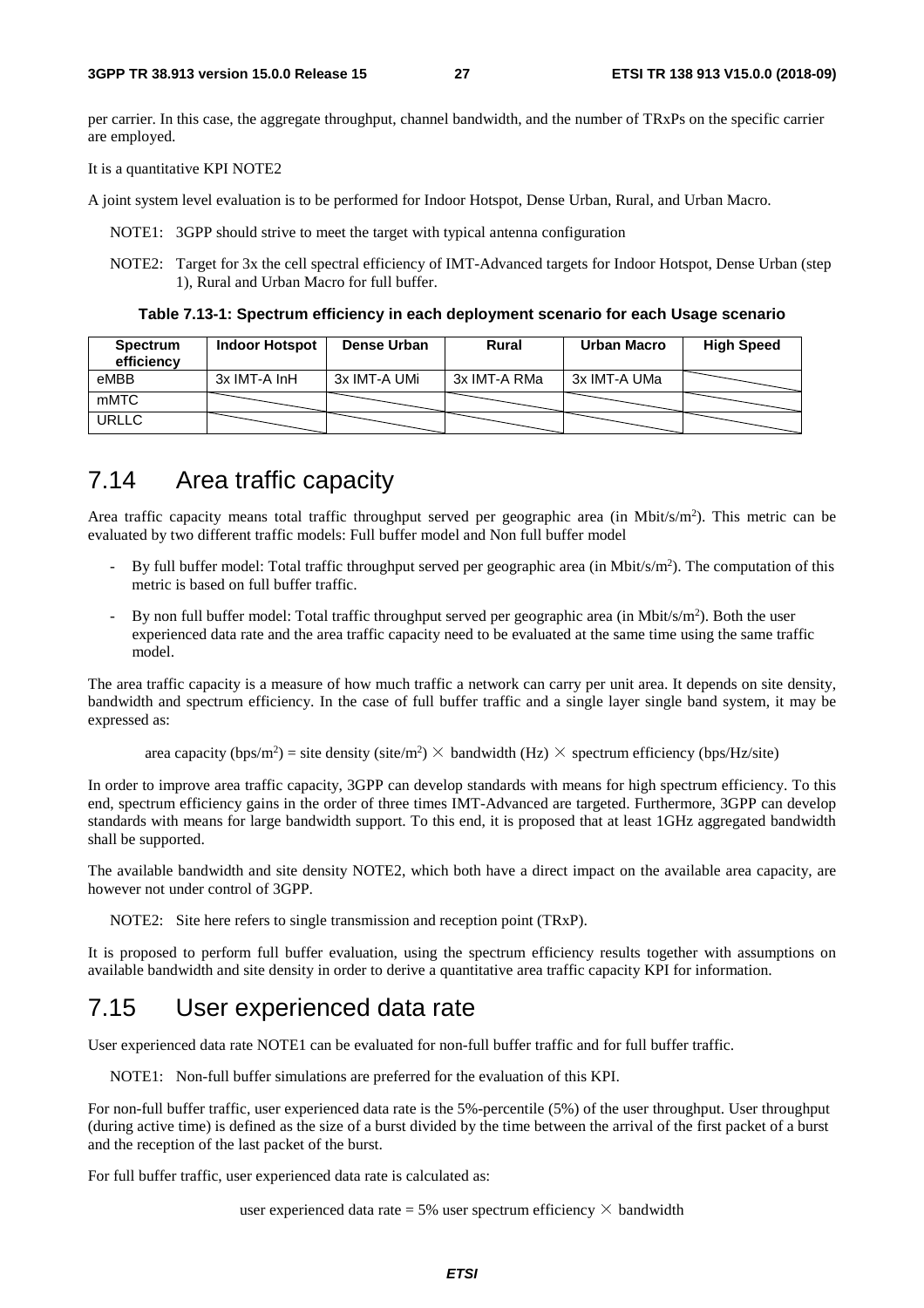per carrier. In this case, the aggregate throughput, channel bandwidth, and the number of TRxPs on the specific carrier are employed.

It is a quantitative KPI NOTE2

A joint system level evaluation is to be performed for Indoor Hotspot, Dense Urban, Rural, and Urban Macro.

NOTE1: 3GPP should strive to meet the target with typical antenna configuration

NOTE2: Target for 3x the cell spectral efficiency of IMT-Advanced targets for Indoor Hotspot, Dense Urban (step 1), Rural and Urban Macro for full buffer.

**Table 7.13-1: Spectrum efficiency in each deployment scenario for each Usage scenario** 

| <b>Spectrum</b><br>efficiency | <b>Indoor Hotspot</b> | Dense Urban  | Rural        | <b>Urban Macro</b> | <b>High Speed</b> |
|-------------------------------|-----------------------|--------------|--------------|--------------------|-------------------|
| eMBB                          | 3x IMT-A InH          | 3x IMT-A UMi | 3x IMT-A RMa | 3x IMT-A UMa       |                   |
| mMTC                          |                       |              |              |                    |                   |
| <b>URLLC</b>                  |                       |              |              |                    |                   |

# 7.14 Area traffic capacity

Area traffic capacity means total traffic throughput served per geographic area (in Mbit/s/m<sup>2</sup>). This metric can be evaluated by two different traffic models: Full buffer model and Non full buffer model

- By full buffer model: Total traffic throughput served per geographic area (in Mbit/s/m<sup>2</sup>). The computation of this metric is based on full buffer traffic.
- By non full buffer model: Total traffic throughput served per geographic area (in Mbit/s/m<sup>2</sup>). Both the user experienced data rate and the area traffic capacity need to be evaluated at the same time using the same traffic model.

The area traffic capacity is a measure of how much traffic a network can carry per unit area. It depends on site density, bandwidth and spectrum efficiency. In the case of full buffer traffic and a single layer single band system, it may be expressed as:

area capacity (bps/m<sup>2</sup>) = site density (site/m<sup>2</sup>) × bandwidth (Hz) × spectrum efficiency (bps/Hz/site)

In order to improve area traffic capacity, 3GPP can develop standards with means for high spectrum efficiency. To this end, spectrum efficiency gains in the order of three times IMT-Advanced are targeted. Furthermore, 3GPP can develop standards with means for large bandwidth support. To this end, it is proposed that at least 1GHz aggregated bandwidth shall be supported.

The available bandwidth and site density NOTE2, which both have a direct impact on the available area capacity, are however not under control of 3GPP.

NOTE2: Site here refers to single transmission and reception point (TRxP).

It is proposed to perform full buffer evaluation, using the spectrum efficiency results together with assumptions on available bandwidth and site density in order to derive a quantitative area traffic capacity KPI for information.

# 7.15 User experienced data rate

User experienced data rate NOTE1 can be evaluated for non-full buffer traffic and for full buffer traffic.

NOTE1: Non-full buffer simulations are preferred for the evaluation of this KPI.

For non-full buffer traffic, user experienced data rate is the 5%-percentile (5%) of the user throughput. User throughput (during active time) is defined as the size of a burst divided by the time between the arrival of the first packet of a burst and the reception of the last packet of the burst.

For full buffer traffic, user experienced data rate is calculated as:

user experienced data rate = 5% user spectrum efficiency  $\times$  bandwidth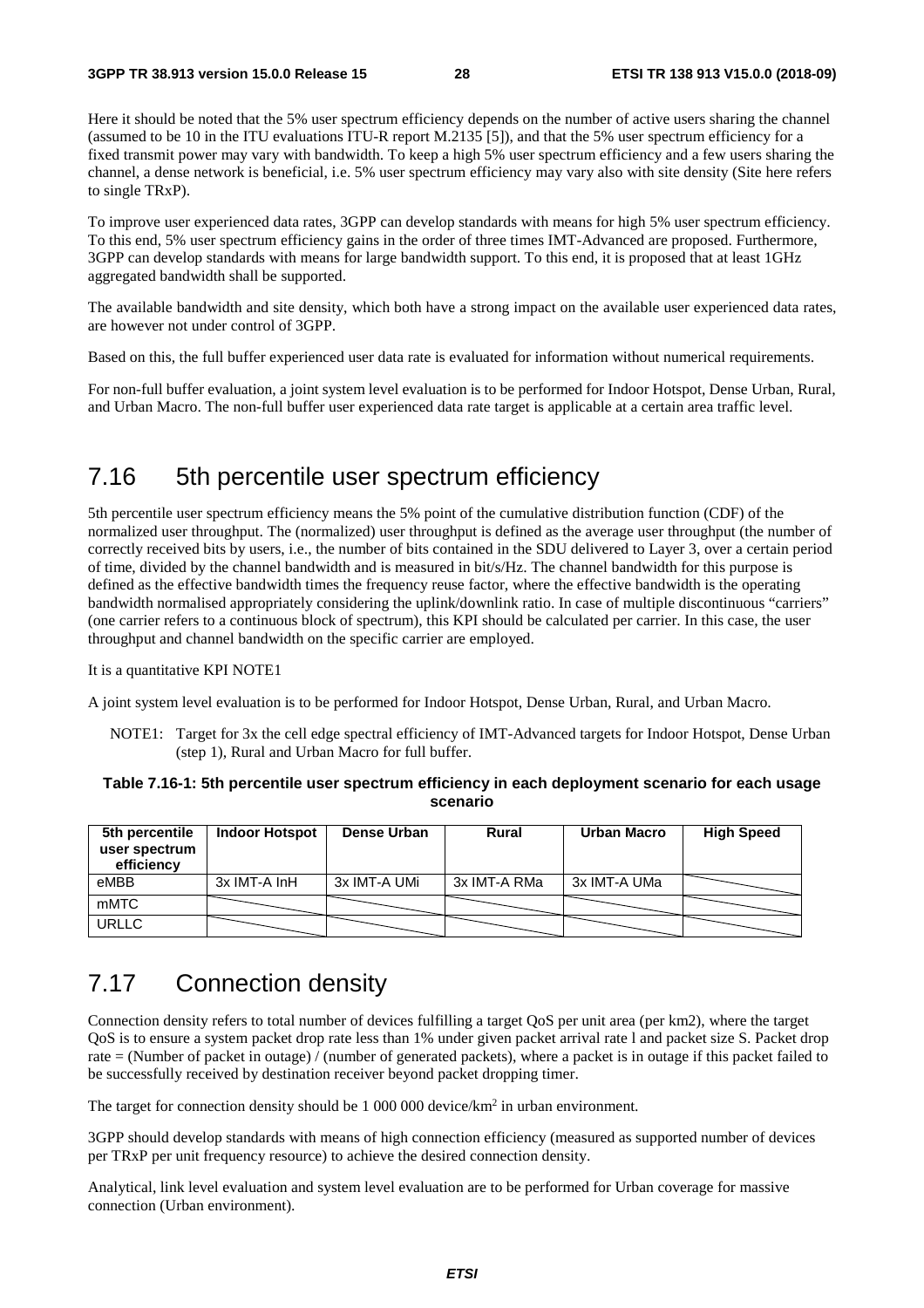Here it should be noted that the 5% user spectrum efficiency depends on the number of active users sharing the channel (assumed to be 10 in the ITU evaluations ITU-R report M.2135 [5]), and that the 5% user spectrum efficiency for a fixed transmit power may vary with bandwidth. To keep a high 5% user spectrum efficiency and a few users sharing the channel, a dense network is beneficial, i.e. 5% user spectrum efficiency may vary also with site density (Site here refers to single TRxP).

To improve user experienced data rates, 3GPP can develop standards with means for high 5% user spectrum efficiency. To this end, 5% user spectrum efficiency gains in the order of three times IMT-Advanced are proposed. Furthermore, 3GPP can develop standards with means for large bandwidth support. To this end, it is proposed that at least 1GHz aggregated bandwidth shall be supported.

The available bandwidth and site density, which both have a strong impact on the available user experienced data rates, are however not under control of 3GPP.

Based on this, the full buffer experienced user data rate is evaluated for information without numerical requirements.

For non-full buffer evaluation, a joint system level evaluation is to be performed for Indoor Hotspot, Dense Urban, Rural, and Urban Macro. The non-full buffer user experienced data rate target is applicable at a certain area traffic level.

# 7.16 5th percentile user spectrum efficiency

5th percentile user spectrum efficiency means the 5% point of the cumulative distribution function (CDF) of the normalized user throughput. The (normalized) user throughput is defined as the average user throughput (the number of correctly received bits by users, i.e., the number of bits contained in the SDU delivered to Layer 3, over a certain period of time, divided by the channel bandwidth and is measured in bit/s/Hz. The channel bandwidth for this purpose is defined as the effective bandwidth times the frequency reuse factor, where the effective bandwidth is the operating bandwidth normalised appropriately considering the uplink/downlink ratio. In case of multiple discontinuous "carriers" (one carrier refers to a continuous block of spectrum), this KPI should be calculated per carrier. In this case, the user throughput and channel bandwidth on the specific carrier are employed.

It is a quantitative KPI NOTE1

A joint system level evaluation is to be performed for Indoor Hotspot, Dense Urban, Rural, and Urban Macro.

NOTE1: Target for 3x the cell edge spectral efficiency of IMT-Advanced targets for Indoor Hotspot, Dense Urban (step 1), Rural and Urban Macro for full buffer.

#### **Table 7.16-1: 5th percentile user spectrum efficiency in each deployment scenario for each usage scenario**

| 5th percentile<br>user spectrum<br>efficiency | <b>Indoor Hotspot</b> | <b>Dense Urban</b> | <b>Rural</b> | <b>Urban Macro</b> | <b>High Speed</b> |
|-----------------------------------------------|-----------------------|--------------------|--------------|--------------------|-------------------|
| eMBB                                          | 3x IMT-A InH          | 3x IMT-A UMi       | 3x IMT-A RMa | 3x IMT-A UMa       |                   |
| <b>mMTC</b>                                   |                       |                    |              |                    |                   |
| <b>URLLC</b>                                  |                       |                    |              |                    |                   |

# 7.17 Connection density

Connection density refers to total number of devices fulfilling a target QoS per unit area (per km2), where the target QoS is to ensure a system packet drop rate less than 1% under given packet arrival rate l and packet size S. Packet drop rate = (Number of packet in outage) / (number of generated packets), where a packet is in outage if this packet failed to be successfully received by destination receiver beyond packet dropping timer.

The target for connection density should be 1 000 000 device/km<sup>2</sup> in urban environment.

3GPP should develop standards with means of high connection efficiency (measured as supported number of devices per TRxP per unit frequency resource) to achieve the desired connection density.

Analytical, link level evaluation and system level evaluation are to be performed for Urban coverage for massive connection (Urban environment).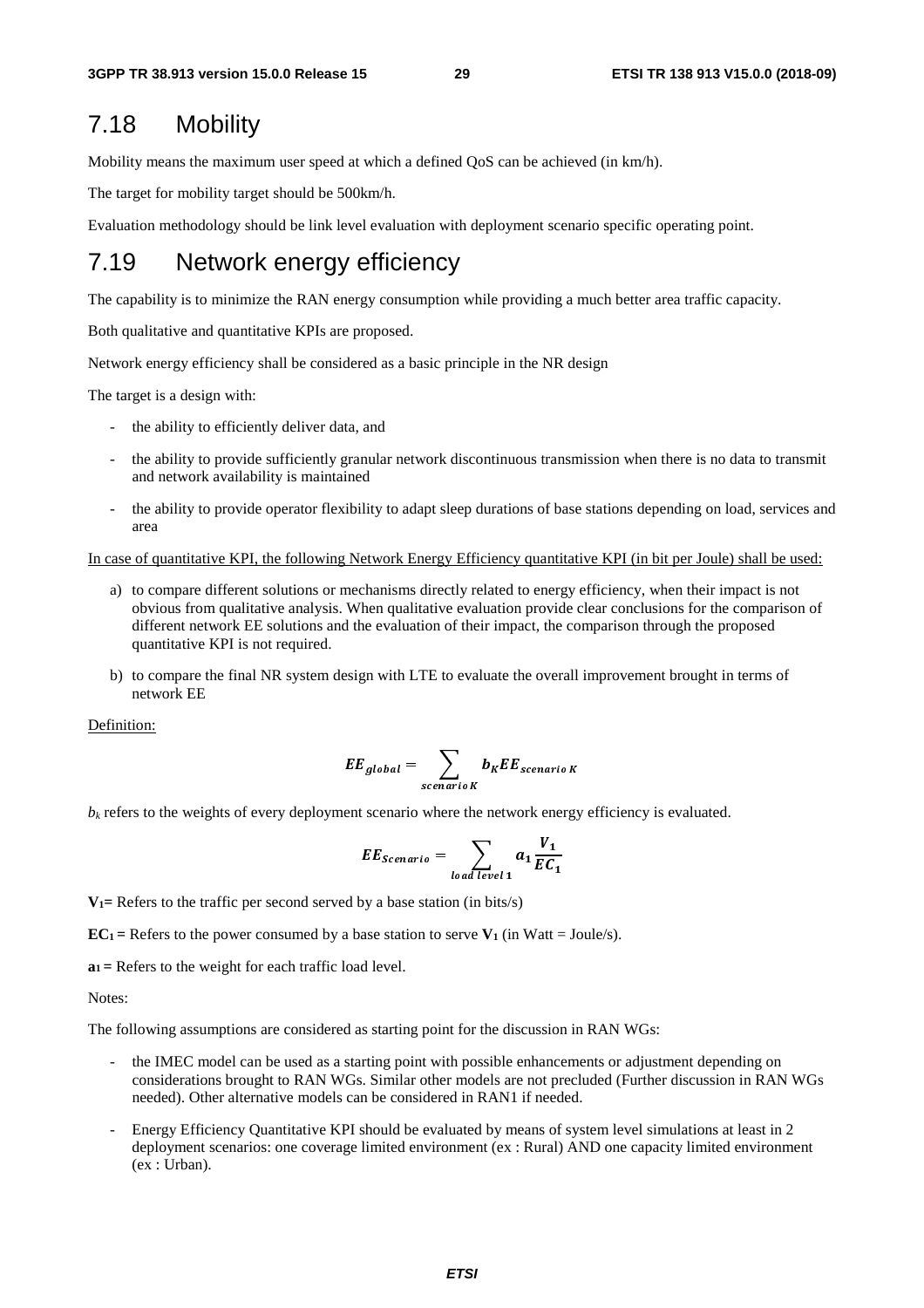# 7.18 Mobility

Mobility means the maximum user speed at which a defined QoS can be achieved (in km/h).

The target for mobility target should be 500km/h.

Evaluation methodology should be link level evaluation with deployment scenario specific operating point.

# 7.19 Network energy efficiency

The capability is to minimize the RAN energy consumption while providing a much better area traffic capacity.

Both qualitative and quantitative KPIs are proposed.

Network energy efficiency shall be considered as a basic principle in the NR design

The target is a design with:

- the ability to efficiently deliver data, and
- the ability to provide sufficiently granular network discontinuous transmission when there is no data to transmit and network availability is maintained
- the ability to provide operator flexibility to adapt sleep durations of base stations depending on load, services and area

In case of quantitative KPI, the following Network Energy Efficiency quantitative KPI (in bit per Joule) shall be used:

- a) to compare different solutions or mechanisms directly related to energy efficiency, when their impact is not obvious from qualitative analysis. When qualitative evaluation provide clear conclusions for the comparison of different network EE solutions and the evaluation of their impact, the comparison through the proposed quantitative KPI is not required.
- b) to compare the final NR system design with LTE to evaluate the overall improvement brought in terms of network EE

Definition:

$$
EE_{global} = \sum_{scenario K} b_{K}EE_{scenario K}
$$

 $b_k$  refers to the weights of every deployment scenario where the network energy efficiency is evaluated.

$$
EE_{Scenario} = \sum_{load level 1} a_1 \frac{V_1}{EC_1}
$$

 $V_1$ = Refers to the traffic per second served by a base station (in bits/s)

**EC<sub>1</sub>** = Refers to the power consumed by a base station to serve  $V_1$  (in Watt = Joule/s).

**a1 =** Refers to the weight for each traffic load level.

Notes:

The following assumptions are considered as starting point for the discussion in RAN WGs:

- the IMEC model can be used as a starting point with possible enhancements or adjustment depending on considerations brought to RAN WGs. Similar other models are not precluded (Further discussion in RAN WGs needed). Other alternative models can be considered in RAN1 if needed.
- Energy Efficiency Quantitative KPI should be evaluated by means of system level simulations at least in 2 deployment scenarios: one coverage limited environment (ex : Rural) AND one capacity limited environment (ex : Urban).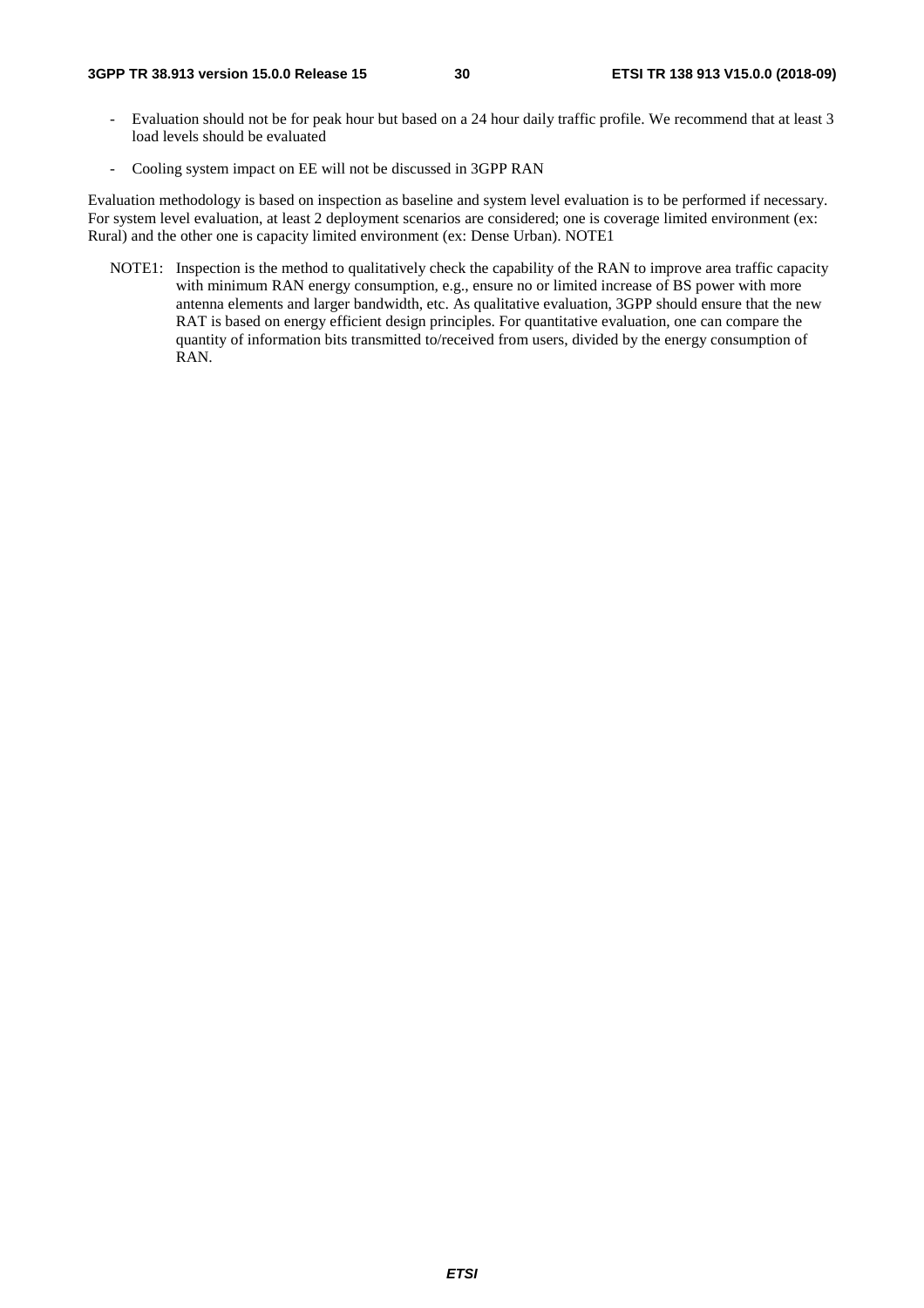- Evaluation should not be for peak hour but based on a 24 hour daily traffic profile. We recommend that at least 3 load levels should be evaluated
- Cooling system impact on EE will not be discussed in 3GPP RAN

Evaluation methodology is based on inspection as baseline and system level evaluation is to be performed if necessary. For system level evaluation, at least 2 deployment scenarios are considered; one is coverage limited environment (ex: Rural) and the other one is capacity limited environment (ex: Dense Urban). NOTE1

NOTE1: Inspection is the method to qualitatively check the capability of the RAN to improve area traffic capacity with minimum RAN energy consumption, e.g., ensure no or limited increase of BS power with more antenna elements and larger bandwidth, etc. As qualitative evaluation, 3GPP should ensure that the new RAT is based on energy efficient design principles. For quantitative evaluation, one can compare the quantity of information bits transmitted to/received from users, divided by the energy consumption of RAN.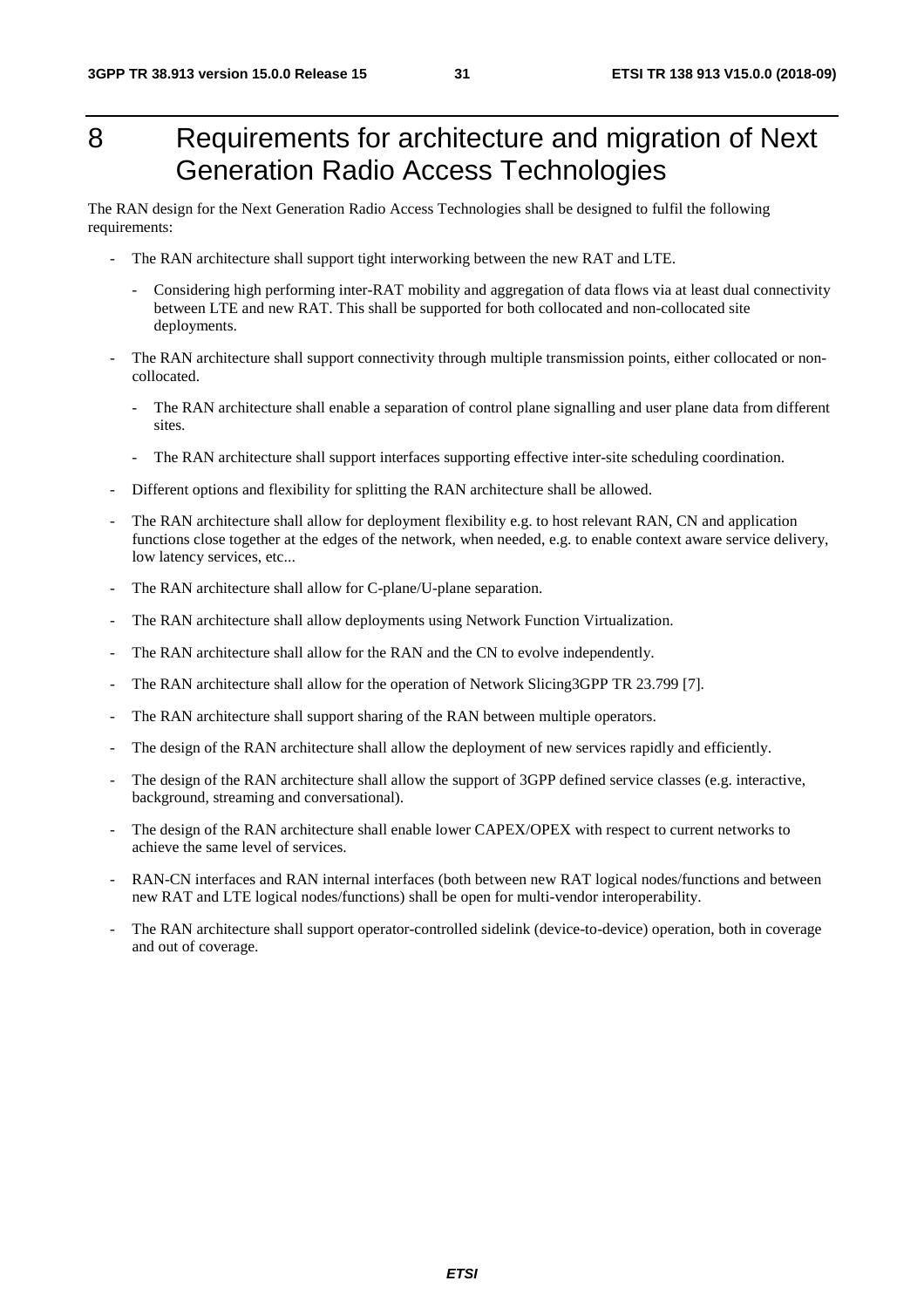# 8 Requirements for architecture and migration of Next Generation Radio Access Technologies

The RAN design for the Next Generation Radio Access Technologies shall be designed to fulfil the following requirements:

- The RAN architecture shall support tight interworking between the new RAT and LTE.
	- Considering high performing inter-RAT mobility and aggregation of data flows via at least dual connectivity between LTE and new RAT. This shall be supported for both collocated and non-collocated site deployments.
- The RAN architecture shall support connectivity through multiple transmission points, either collocated or noncollocated.
	- The RAN architecture shall enable a separation of control plane signalling and user plane data from different sites.
	- The RAN architecture shall support interfaces supporting effective inter-site scheduling coordination.
- Different options and flexibility for splitting the RAN architecture shall be allowed.
- The RAN architecture shall allow for deployment flexibility e.g. to host relevant RAN, CN and application functions close together at the edges of the network, when needed, e.g. to enable context aware service delivery, low latency services, etc...
- The RAN architecture shall allow for C-plane/U-plane separation.
- The RAN architecture shall allow deployments using Network Function Virtualization.
- The RAN architecture shall allow for the RAN and the CN to evolve independently.
- The RAN architecture shall allow for the operation of Network Slicing3GPP TR 23.799 [7].
- The RAN architecture shall support sharing of the RAN between multiple operators.
- The design of the RAN architecture shall allow the deployment of new services rapidly and efficiently.
- The design of the RAN architecture shall allow the support of 3GPP defined service classes (e.g. interactive, background, streaming and conversational).
- The design of the RAN architecture shall enable lower CAPEX/OPEX with respect to current networks to achieve the same level of services.
- RAN-CN interfaces and RAN internal interfaces (both between new RAT logical nodes/functions and between new RAT and LTE logical nodes/functions) shall be open for multi-vendor interoperability.
- The RAN architecture shall support operator-controlled sidelink (device-to-device) operation, both in coverage and out of coverage.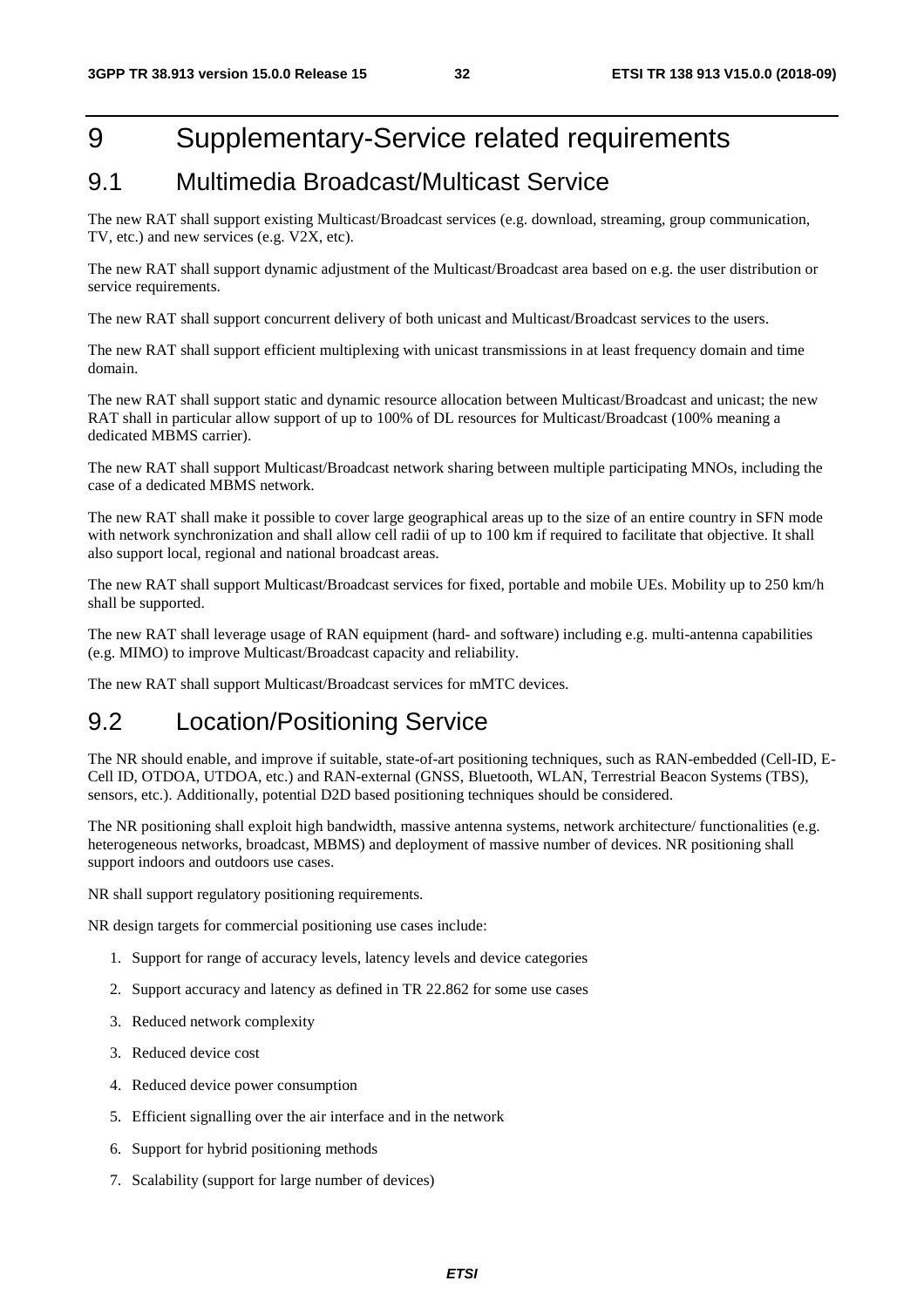# 9 Supplementary-Service related requirements

# 9.1 Multimedia Broadcast/Multicast Service

The new RAT shall support existing Multicast/Broadcast services (e.g. download, streaming, group communication, TV, etc.) and new services (e.g. V2X, etc).

The new RAT shall support dynamic adjustment of the Multicast/Broadcast area based on e.g. the user distribution or service requirements.

The new RAT shall support concurrent delivery of both unicast and Multicast/Broadcast services to the users.

The new RAT shall support efficient multiplexing with unicast transmissions in at least frequency domain and time domain.

The new RAT shall support static and dynamic resource allocation between Multicast/Broadcast and unicast; the new RAT shall in particular allow support of up to 100% of DL resources for Multicast/Broadcast (100% meaning a dedicated MBMS carrier).

The new RAT shall support Multicast/Broadcast network sharing between multiple participating MNOs, including the case of a dedicated MBMS network.

The new RAT shall make it possible to cover large geographical areas up to the size of an entire country in SFN mode with network synchronization and shall allow cell radii of up to 100 km if required to facilitate that objective. It shall also support local, regional and national broadcast areas.

The new RAT shall support Multicast/Broadcast services for fixed, portable and mobile UEs. Mobility up to 250 km/h shall be supported.

The new RAT shall leverage usage of RAN equipment (hard- and software) including e.g. multi-antenna capabilities (e.g. MIMO) to improve Multicast/Broadcast capacity and reliability.

The new RAT shall support Multicast/Broadcast services for mMTC devices.

# 9.2 Location/Positioning Service

The NR should enable, and improve if suitable, state-of-art positioning techniques, such as RAN-embedded (Cell-ID, E-Cell ID, OTDOA, UTDOA, etc.) and RAN-external (GNSS, Bluetooth, WLAN, Terrestrial Beacon Systems (TBS), sensors, etc.). Additionally, potential D2D based positioning techniques should be considered.

The NR positioning shall exploit high bandwidth, massive antenna systems, network architecture/ functionalities (e.g. heterogeneous networks, broadcast, MBMS) and deployment of massive number of devices. NR positioning shall support indoors and outdoors use cases.

NR shall support regulatory positioning requirements.

NR design targets for commercial positioning use cases include:

- 1. Support for range of accuracy levels, latency levels and device categories
- 2. Support accuracy and latency as defined in TR 22.862 for some use cases
- 3. Reduced network complexity
- 3. Reduced device cost
- 4. Reduced device power consumption
- 5. Efficient signalling over the air interface and in the network
- 6. Support for hybrid positioning methods
- 7. Scalability (support for large number of devices)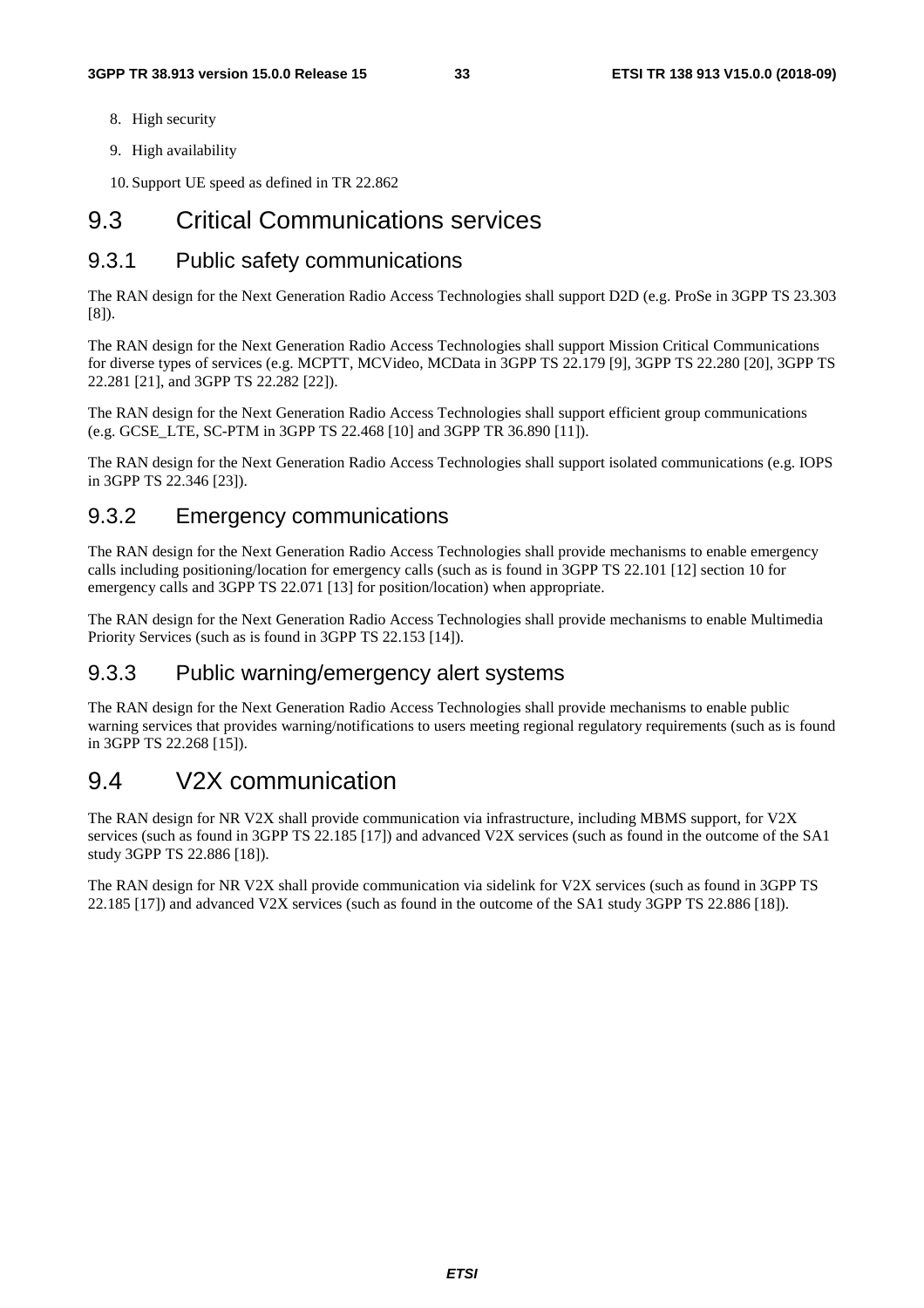- 8. High security
- 9. High availability
- 10. Support UE speed as defined in TR 22.862

# 9.3 Critical Communications services

### 9.3.1 Public safety communications

The RAN design for the Next Generation Radio Access Technologies shall support D2D (e.g. ProSe in 3GPP TS 23.303 [8]).

The RAN design for the Next Generation Radio Access Technologies shall support Mission Critical Communications for diverse types of services (e.g. MCPTT, MCVideo, MCData in 3GPP TS 22.179 [9], 3GPP TS 22.280 [20], 3GPP TS 22.281 [21], and 3GPP TS 22.282 [22]).

The RAN design for the Next Generation Radio Access Technologies shall support efficient group communications (e.g. GCSE\_LTE, SC-PTM in 3GPP TS 22.468 [10] and 3GPP TR 36.890 [11]).

The RAN design for the Next Generation Radio Access Technologies shall support isolated communications (e.g. IOPS in 3GPP TS 22.346 [23]).

### 9.3.2 Emergency communications

The RAN design for the Next Generation Radio Access Technologies shall provide mechanisms to enable emergency calls including positioning/location for emergency calls (such as is found in 3GPP TS 22.101 [12] section 10 for emergency calls and 3GPP TS 22.071 [13] for position/location) when appropriate.

The RAN design for the Next Generation Radio Access Technologies shall provide mechanisms to enable Multimedia Priority Services (such as is found in 3GPP TS 22.153 [14]).

### 9.3.3 Public warning/emergency alert systems

The RAN design for the Next Generation Radio Access Technologies shall provide mechanisms to enable public warning services that provides warning/notifications to users meeting regional regulatory requirements (such as is found in 3GPP TS 22.268 [15]).

# 9.4 V2X communication

The RAN design for NR V2X shall provide communication via infrastructure, including MBMS support, for V2X services (such as found in 3GPP TS 22.185 [17]) and advanced V2X services (such as found in the outcome of the SA1 study 3GPP TS 22.886 [18]).

The RAN design for NR V2X shall provide communication via sidelink for V2X services (such as found in 3GPP TS 22.185 [17]) and advanced V2X services (such as found in the outcome of the SA1 study 3GPP TS 22.886 [18]).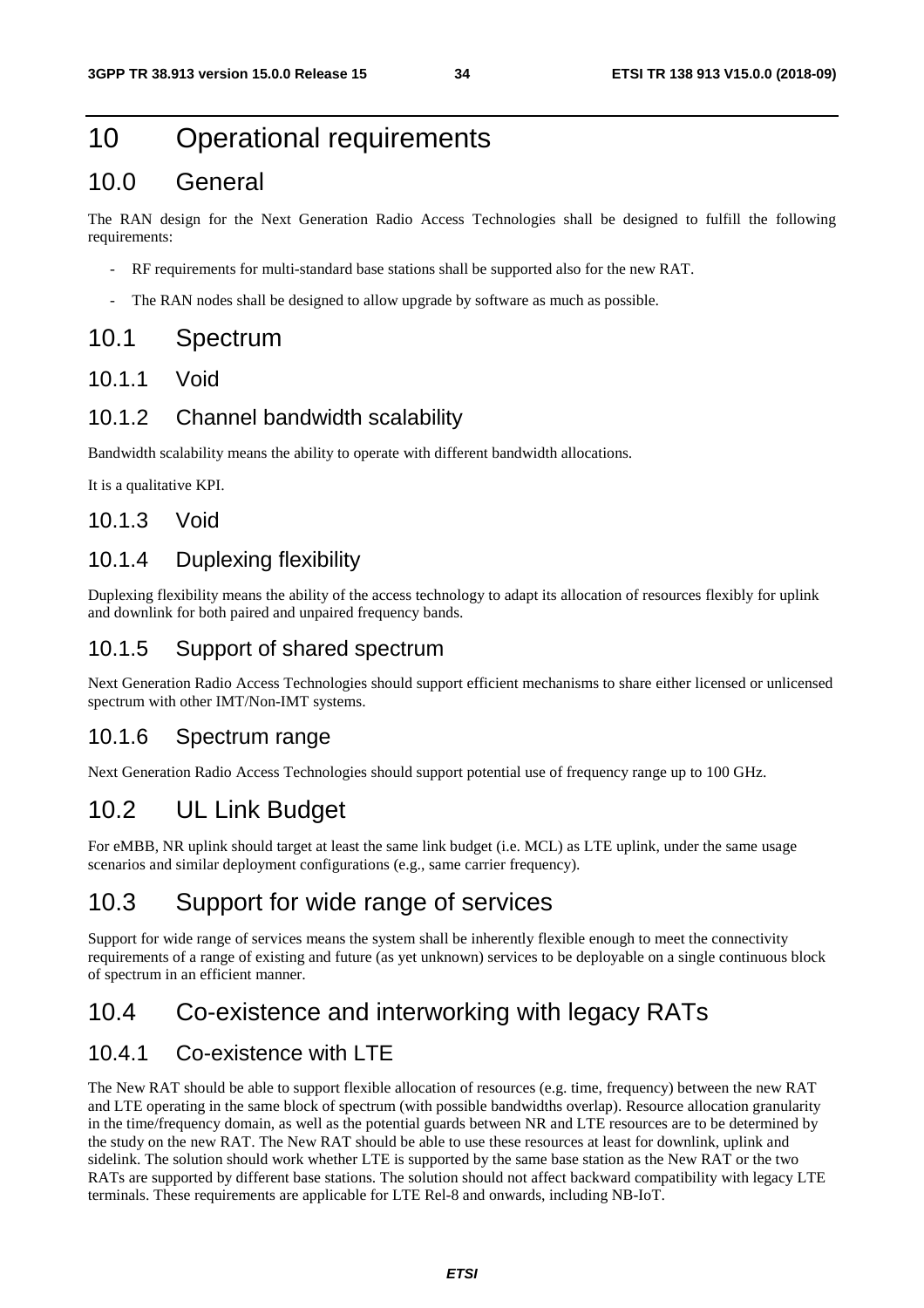# 10 Operational requirements

### 10.0 General

The RAN design for the Next Generation Radio Access Technologies shall be designed to fulfill the following requirements:

- RF requirements for multi-standard base stations shall be supported also for the new RAT.
- The RAN nodes shall be designed to allow upgrade by software as much as possible.

### 10.1 Spectrum

### 10.1.1 Void

### 10.1.2 Channel bandwidth scalability

Bandwidth scalability means the ability to operate with different bandwidth allocations.

It is a qualitative KPI.

#### 10.1.3 Void

### 10.1.4 Duplexing flexibility

Duplexing flexibility means the ability of the access technology to adapt its allocation of resources flexibly for uplink and downlink for both paired and unpaired frequency bands.

#### 10.1.5 Support of shared spectrum

Next Generation Radio Access Technologies should support efficient mechanisms to share either licensed or unlicensed spectrum with other IMT/Non-IMT systems.

#### 10.1.6 Spectrum range

Next Generation Radio Access Technologies should support potential use of frequency range up to 100 GHz.

# 10.2 UL Link Budget

For eMBB, NR uplink should target at least the same link budget (i.e. MCL) as LTE uplink, under the same usage scenarios and similar deployment configurations (e.g., same carrier frequency).

# 10.3 Support for wide range of services

Support for wide range of services means the system shall be inherently flexible enough to meet the connectivity requirements of a range of existing and future (as yet unknown) services to be deployable on a single continuous block of spectrum in an efficient manner.

### 10.4 Co-existence and interworking with legacy RATs

### 10.4.1 Co-existence with LTE

The New RAT should be able to support flexible allocation of resources (e.g. time, frequency) between the new RAT and LTE operating in the same block of spectrum (with possible bandwidths overlap). Resource allocation granularity in the time/frequency domain, as well as the potential guards between NR and LTE resources are to be determined by the study on the new RAT. The New RAT should be able to use these resources at least for downlink, uplink and sidelink. The solution should work whether LTE is supported by the same base station as the New RAT or the two RATs are supported by different base stations. The solution should not affect backward compatibility with legacy LTE terminals. These requirements are applicable for LTE Rel-8 and onwards, including NB-IoT.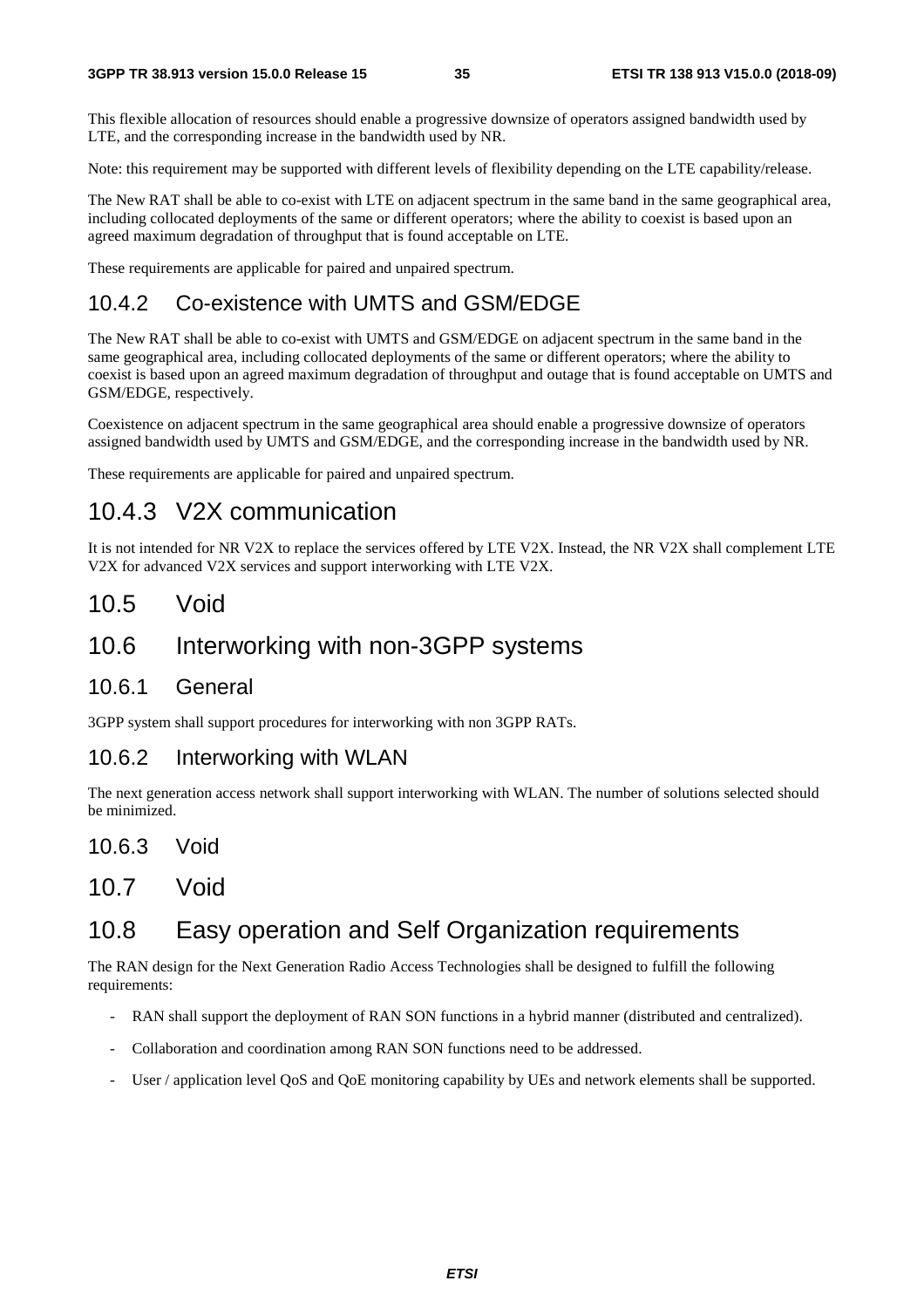This flexible allocation of resources should enable a progressive downsize of operators assigned bandwidth used by LTE, and the corresponding increase in the bandwidth used by NR.

Note: this requirement may be supported with different levels of flexibility depending on the LTE capability/release.

The New RAT shall be able to co-exist with LTE on adjacent spectrum in the same band in the same geographical area, including collocated deployments of the same or different operators; where the ability to coexist is based upon an agreed maximum degradation of throughput that is found acceptable on LTE.

These requirements are applicable for paired and unpaired spectrum.

### 10.4.2 Co-existence with UMTS and GSM/EDGE

The New RAT shall be able to co-exist with UMTS and GSM/EDGE on adjacent spectrum in the same band in the same geographical area, including collocated deployments of the same or different operators; where the ability to coexist is based upon an agreed maximum degradation of throughput and outage that is found acceptable on UMTS and GSM/EDGE, respectively.

Coexistence on adjacent spectrum in the same geographical area should enable a progressive downsize of operators assigned bandwidth used by UMTS and GSM/EDGE, and the corresponding increase in the bandwidth used by NR.

These requirements are applicable for paired and unpaired spectrum.

# 10.4.3 V2X communication

It is not intended for NR V2X to replace the services offered by LTE V2X. Instead, the NR V2X shall complement LTE V2X for advanced V2X services and support interworking with LTE V2X.

10.5 Void

# 10.6 Interworking with non-3GPP systems

10.6.1 General

3GPP system shall support procedures for interworking with non 3GPP RATs.

#### 10.6.2 Interworking with WLAN

The next generation access network shall support interworking with WLAN. The number of solutions selected should be minimized.

10.6.3 Void

### 10.7 Void

# 10.8 Easy operation and Self Organization requirements

The RAN design for the Next Generation Radio Access Technologies shall be designed to fulfill the following requirements:

- RAN shall support the deployment of RAN SON functions in a hybrid manner (distributed and centralized).
- Collaboration and coordination among RAN SON functions need to be addressed.
- User / application level OoS and OoE monitoring capability by UEs and network elements shall be supported.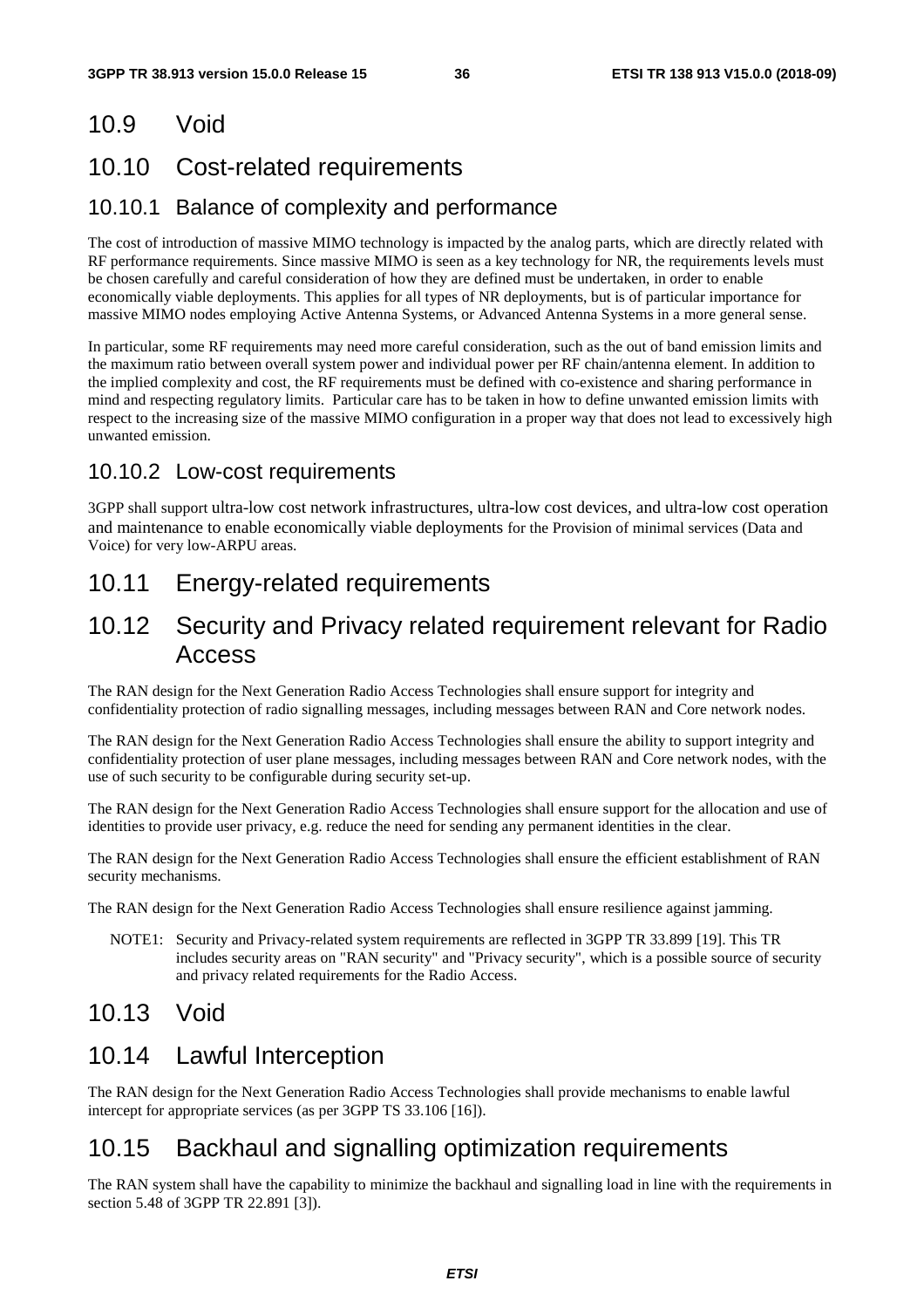# 10.9 Void

# 10.10 Cost-related requirements

### 10.10.1 Balance of complexity and performance

The cost of introduction of massive MIMO technology is impacted by the analog parts, which are directly related with RF performance requirements. Since massive MIMO is seen as a key technology for NR, the requirements levels must be chosen carefully and careful consideration of how they are defined must be undertaken, in order to enable economically viable deployments. This applies for all types of NR deployments, but is of particular importance for massive MIMO nodes employing Active Antenna Systems, or Advanced Antenna Systems in a more general sense.

In particular, some RF requirements may need more careful consideration, such as the out of band emission limits and the maximum ratio between overall system power and individual power per RF chain/antenna element. In addition to the implied complexity and cost, the RF requirements must be defined with co-existence and sharing performance in mind and respecting regulatory limits. Particular care has to be taken in how to define unwanted emission limits with respect to the increasing size of the massive MIMO configuration in a proper way that does not lead to excessively high unwanted emission.

### 10.10.2 Low-cost requirements

3GPP shall support ultra-low cost network infrastructures, ultra-low cost devices, and ultra-low cost operation and maintenance to enable economically viable deployments for the Provision of minimal services (Data and Voice) for very low-ARPU areas.

# 10.11 Energy-related requirements

# 10.12 Security and Privacy related requirement relevant for Radio **Access**

The RAN design for the Next Generation Radio Access Technologies shall ensure support for integrity and confidentiality protection of radio signalling messages, including messages between RAN and Core network nodes.

The RAN design for the Next Generation Radio Access Technologies shall ensure the ability to support integrity and confidentiality protection of user plane messages, including messages between RAN and Core network nodes, with the use of such security to be configurable during security set-up.

The RAN design for the Next Generation Radio Access Technologies shall ensure support for the allocation and use of identities to provide user privacy, e.g. reduce the need for sending any permanent identities in the clear.

The RAN design for the Next Generation Radio Access Technologies shall ensure the efficient establishment of RAN security mechanisms.

The RAN design for the Next Generation Radio Access Technologies shall ensure resilience against jamming.

NOTE1: Security and Privacy-related system requirements are reflected in 3GPP TR 33.899 [19]. This TR includes security areas on "RAN security" and "Privacy security", which is a possible source of security and privacy related requirements for the Radio Access.

# 10.13 Void

# 10.14 Lawful Interception

The RAN design for the Next Generation Radio Access Technologies shall provide mechanisms to enable lawful intercept for appropriate services (as per 3GPP TS 33.106 [16]).

# 10.15 Backhaul and signalling optimization requirements

The RAN system shall have the capability to minimize the backhaul and signalling load in line with the requirements in section 5.48 of 3GPP TR 22.891 [3]).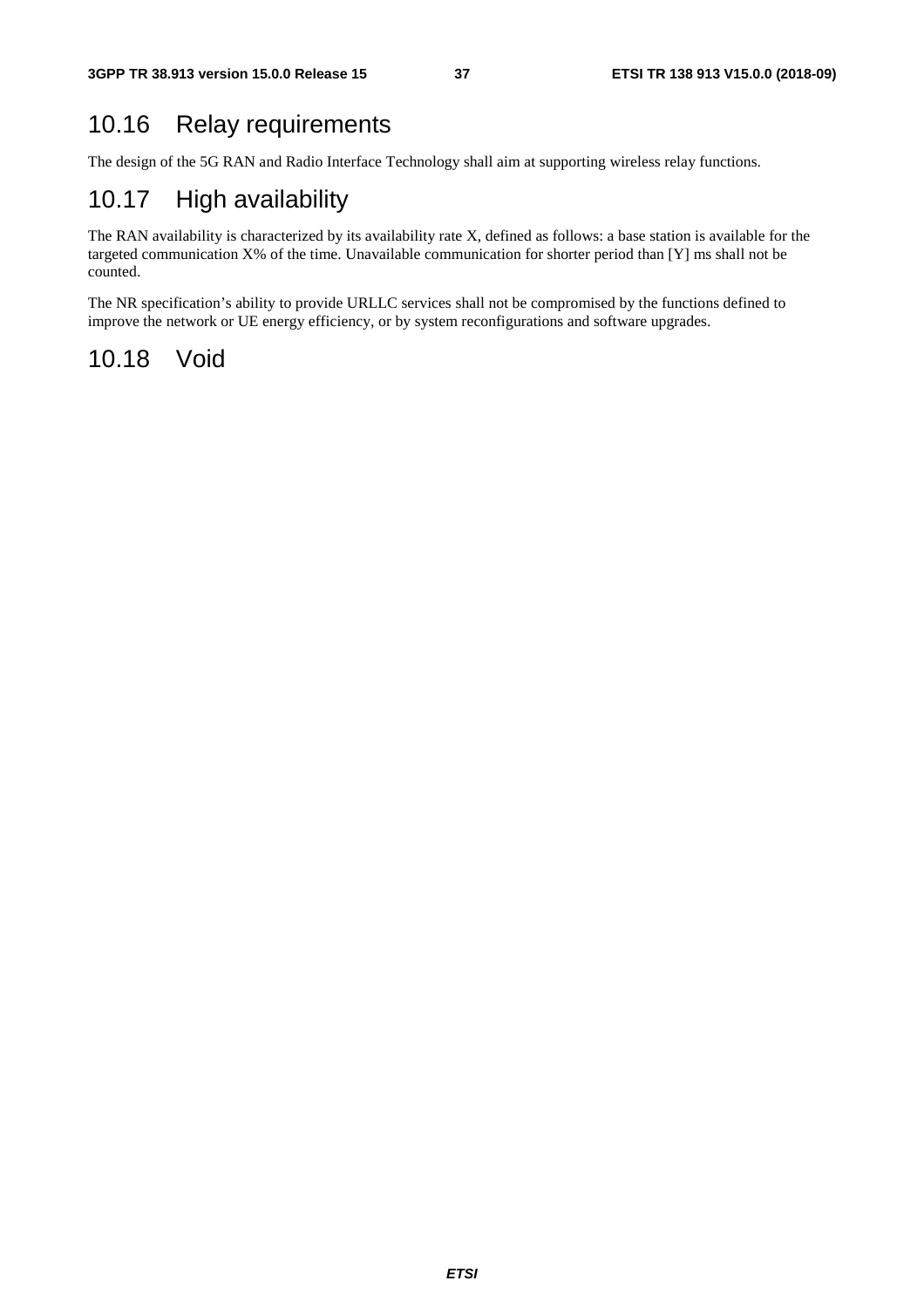# 10.16 Relay requirements

The design of the 5G RAN and Radio Interface Technology shall aim at supporting wireless relay functions.

# 10.17 High availability

The RAN availability is characterized by its availability rate X, defined as follows: a base station is available for the targeted communication X% of the time. Unavailable communication for shorter period than [Y] ms shall not be counted.

The NR specification's ability to provide URLLC services shall not be compromised by the functions defined to improve the network or UE energy efficiency, or by system reconfigurations and software upgrades.

# 10.18 Void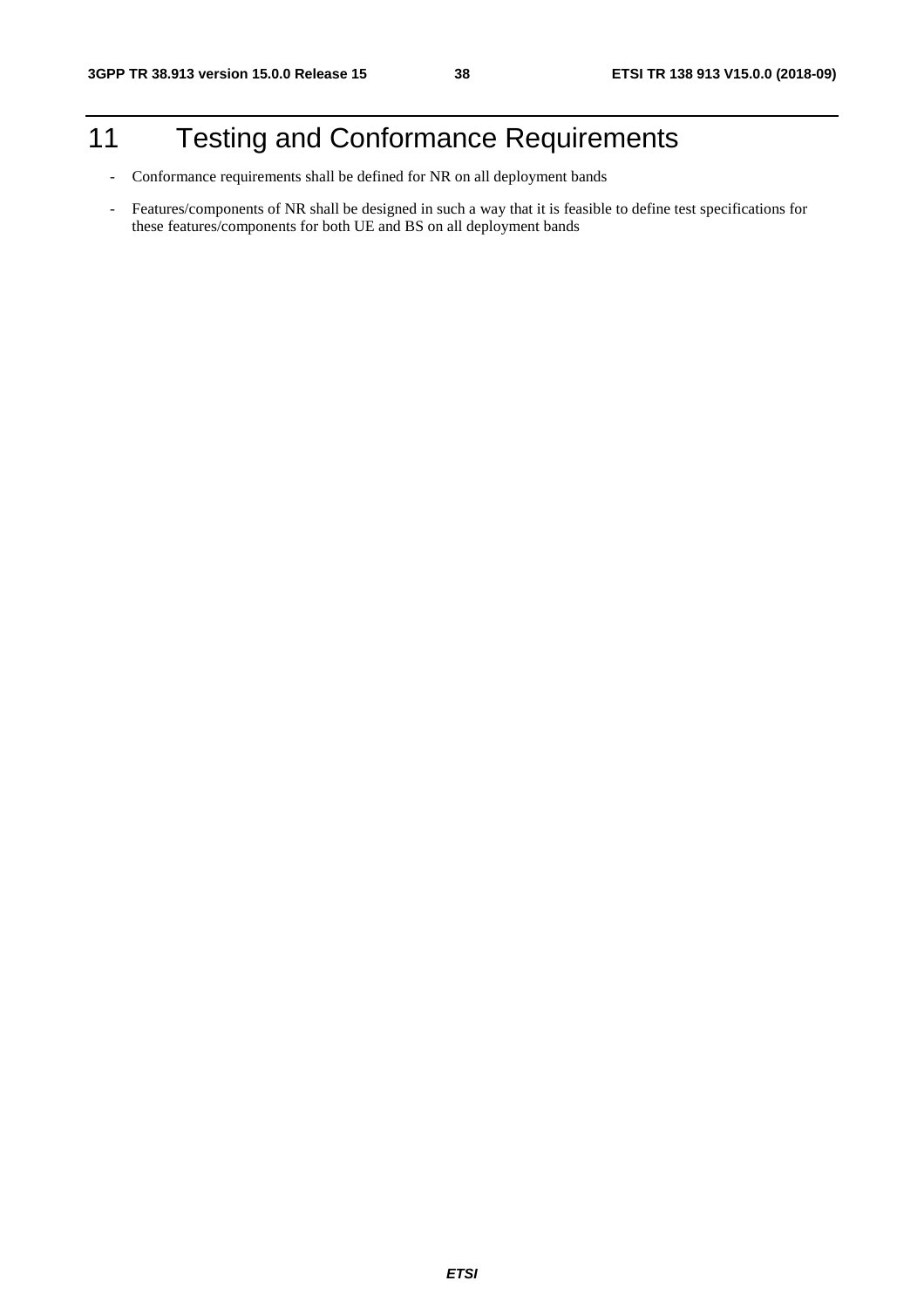# 11 Testing and Conformance Requirements

- Conformance requirements shall be defined for NR on all deployment bands
- Features/components of NR shall be designed in such a way that it is feasible to define test specifications for these features/components for both UE and BS on all deployment bands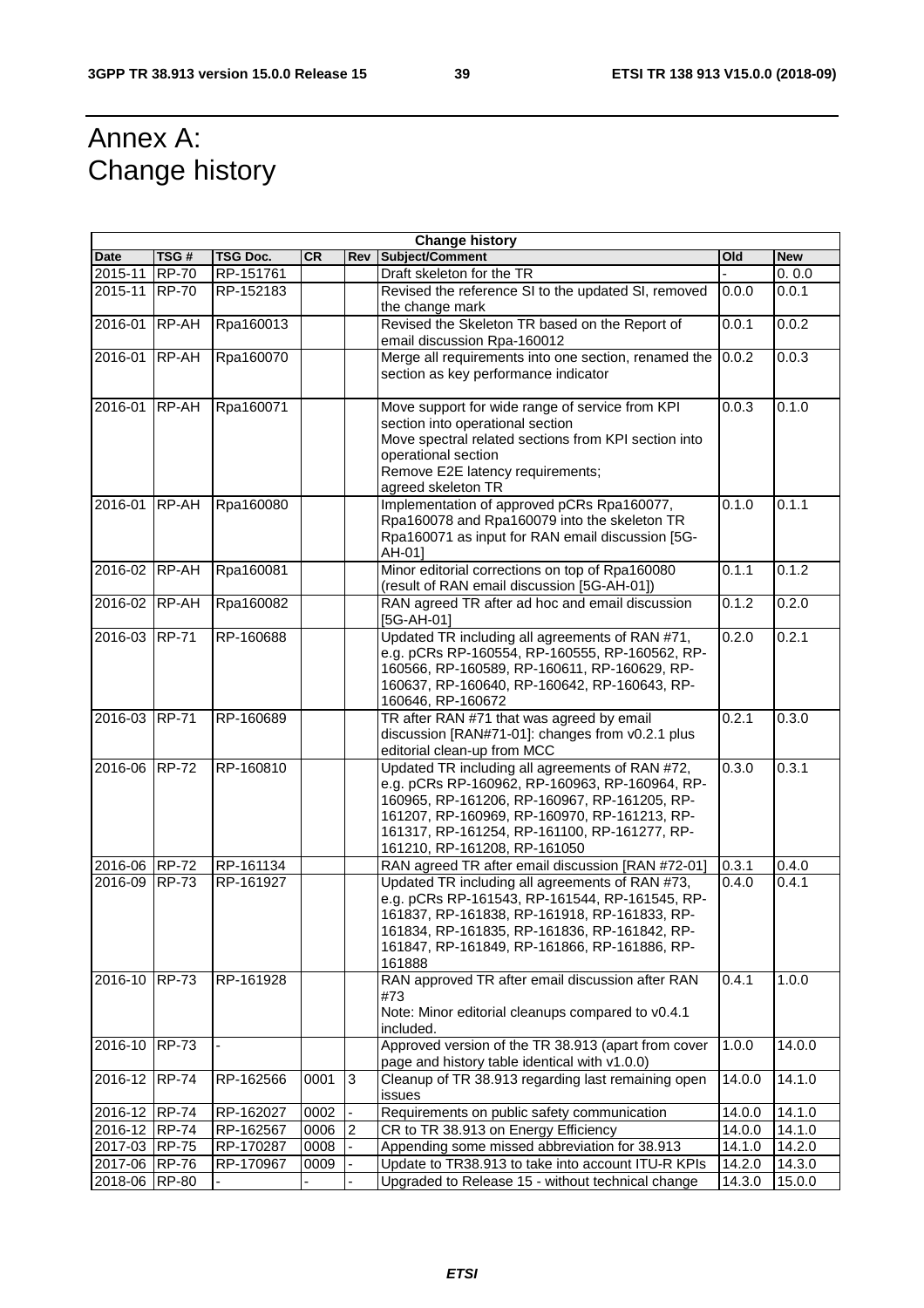# Annex A: Change history

 $\mathbf{r}$ 

| <b>Change history</b> |              |           |           |              |                                                      |        |            |
|-----------------------|--------------|-----------|-----------|--------------|------------------------------------------------------|--------|------------|
| Date                  | TSG#         | TSG Doc.  | <b>CR</b> | Rev          | Subject/Comment                                      | Old    | <b>New</b> |
| 2015-11               | <b>RP-70</b> | RP-151761 |           |              | Draft skeleton for the TR                            |        | 0.0.0      |
| 2015-11               | <b>RP-70</b> | RP-152183 |           |              | Revised the reference SI to the updated SI, removed  | 0.0.0  | 0.0.1      |
|                       |              |           |           |              | the change mark                                      |        |            |
| 2016-01               | RP-AH        | Rpa160013 |           |              | Revised the Skeleton TR based on the Report of       | 0.0.1  | 0.0.2      |
|                       |              |           |           |              | email discussion Rpa-160012                          |        |            |
| 2016-01               | RP-AH        | Rpa160070 |           |              | Merge all requirements into one section, renamed the | 0.0.2  | 0.0.3      |
|                       |              |           |           |              | section as key performance indicator                 |        |            |
|                       |              |           |           |              |                                                      |        |            |
| 2016-01               | RP-AH        | Rpa160071 |           |              | Move support for wide range of service from KPI      | 0.0.3  | 0.1.0      |
|                       |              |           |           |              | section into operational section                     |        |            |
|                       |              |           |           |              | Move spectral related sections from KPI section into |        |            |
|                       |              |           |           |              | operational section                                  |        |            |
|                       |              |           |           |              | Remove E2E latency requirements;                     |        |            |
|                       |              |           |           |              | agreed skeleton TR                                   |        |            |
| 2016-01               | RP-AH        | Rpa160080 |           |              | Implementation of approved pCRs Rpa160077,           | 0.1.0  | 0.1.1      |
|                       |              |           |           |              | Rpa160078 and Rpa160079 into the skeleton TR         |        |            |
|                       |              |           |           |              | Rpa160071 as input for RAN email discussion [5G-     |        |            |
|                       |              |           |           |              | AH-01]                                               |        |            |
| 2016-02 RP-AH         |              | Rpa160081 |           |              | Minor editorial corrections on top of Rpa160080      | 0.1.1  | 0.1.2      |
|                       |              |           |           |              | (result of RAN email discussion [5G-AH-01])          |        |            |
| 2016-02               | RP-AH        | Rpa160082 |           |              | RAN agreed TR after ad hoc and email discussion      | 0.1.2  | 0.2.0      |
|                       |              |           |           |              | [5G-AH-01]                                           |        |            |
| 2016-03 RP-71         |              | RP-160688 |           |              | Updated TR including all agreements of RAN #71,      | 0.2.0  | 0.2.1      |
|                       |              |           |           |              | e.g. pCRs RP-160554, RP-160555, RP-160562, RP-       |        |            |
|                       |              |           |           |              | 160566, RP-160589, RP-160611, RP-160629, RP-         |        |            |
|                       |              |           |           |              | 160637, RP-160640, RP-160642, RP-160643, RP-         |        |            |
|                       |              |           |           |              | 160646, RP-160672                                    |        |            |
| $2016 - 03$           | <b>RP-71</b> | RP-160689 |           |              | TR after RAN #71 that was agreed by email            | 0.2.1  | 0.3.0      |
|                       |              |           |           |              | discussion [RAN#71-01]: changes from v0.2.1 plus     |        |            |
|                       |              |           |           |              | editorial clean-up from MCC                          |        |            |
| 2016-06               | <b>RP-72</b> | RP-160810 |           |              | Updated TR including all agreements of RAN #72,      | 0.3.0  | 0.3.1      |
|                       |              |           |           |              | e.g. pCRs RP-160962, RP-160963, RP-160964, RP-       |        |            |
|                       |              |           |           |              | 160965, RP-161206, RP-160967, RP-161205, RP-         |        |            |
|                       |              |           |           |              | 161207, RP-160969, RP-160970, RP-161213, RP-         |        |            |
|                       |              |           |           |              | 161317, RP-161254, RP-161100, RP-161277, RP-         |        |            |
|                       |              |           |           |              | 161210, RP-161208, RP-161050                         |        |            |
| 2016-06 RP-72         |              | RP-161134 |           |              | RAN agreed TR after email discussion [RAN #72-01]    | 0.3.1  | 0.4.0      |
| 2016-09               | <b>RP-73</b> | RP-161927 |           |              | Updated TR including all agreements of RAN #73,      | 0.4.0  | 0.4.1      |
|                       |              |           |           |              | e.g. pCRs RP-161543, RP-161544, RP-161545, RP-       |        |            |
|                       |              |           |           |              | 161837, RP-161838, RP-161918, RP-161833, RP-         |        |            |
|                       |              |           |           |              | 161834, RP-161835, RP-161836, RP-161842, RP-         |        |            |
|                       |              |           |           |              | 161847, RP-161849, RP-161866, RP-161886, RP-         |        |            |
|                       |              |           |           |              | 161888                                               |        |            |
| 2016-10               | <b>RP-73</b> | RP-161928 |           |              | RAN approved TR after email discussion after RAN     | 0.4.1  | 1.0.0      |
|                       |              |           |           |              | #73                                                  |        |            |
|                       |              |           |           |              | Note: Minor editorial cleanups compared to v0.4.1    |        |            |
|                       |              |           |           |              | included.                                            |        |            |
| 2016-10               | <b>RP-73</b> |           |           |              | Approved version of the TR 38.913 (apart from cover  | 1.0.0  | 14.0.0     |
|                       |              |           |           |              | page and history table identical with v1.0.0)        |        |            |
| 2016-12               | <b>RP-74</b> | RP-162566 | 0001      | $\mathbf{3}$ | Cleanup of TR 38.913 regarding last remaining open   | 14.0.0 | 14.1.0     |
|                       |              |           |           |              | issues                                               |        |            |
| 2016-12 RP-74         |              | RP-162027 | 0002      |              | Requirements on public safety communication          | 14.0.0 | 14.1.0     |
| 2016-12 RP-74         |              | RP-162567 | 0006      | 2            | CR to TR 38.913 on Energy Efficiency                 | 14.0.0 | 14.1.0     |
| 2017-03 RP-75         |              | RP-170287 | 0008      |              | Appending some missed abbreviation for 38.913        | 14.1.0 | 14.2.0     |
| 2017-06               | <b>RP-76</b> | RP-170967 | 0009      |              | Update to TR38.913 to take into account ITU-R KPIs   | 14.2.0 | 14.3.0     |
| 2018-06 RP-80         |              |           |           |              | Upgraded to Release 15 - without technical change    | 14.3.0 | 15.0.0     |